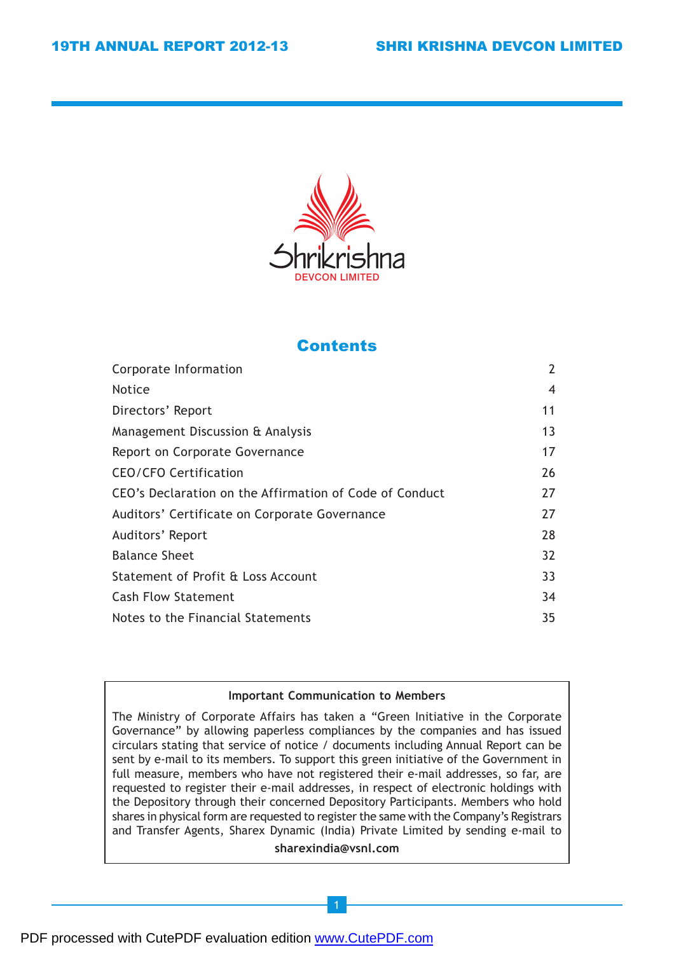

## **Contents**

| Corporate Information                                   | $\overline{2}$ |
|---------------------------------------------------------|----------------|
| <b>Notice</b>                                           | $\overline{4}$ |
| Directors' Report                                       | 11             |
| Management Discussion & Analysis                        | 13             |
| Report on Corporate Governance                          | 17             |
| <b>CEO/CFO Certification</b>                            | 26             |
| CEO's Declaration on the Affirmation of Code of Conduct | 27             |
| Auditors' Certificate on Corporate Governance           | 27             |
| Auditors' Report                                        | 28             |
| <b>Balance Sheet</b>                                    | 32             |
| Statement of Profit & Loss Account                      | 33             |
| <b>Cash Flow Statement</b>                              | 34             |
| Notes to the Financial Statements                       | 35             |

#### **Important Communication to Members**

The Ministry of Corporate Affairs has taken a "Green Initiative in the Corporate Governance" by allowing paperless compliances by the companies and has issued circulars stating that service of notice / documents including Annual Report can be sent by e-mail to its members. To support this green initiative of the Government in full measure, members who have not registered their e-mail addresses, so far, are requested to register their e-mail addresses, in respect of electronic holdings with the Depository through their concerned Depository Participants. Members who hold shares in physical form are requested to register the same with the Company's Registrars and Transfer Agents, Sharex Dynamic (India) Private Limited by sending e-mail to

**sharexindia@vsnl.com**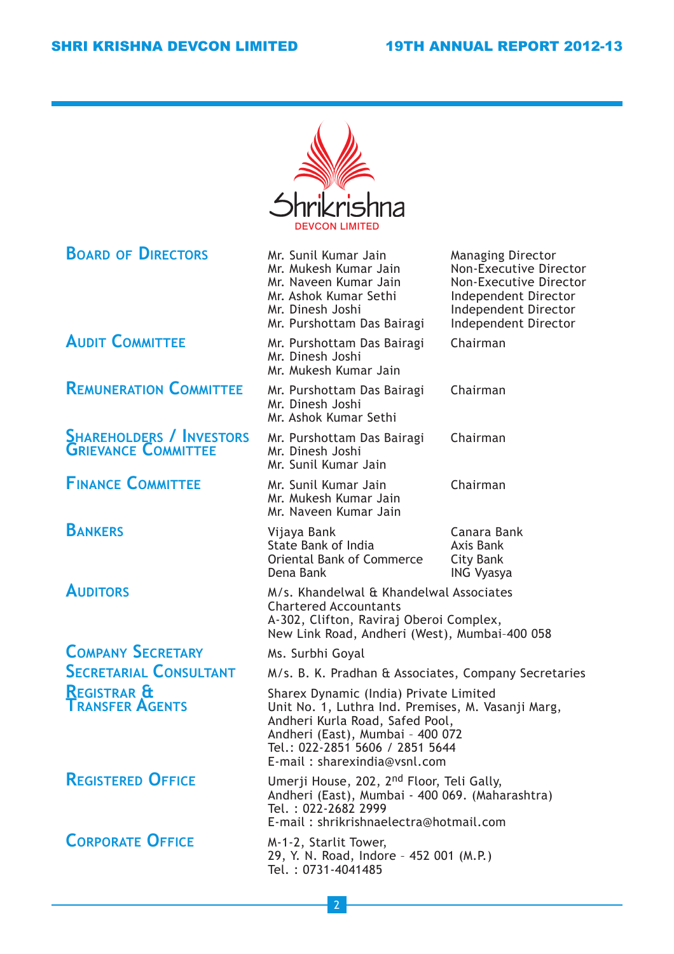

**GRIEVANCE COMMITTEE** 

**COMPANY SECRETARY** Ms. Surbhi Goyal

**CORPORATE OFFICE** M-1-2, Starlit Tower,

**BOARD OF DIRECTORS** Mr. Sunil Kumar Jain Managing Director Mukesh Kumar Jain Managing Director Mukesh Kumar Jain Non-Executive Director Mr. Naveen Kumar Jain Non-Executive Director Mr. Ashok Kumar Sethi Independent Director Mr. Dinesh Joshi Independent Director Mr. Purshottam Das Bairagi lndependent Director **AUDIT COMMITTEE** Mr. Purshottam Das Bairagi Chairman Mr. Dinesh Joshi Mr. Mukesh Kumar Jain **REMUNERATION COMMITTEE** Mr. Purshottam Das Bairagi Chairman Mr. Dinesh Joshi Mr. Ashok Kumar Sethi **SHAREHOLDERS / INVESTORS** Mr. Purshottam Das Bairagi Chairman Mr. Sunil Kumar Jain **FINANCE COMMITTEE** Mr. Sunil Kumar Jain Chairman Mr. Mukesh Kumar Jain Mr. Naveen Kumar Jain **BANKERS Canara Bank** Vijaya Bank **Canara Bank** Canara Bank Canara Bank State Bank of India Oriental Bank of Commerce City Bank Dena Bank **ING Vyasya AUDITORS** M/s. Khandelwal & Khandelwal Associates Chartered Accountants A-302, Clifton, Raviraj Oberoi Complex, New Link Road, Andheri (West), Mumbai–400 058 **SECRETARIAL CONSULTANT** M/s. B. K. Pradhan & Associates, Company Secretaries **REGISTRAR &** Sharex Dynamic (India) Private Limited<br>**TRANSEER AGENTS** Sunit No. 1 Luthra Ind. Premises M. Va Unit No. 1, Luthra Ind. Premises, M. Vasanji Marg, Andheri Kurla Road, Safed Pool,

Andheri (East), Mumbai – 400 072 Tel.: 022-2851 5606 / 2851 5644 E-mail : sharexindia@vsnl.com **REGISTERED OFFICE** Umerji House, 202, 2<sup>nd</sup> Floor, Teli Gally,

Andheri (East), Mumbai - 400 069. (Maharashtra) Tel. : 022-2682 2999 E-mail : shrikrishnaelectra@hotmail.com

29, Y. N. Road, Indore – 452 001 (M.P.) Tel. : 0731-4041485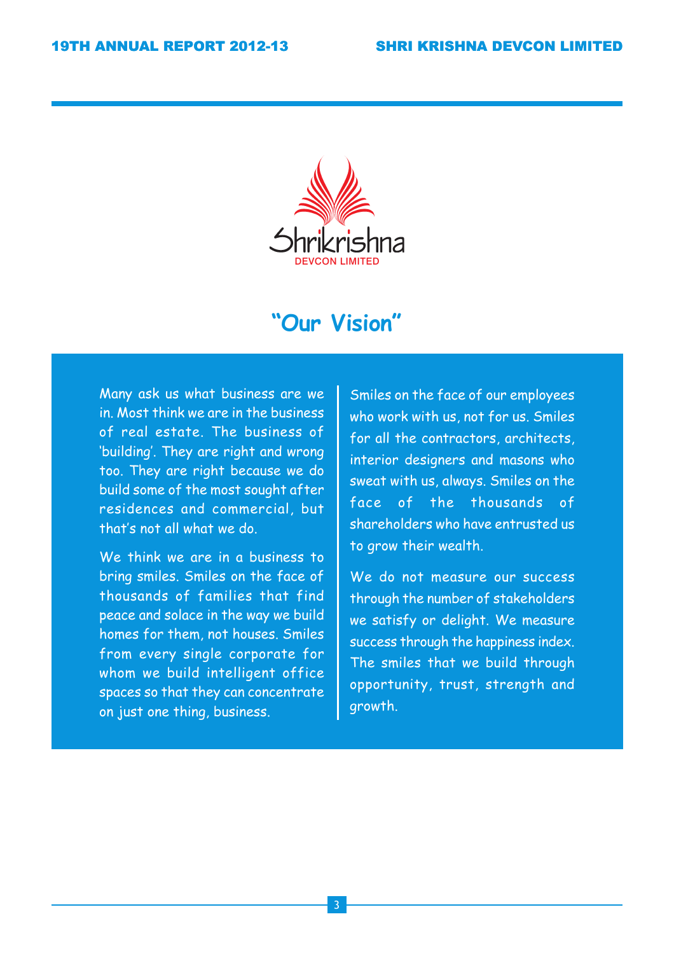

## **"Our Vision"**

Many ask us what business are we in. Most think we are in the business of real estate. The business of 'building'. They are right and wrong too. They are right because we do build some of the most sought after residences and commercial, but that's not all what we do.

We think we are in a business to bring smiles. Smiles on the face of thousands of families that find peace and solace in the way we build homes for them, not houses. Smiles from every single corporate for whom we build intelligent office spaces so that they can concentrate on just one thing, business.

Smiles on the face of our employees who work with us, not for us. Smiles for all the contractors, architects, interior designers and masons who sweat with us, always. Smiles on the face of the thousands of shareholders who have entrusted us to grow their wealth.

We do not measure our success through the number of stakeholders we satisfy or delight. We measure success through the happiness index. The smiles that we build through opportunity, trust, strength and growth.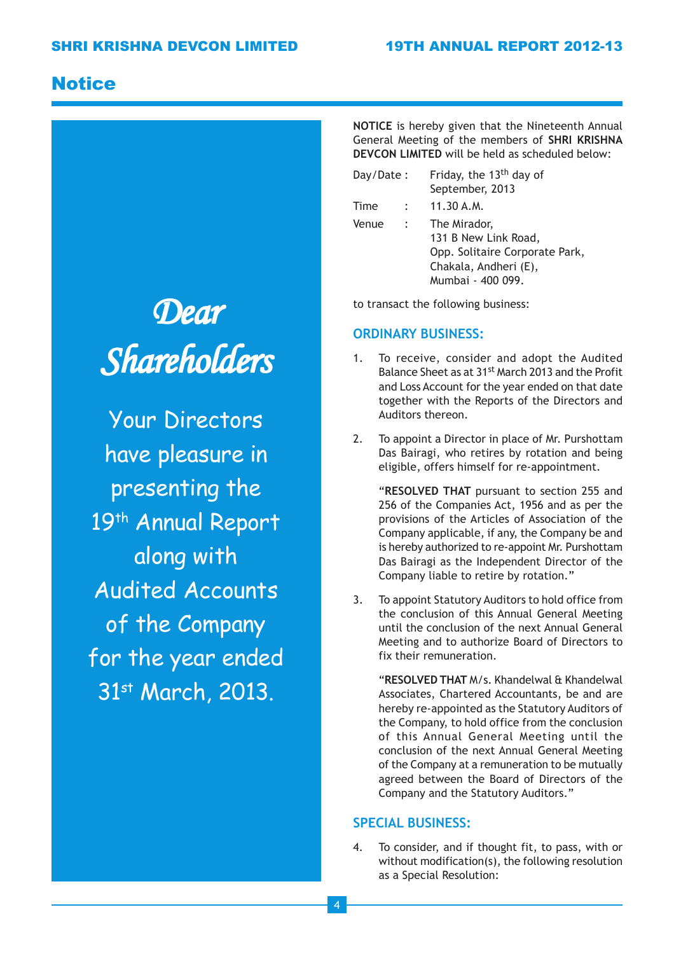## **Notice**

# Dear Shareholders

Your Directors have pleasure in presenting the 19th Annual Report along with Audited Accounts of the Company for the year ended 31st March, 2013.

**NOTICE** is hereby given that the Nineteenth Annual General Meeting of the members of **SHRI KRISHNA DEVCON LIMITED** will be held as scheduled below:

| Day/Date: |               | Friday, the 13 <sup>th</sup> day of<br>September, 2013 |
|-----------|---------------|--------------------------------------------------------|
| Time      | $\sim$ $\sim$ | 11.30 A.M.                                             |
| Venue     | $\sim$ $\sim$ | The Mirador,                                           |
|           |               | 131 B New Link Road,                                   |
|           |               | Opp. Solitaire Corporate Park,                         |
|           |               | Chakala, Andheri (E),                                  |
|           |               | Mumbai - 400 099.                                      |

to transact the following business:

#### **ORDINARY BUSINESS:**

- 1. To receive, consider and adopt the Audited Balance Sheet as at 31st March 2013 and the Profit and Loss Account for the year ended on that date together with the Reports of the Directors and Auditors thereon.
- 2. To appoint a Director in place of Mr. Purshottam Das Bairagi, who retires by rotation and being eligible, offers himself for re-appointment.

"**RESOLVED THAT** pursuant to section 255 and 256 of the Companies Act, 1956 and as per the provisions of the Articles of Association of the Company applicable, if any, the Company be and is hereby authorized to re-appoint Mr. Purshottam Das Bairagi as the Independent Director of the Company liable to retire by rotation."

3. To appoint Statutory Auditors to hold office from the conclusion of this Annual General Meeting until the conclusion of the next Annual General Meeting and to authorize Board of Directors to fix their remuneration.

"**RESOLVED THAT** M/s. Khandelwal & Khandelwal Associates, Chartered Accountants, be and are hereby re-appointed as the Statutory Auditors of the Company, to hold office from the conclusion of this Annual General Meeting until the conclusion of the next Annual General Meeting of the Company at a remuneration to be mutually agreed between the Board of Directors of the Company and the Statutory Auditors."

#### **SPECIAL BUSINESS:**

4. To consider, and if thought fit, to pass, with or without modification(s), the following resolution as a Special Resolution: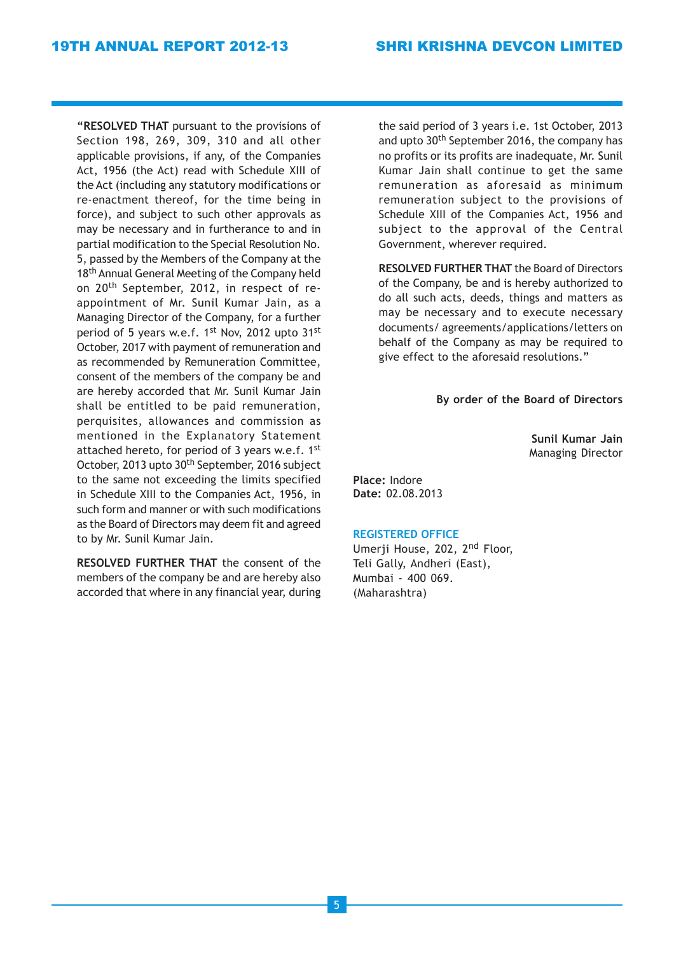**"RESOLVED THAT** pursuant to the provisions of Section 198, 269, 309, 310 and all other applicable provisions, if any, of the Companies Act, 1956 (the Act) read with Schedule XIII of the Act (including any statutory modifications or re-enactment thereof, for the time being in force), and subject to such other approvals as may be necessary and in furtherance to and in partial modification to the Special Resolution No. 5, passed by the Members of the Company at the 18<sup>th</sup> Annual General Meeting of the Company held on 20<sup>th</sup> September, 2012, in respect of reappointment of Mr. Sunil Kumar Jain, as a Managing Director of the Company, for a further period of 5 years w.e.f. 1st Nov, 2012 upto 31st October, 2017 with payment of remuneration and as recommended by Remuneration Committee, consent of the members of the company be and are hereby accorded that Mr. Sunil Kumar Jain shall be entitled to be paid remuneration, perquisites, allowances and commission as mentioned in the Explanatory Statement attached hereto, for period of 3 years w.e.f. 1st October, 2013 upto 30<sup>th</sup> September, 2016 subject to the same not exceeding the limits specified in Schedule XIII to the Companies Act, 1956, in such form and manner or with such modifications as the Board of Directors may deem fit and agreed to by Mr. Sunil Kumar Jain.

**RESOLVED FURTHER THAT** the consent of the members of the company be and are hereby also accorded that where in any financial year, during

the said period of 3 years i.e. 1st October, 2013 and upto 30<sup>th</sup> September 2016, the company has no profits or its profits are inadequate, Mr. Sunil Kumar Jain shall continue to get the same remuneration as aforesaid as minimum remuneration subject to the provisions of Schedule XIII of the Companies Act, 1956 and subject to the approval of the Central Government, wherever required.

**RESOLVED FURTHER THAT** the Board of Directors of the Company, be and is hereby authorized to do all such acts, deeds, things and matters as may be necessary and to execute necessary documents/ agreements/applications/letters on behalf of the Company as may be required to give effect to the aforesaid resolutions."

#### **By order of the Board of Directors**

**Sunil Kumar Jain** Managing Director

**Place:** Indore **Date:** 02.08.2013

#### **REGISTERED OFFICE**

Umerji House, 202, 2nd Floor, Teli Gally, Andheri (East), Mumbai - 400 069. (Maharashtra)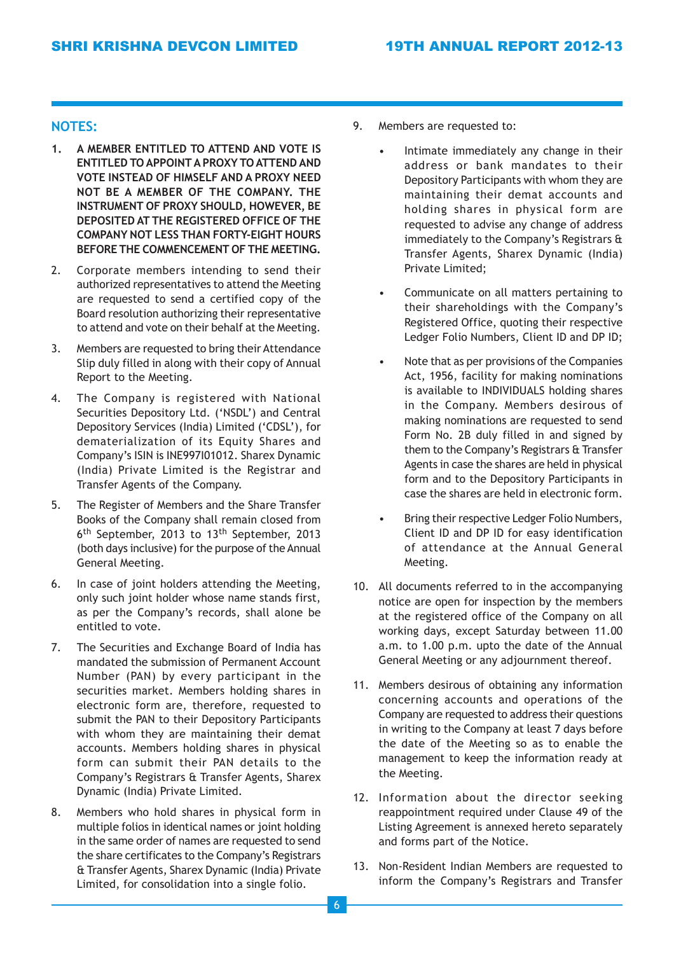#### **NOTES:**

- **1. A MEMBER ENTITLED TO ATTEND AND VOTE IS ENTITLED TO APPOINT A PROXY TO ATTEND AND VOTE INSTEAD OF HIMSELF AND A PROXY NEED NOT BE A MEMBER OF THE COMPANY. THE INSTRUMENT OF PROXY SHOULD, HOWEVER, BE DEPOSITED AT THE REGISTERED OFFICE OF THE COMPANY NOT LESS THAN FORTY-EIGHT HOURS BEFORE THE COMMENCEMENT OF THE MEETING.**
- 2. Corporate members intending to send their authorized representatives to attend the Meeting are requested to send a certified copy of the Board resolution authorizing their representative to attend and vote on their behalf at the Meeting.
- 3. Members are requested to bring their Attendance Slip duly filled in along with their copy of Annual Report to the Meeting.
- 4. The Company is registered with National Securities Depository Ltd. ('NSDL') and Central Depository Services (India) Limited ('CDSL'), for dematerialization of its Equity Shares and Company's ISIN is INE997I01012. Sharex Dynamic (India) Private Limited is the Registrar and Transfer Agents of the Company.
- 5. The Register of Members and the Share Transfer Books of the Company shall remain closed from 6<sup>th</sup> September, 2013 to 13<sup>th</sup> September, 2013 (both days inclusive) for the purpose of the Annual General Meeting.
- 6. In case of joint holders attending the Meeting, only such joint holder whose name stands first, as per the Company's records, shall alone be entitled to vote.
- 7. The Securities and Exchange Board of India has mandated the submission of Permanent Account Number (PAN) by every participant in the securities market. Members holding shares in electronic form are, therefore, requested to submit the PAN to their Depository Participants with whom they are maintaining their demat accounts. Members holding shares in physical form can submit their PAN details to the Company's Registrars & Transfer Agents, Sharex Dynamic (India) Private Limited.
- 8. Members who hold shares in physical form in multiple folios in identical names or joint holding in the same order of names are requested to send the share certificates to the Company's Registrars & Transfer Agents, Sharex Dynamic (India) Private Limited, for consolidation into a single folio.
- 9. Members are requested to:
	- Intimate immediately any change in their address or bank mandates to their Depository Participants with whom they are maintaining their demat accounts and holding shares in physical form are requested to advise any change of address immediately to the Company's Registrars & Transfer Agents, Sharex Dynamic (India) Private Limited;
	- Communicate on all matters pertaining to their shareholdings with the Company's Registered Office, quoting their respective Ledger Folio Numbers, Client ID and DP ID;
	- Note that as per provisions of the Companies Act, 1956, facility for making nominations is available to INDIVIDUALS holding shares in the Company. Members desirous of making nominations are requested to send Form No. 2B duly filled in and signed by them to the Company's Registrars & Transfer Agents in case the shares are held in physical form and to the Depository Participants in case the shares are held in electronic form.
	- Bring their respective Ledger Folio Numbers, Client ID and DP ID for easy identification of attendance at the Annual General Meeting.
- 10. All documents referred to in the accompanying notice are open for inspection by the members at the registered office of the Company on all working days, except Saturday between 11.00 a.m. to 1.00 p.m. upto the date of the Annual General Meeting or any adjournment thereof.
- 11. Members desirous of obtaining any information concerning accounts and operations of the Company are requested to address their questions in writing to the Company at least 7 days before the date of the Meeting so as to enable the management to keep the information ready at the Meeting.
- 12. Information about the director seeking reappointment required under Clause 49 of the Listing Agreement is annexed hereto separately and forms part of the Notice.
- 13. Non-Resident Indian Members are requested to inform the Company's Registrars and Transfer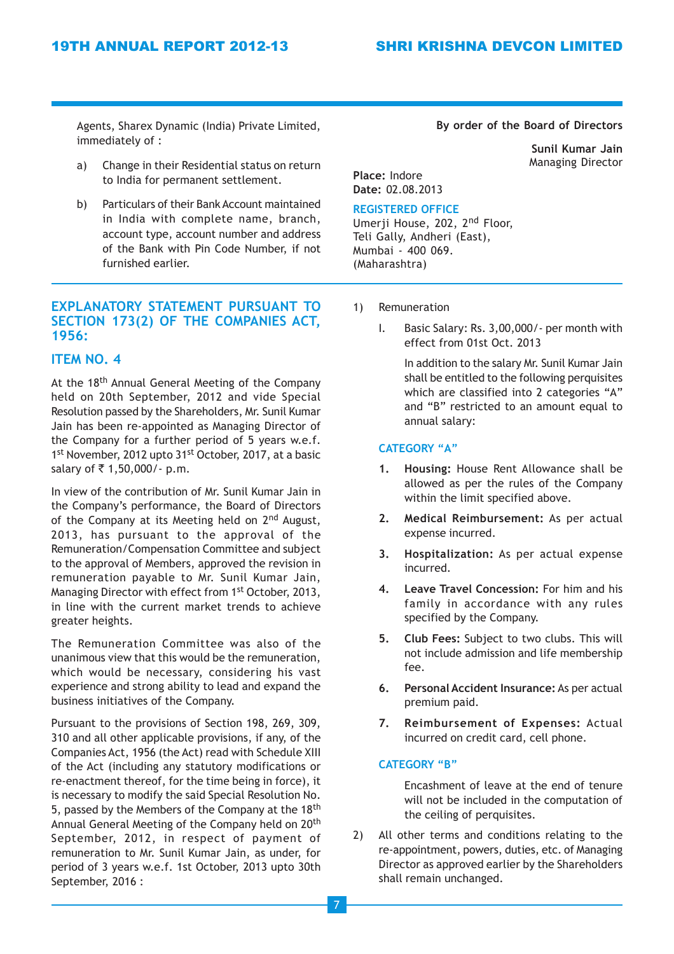Agents, Sharex Dynamic (India) Private Limited, immediately of :

- a) Change in their Residential status on return to India for permanent settlement.
- b) Particulars of their Bank Account maintained in India with complete name, branch, account type, account number and address of the Bank with Pin Code Number, if not furnished earlier.

#### **EXPLANATORY STATEMENT PURSUANT TO SECTION 173(2) OF THE COMPANIES ACT, 1956:**

#### **ITEM NO. 4**

At the 18<sup>th</sup> Annual General Meeting of the Company held on 20th September, 2012 and vide Special Resolution passed by the Shareholders, Mr. Sunil Kumar Jain has been re-appointed as Managing Director of the Company for a further period of 5 years w.e.f. 1<sup>st</sup> November, 2012 upto 31<sup>st</sup> October, 2017, at a basic salary of  $\bar{\tau}$  1,50,000/- p.m.

In view of the contribution of Mr. Sunil Kumar Jain in the Company's performance, the Board of Directors of the Company at its Meeting held on 2<sup>nd</sup> August, 2013, has pursuant to the approval of the Remuneration/Compensation Committee and subject to the approval of Members, approved the revision in remuneration payable to Mr. Sunil Kumar Jain, Managing Director with effect from 1st October, 2013, in line with the current market trends to achieve greater heights.

The Remuneration Committee was also of the unanimous view that this would be the remuneration, which would be necessary, considering his vast experience and strong ability to lead and expand the business initiatives of the Company.

Pursuant to the provisions of Section 198, 269, 309, 310 and all other applicable provisions, if any, of the Companies Act, 1956 (the Act) read with Schedule XIII of the Act (including any statutory modifications or re-enactment thereof, for the time being in force), it is necessary to modify the said Special Resolution No. 5, passed by the Members of the Company at the 18<sup>th</sup> Annual General Meeting of the Company held on 20th September, 2012, in respect of payment of remuneration to Mr. Sunil Kumar Jain, as under, for period of 3 years w.e.f. 1st October, 2013 upto 30th September, 2016 :

#### **By order of the Board of Directors**

**Sunil Kumar Jain** Managing Director

**Place:** Indore **Date:** 02.08.2013

#### **REGISTERED OFFICE**

Umerii House, 202, 2<sup>nd</sup> Floor, Teli Gally, Andheri (East), Mumbai - 400 069. (Maharashtra)

- 1) Remuneration
	- I. Basic Salary: Rs. 3,00,000/- per month with effect from 01st Oct. 2013

In addition to the salary Mr. Sunil Kumar Jain shall be entitled to the following perquisites which are classified into 2 categories "A" and "B" restricted to an amount equal to annual salary:

#### **CATEGORY "A"**

- **1. Housing:** House Rent Allowance shall be allowed as per the rules of the Company within the limit specified above.
- **2. Medical Reimbursement:** As per actual expense incurred.
- **3. Hospitalization:** As per actual expense incurred.
- **4. Leave Travel Concession:** For him and his family in accordance with any rules specified by the Company.
- **5. Club Fees:** Subject to two clubs. This will not include admission and life membership fee.
- **6. Personal Accident Insurance:** As per actual premium paid.
- **7. Reimbursement of Expenses:** Actual incurred on credit card, cell phone.

#### **CATEGORY "B"**

Encashment of leave at the end of tenure will not be included in the computation of the ceiling of perquisites.

2) All other terms and conditions relating to the re-appointment, powers, duties, etc. of Managing Director as approved earlier by the Shareholders shall remain unchanged.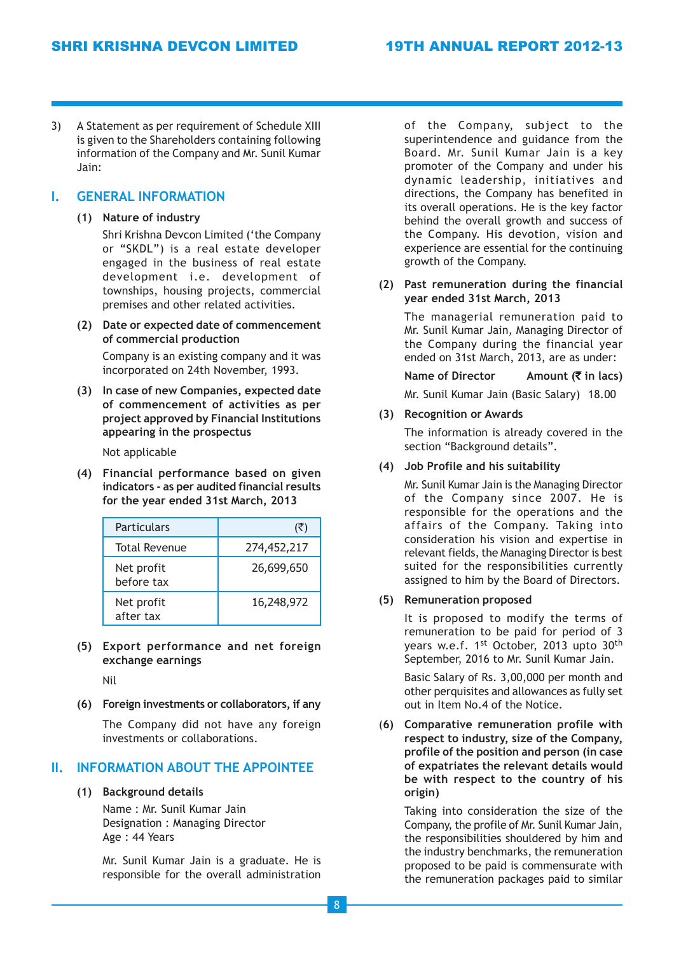3) A Statement as per requirement of Schedule XIII is given to the Shareholders containing following information of the Company and Mr. Sunil Kumar Jain:

#### **I. GENERAL INFORMATION**

- **(1) Nature of industry**
	- Shri Krishna Devcon Limited ('the Company or "SKDL") is a real estate developer engaged in the business of real estate development i.e. development of townships, housing projects, commercial premises and other related activities.
- **(2) Date or expected date of commencement of commercial production** Company is an existing company and it was incorporated on 24th November, 1993.
- **(3) In case of new Companies, expected date of commencement of activities as per project approved by Financial Institutions appearing in the prospectus**

Not applicable

**(4) Financial performance based on given indicators - as per audited financial results for the year ended 31st March, 2013**

| <b>Particulars</b>       | (₹)         |
|--------------------------|-------------|
| <b>Total Revenue</b>     | 274,452,217 |
| Net profit<br>before tax | 26,699,650  |
| Net profit<br>after tax  | 16,248,972  |

**(5) Export performance and net foreign exchange earnings**

Nil

**(6) Foreign investments or collaborators, if any**

The Company did not have any foreign investments or collaborations.

#### **II. INFORMATION ABOUT THE APPOINTEE**

**(1) Background details**

Name : Mr. Sunil Kumar Jain Designation : Managing Director Age : 44 Years

Mr. Sunil Kumar Jain is a graduate. He is responsible for the overall administration

of the Company, subject to the superintendence and guidance from the Board. Mr. Sunil Kumar Jain is a key promoter of the Company and under his dynamic leadership, initiatives and directions, the Company has benefited in its overall operations. He is the key factor behind the overall growth and success of the Company. His devotion, vision and experience are essential for the continuing growth of the Company.

**(2) Past remuneration during the financial year ended 31st March, 2013**

> The managerial remuneration paid to Mr. Sunil Kumar Jain, Managing Director of the Company during the financial year ended on 31st March, 2013, are as under:

> **Name of Director Amount (**` **in lacs)**

Mr. Sunil Kumar Jain (Basic Salary) 18.00

#### **(3) Recognition or Awards**

The information is already covered in the section "Background details".

#### **(4) Job Profile and his suitability**

Mr. Sunil Kumar Jain is the Managing Director of the Company since 2007. He is responsible for the operations and the affairs of the Company. Taking into consideration his vision and expertise in relevant fields, the Managing Director is best suited for the responsibilities currently assigned to him by the Board of Directors.

#### **(5) Remuneration proposed**

It is proposed to modify the terms of remuneration to be paid for period of 3 years w.e.f. 1<sup>st</sup> October, 2013 upto 30<sup>th</sup> September, 2016 to Mr. Sunil Kumar Jain.

Basic Salary of Rs. 3,00,000 per month and other perquisites and allowances as fully set out in Item No.4 of the Notice.

(**6) Comparative remuneration profile with respect to industry, size of the Company, profile of the position and person (in case of expatriates the relevant details would be with respect to the country of his origin)**

> Taking into consideration the size of the Company, the profile of Mr. Sunil Kumar Jain, the responsibilities shouldered by him and the industry benchmarks, the remuneration proposed to be paid is commensurate with the remuneration packages paid to similar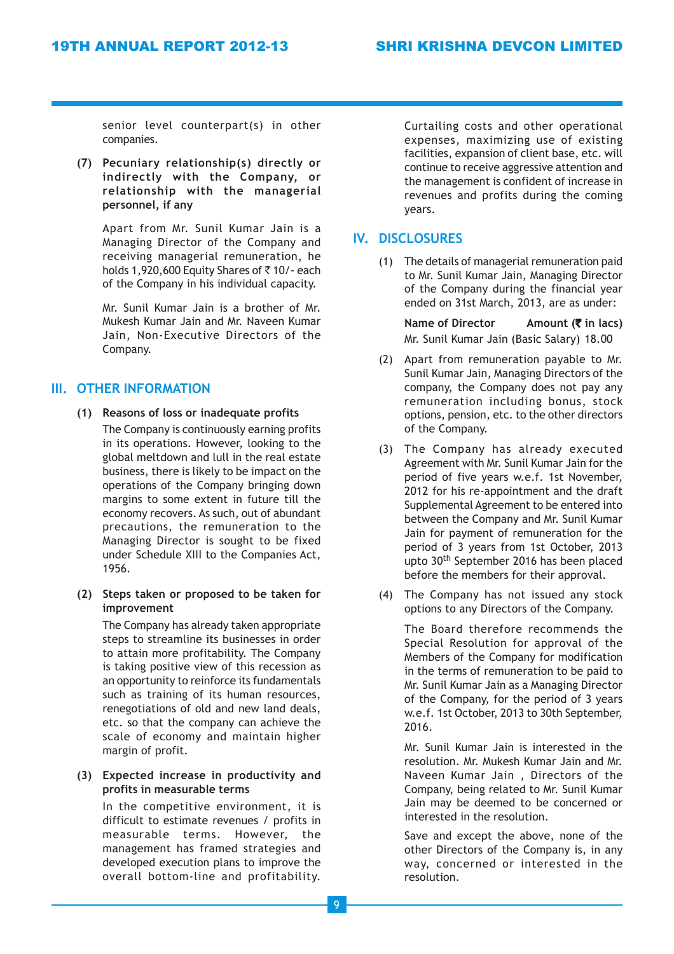senior level counterpart(s) in other companies.

**(7) Pecuniary relationship(s) directly or indirectly with the Company, or relationship with the managerial personnel, if any**

Apart from Mr. Sunil Kumar Jain is a Managing Director of the Company and receiving managerial remuneration, he holds 1,920,600 Equity Shares of  $\bar{z}$  10/- each of the Company in his individual capacity.

Mr. Sunil Kumar Jain is a brother of Mr. Mukesh Kumar Jain and Mr. Naveen Kumar Jain, Non-Executive Directors of the Company.

### **III. OTHER INFORMATION**

- **(1) Reasons of loss or inadequate profits** The Company is continuously earning profits in its operations. However, looking to the global meltdown and lull in the real estate business, there is likely to be impact on the operations of the Company bringing down margins to some extent in future till the economy recovers. As such, out of abundant precautions, the remuneration to the Managing Director is sought to be fixed under Schedule XIII to the Companies Act, 1956.
- **(2) Steps taken or proposed to be taken for improvement**

The Company has already taken appropriate steps to streamline its businesses in order to attain more profitability. The Company is taking positive view of this recession as an opportunity to reinforce its fundamentals such as training of its human resources, renegotiations of old and new land deals, etc. so that the company can achieve the scale of economy and maintain higher margin of profit.

**(3) Expected increase in productivity and profits in measurable terms**

> In the competitive environment, it is difficult to estimate revenues / profits in measurable terms. However, the management has framed strategies and developed execution plans to improve the overall bottom-line and profitability.

Curtailing costs and other operational expenses, maximizing use of existing facilities, expansion of client base, etc. will continue to receive aggressive attention and the management is confident of increase in revenues and profits during the coming years.

#### **IV. DISCLOSURES**

(1) The details of managerial remuneration paid to Mr. Sunil Kumar Jain, Managing Director of the Company during the financial year ended on 31st March, 2013, are as under:

> **Name of Director Amount (**` **in lacs)** Mr. Sunil Kumar Jain (Basic Salary) 18.00

- (2) Apart from remuneration payable to Mr. Sunil Kumar Jain, Managing Directors of the company, the Company does not pay any remuneration including bonus, stock options, pension, etc. to the other directors of the Company.
- (3) The Company has already executed Agreement with Mr. Sunil Kumar Jain for the period of five years w.e.f. 1st November, 2012 for his re-appointment and the draft Supplemental Agreement to be entered into between the Company and Mr. Sunil Kumar Jain for payment of remuneration for the period of 3 years from 1st October, 2013 upto 30<sup>th</sup> September 2016 has been placed before the members for their approval.
- (4) The Company has not issued any stock options to any Directors of the Company.

The Board therefore recommends the Special Resolution for approval of the Members of the Company for modification in the terms of remuneration to be paid to Mr. Sunil Kumar Jain as a Managing Director of the Company, for the period of 3 years w.e.f. 1st October, 2013 to 30th September, 2016.

Mr. Sunil Kumar Jain is interested in the resolution. Mr. Mukesh Kumar Jain and Mr. Naveen Kumar Jain , Directors of the Company, being related to Mr. Sunil Kumar Jain may be deemed to be concerned or interested in the resolution.

Save and except the above, none of the other Directors of the Company is, in any way, concerned or interested in the resolution.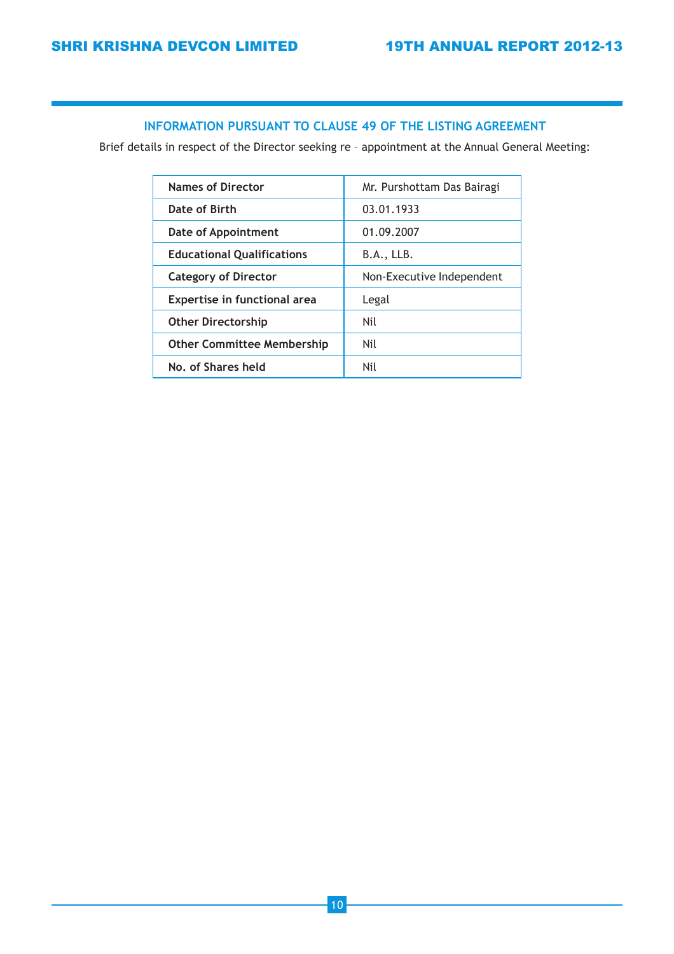#### **INFORMATION PURSUANT TO CLAUSE 49 OF THE LISTING AGREEMENT**

Brief details in respect of the Director seeking re – appointment at the Annual General Meeting:

| <b>Names of Director</b>            | Mr. Purshottam Das Bairagi |
|-------------------------------------|----------------------------|
| Date of Birth                       | 03.01.1933                 |
| <b>Date of Appointment</b>          | 01.09.2007                 |
| <b>Educational Qualifications</b>   | B.A., LLB.                 |
| <b>Category of Director</b>         | Non-Executive Independent  |
| <b>Expertise in functional area</b> | Legal                      |
| <b>Other Directorship</b>           | Nil                        |
| <b>Other Committee Membership</b>   | Nil                        |
| No. of Shares held                  | Nil                        |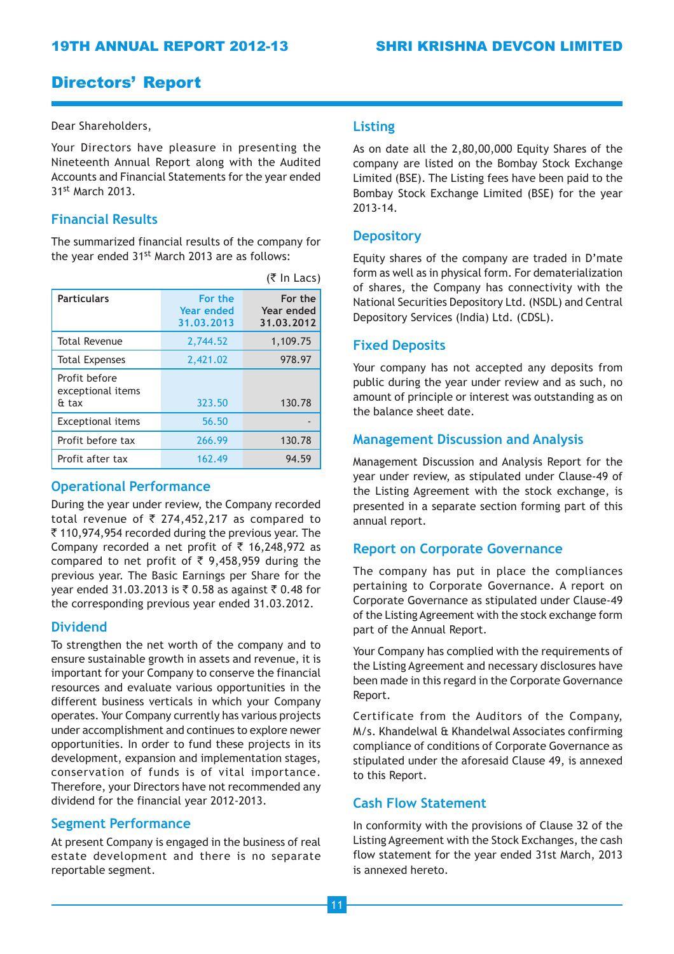## Directors' Report

#### Dear Shareholders,

Your Directors have pleasure in presenting the Nineteenth Annual Report along with the Audited Accounts and Financial Statements for the year ended 31st March 2013.

### **Financial Results**

The summarized financial results of the company for the year ended 31st March 2013 are as follows:

| <b>Particulars</b>                          | For the<br>Year ended<br>31.03.2013 | For the<br>Year ended<br>31.03.2012 |
|---------------------------------------------|-------------------------------------|-------------------------------------|
| <b>Total Revenue</b>                        | 2,744.52                            | 1,109.75                            |
| <b>Total Expenses</b>                       | 2,421.02                            | 978.97                              |
| Profit before<br>exceptional items<br>& tax | 323.50                              | 130.78                              |
| <b>Exceptional items</b>                    | 56.50                               |                                     |
| Profit before tax                           | 266.99                              | 130.78                              |
| Profit after tax                            | 162.49                              | 94.59                               |

#### **Operational Performance**

During the year under review, the Company recorded total revenue of  $\bar{\tau}$  274,452,217 as compared to  $\bar{\tau}$  110,974,954 recorded during the previous year. The Company recorded a net profit of  $\bar{\tau}$  16,248,972 as compared to net profit of  $\bar{\tau}$  9,458,959 during the previous year. The Basic Earnings per Share for the vear ended 31.03.2013 is ₹ 0.58 as against ₹ 0.48 for the corresponding previous year ended 31.03.2012.

#### **Dividend**

To strengthen the net worth of the company and to ensure sustainable growth in assets and revenue, it is important for your Company to conserve the financial resources and evaluate various opportunities in the different business verticals in which your Company operates. Your Company currently has various projects under accomplishment and continues to explore newer opportunities. In order to fund these projects in its development, expansion and implementation stages, conservation of funds is of vital importance. Therefore, your Directors have not recommended any dividend for the financial year 2012-2013.

#### **Segment Performance**

At present Company is engaged in the business of real estate development and there is no separate reportable segment.

#### **Listing**

As on date all the 2,80,00,000 Equity Shares of the company are listed on the Bombay Stock Exchange Limited (BSE). The Listing fees have been paid to the Bombay Stock Exchange Limited (BSE) for the year 2013-14.

#### **Depository**

 $($ ₹ In Lacs)

Equity shares of the company are traded in D'mate form as well as in physical form. For dematerialization of shares, the Company has connectivity with the National Securities Depository Ltd. (NSDL) and Central Depository Services (India) Ltd. (CDSL).

### **Fixed Deposits**

Your company has not accepted any deposits from public during the year under review and as such, no amount of principle or interest was outstanding as on the balance sheet date.

### **Management Discussion and Analysis**

Management Discussion and Analysis Report for the year under review, as stipulated under Clause-49 of the Listing Agreement with the stock exchange, is presented in a separate section forming part of this annual report.

## **Report on Corporate Governance**

The company has put in place the compliances pertaining to Corporate Governance. A report on Corporate Governance as stipulated under Clause-49 of the Listing Agreement with the stock exchange form part of the Annual Report.

Your Company has complied with the requirements of the Listing Agreement and necessary disclosures have been made in this regard in the Corporate Governance Report.

Certificate from the Auditors of the Company, M/s. Khandelwal & Khandelwal Associates confirming compliance of conditions of Corporate Governance as stipulated under the aforesaid Clause 49, is annexed to this Report.

## **Cash Flow Statement**

In conformity with the provisions of Clause 32 of the Listing Agreement with the Stock Exchanges, the cash flow statement for the year ended 31st March, 2013 is annexed hereto.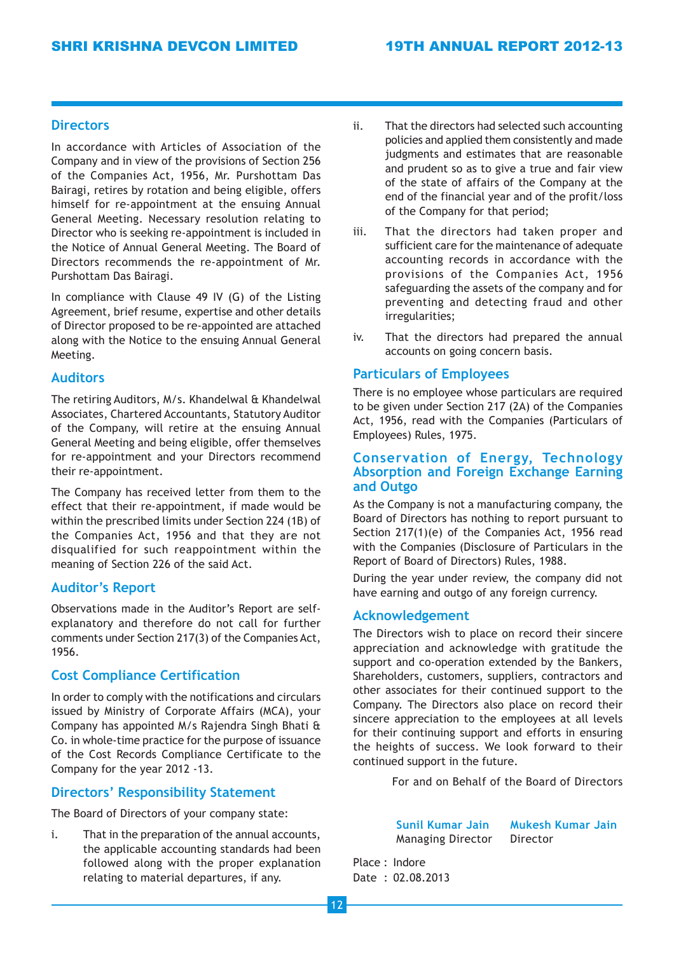#### **Directors**

In accordance with Articles of Association of the Company and in view of the provisions of Section 256 of the Companies Act, 1956, Mr. Purshottam Das Bairagi, retires by rotation and being eligible, offers himself for re-appointment at the ensuing Annual General Meeting. Necessary resolution relating to Director who is seeking re-appointment is included in the Notice of Annual General Meeting. The Board of Directors recommends the re-appointment of Mr. Purshottam Das Bairagi.

In compliance with Clause 49 IV (G) of the Listing Agreement, brief resume, expertise and other details of Director proposed to be re-appointed are attached along with the Notice to the ensuing Annual General Meeting.

#### **Auditors**

The retiring Auditors, M/s. Khandelwal & Khandelwal Associates, Chartered Accountants, Statutory Auditor of the Company, will retire at the ensuing Annual General Meeting and being eligible, offer themselves for re-appointment and your Directors recommend their re-appointment.

The Company has received letter from them to the effect that their re-appointment, if made would be within the prescribed limits under Section 224 (1B) of the Companies Act, 1956 and that they are not disqualified for such reappointment within the meaning of Section 226 of the said Act.

#### **Auditor's Report**

Observations made in the Auditor's Report are selfexplanatory and therefore do not call for further comments under Section 217(3) of the Companies Act, 1956.

## **Cost Compliance Certification**

In order to comply with the notifications and circulars issued by Ministry of Corporate Affairs (MCA), your Company has appointed M/s Rajendra Singh Bhati & Co. in whole-time practice for the purpose of issuance of the Cost Records Compliance Certificate to the Company for the year 2012 -13.

## **Directors' Responsibility Statement**

The Board of Directors of your company state:

i. That in the preparation of the annual accounts, the applicable accounting standards had been followed along with the proper explanation relating to material departures, if any.

- ii. That the directors had selected such accounting policies and applied them consistently and made judgments and estimates that are reasonable and prudent so as to give a true and fair view of the state of affairs of the Company at the end of the financial year and of the profit/loss of the Company for that period;
- iii. That the directors had taken proper and sufficient care for the maintenance of adequate accounting records in accordance with the provisions of the Companies Act, 1956 safeguarding the assets of the company and for preventing and detecting fraud and other irregularities;
- iv. That the directors had prepared the annual accounts on going concern basis.

### **Particulars of Employees**

There is no employee whose particulars are required to be given under Section 217 (2A) of the Companies Act, 1956, read with the Companies (Particulars of Employees) Rules, 1975.

#### **Conservation of Energy, Technology Absorption and Foreign Exchange Earning and Outgo**

As the Company is not a manufacturing company, the Board of Directors has nothing to report pursuant to Section 217(1)(e) of the Companies Act, 1956 read with the Companies (Disclosure of Particulars in the Report of Board of Directors) Rules, 1988.

During the year under review, the company did not have earning and outgo of any foreign currency.

#### **Acknowledgement**

The Directors wish to place on record their sincere appreciation and acknowledge with gratitude the support and co-operation extended by the Bankers, Shareholders, customers, suppliers, contractors and other associates for their continued support to the Company. The Directors also place on record their sincere appreciation to the employees at all levels for their continuing support and efforts in ensuring the heights of success. We look forward to their continued support in the future.

For and on Behalf of the Board of Directors

Managing Director Director

**Sunil Kumar Jain Mukesh Kumar Jain**

Place : Indore Date : 02.08.2013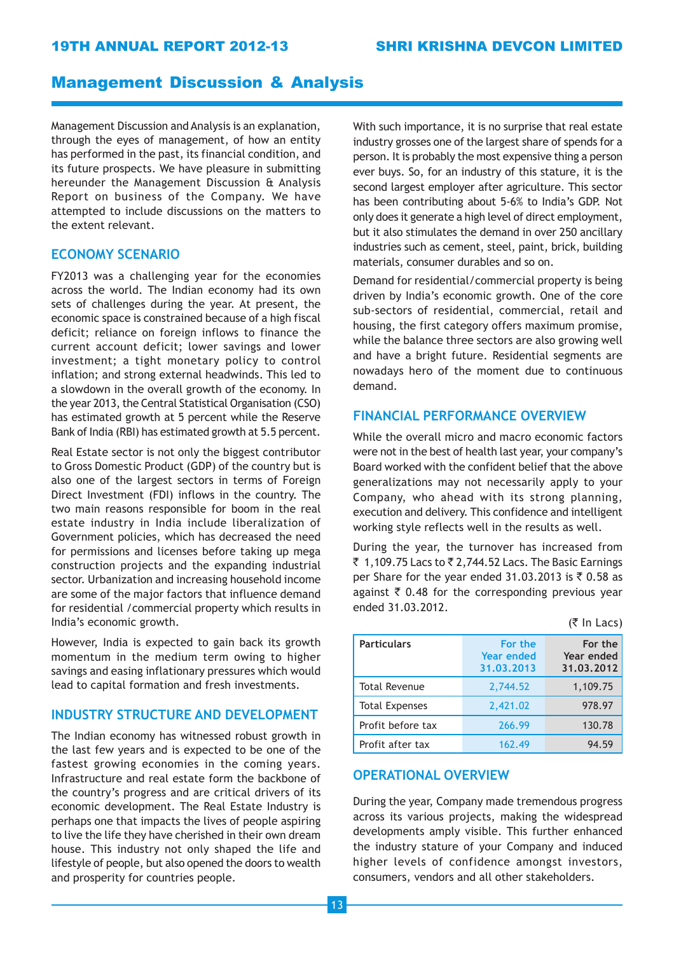#### 19TH ANNUAL REPORT 2012-13 SHRI KRISHNA DEVCON LIMITED

## Management Discussion & Analysis

Management Discussion and Analysis is an explanation, through the eyes of management, of how an entity has performed in the past, its financial condition, and its future prospects. We have pleasure in submitting hereunder the Management Discussion & Analysis Report on business of the Company. We have attempted to include discussions on the matters to the extent relevant.

## **ECONOMY SCENARIO**

FY2013 was a challenging year for the economies across the world. The Indian economy had its own sets of challenges during the year. At present, the economic space is constrained because of a high fiscal deficit; reliance on foreign inflows to finance the current account deficit; lower savings and lower investment; a tight monetary policy to control inflation; and strong external headwinds. This led to a slowdown in the overall growth of the economy. In the year 2013, the Central Statistical Organisation (CSO) has estimated growth at 5 percent while the Reserve Bank of India (RBI) has estimated growth at 5.5 percent.

Real Estate sector is not only the biggest contributor to Gross Domestic Product (GDP) of the country but is also one of the largest sectors in terms of Foreign Direct Investment (FDI) inflows in the country. The two main reasons responsible for boom in the real estate industry in India include liberalization of Government policies, which has decreased the need for permissions and licenses before taking up mega construction projects and the expanding industrial sector. Urbanization and increasing household income are some of the major factors that influence demand for residential /commercial property which results in India's economic growth.

However, India is expected to gain back its growth momentum in the medium term owing to higher savings and easing inflationary pressures which would lead to capital formation and fresh investments.

#### **INDUSTRY STRUCTURE AND DEVELOPMENT**

The Indian economy has witnessed robust growth in the last few years and is expected to be one of the fastest growing economies in the coming years. Infrastructure and real estate form the backbone of the country's progress and are critical drivers of its economic development. The Real Estate Industry is perhaps one that impacts the lives of people aspiring to live the life they have cherished in their own dream house. This industry not only shaped the life and lifestyle of people, but also opened the doors to wealth and prosperity for countries people.

With such importance, it is no surprise that real estate industry grosses one of the largest share of spends for a person. It is probably the most expensive thing a person ever buys. So, for an industry of this stature, it is the second largest employer after agriculture. This sector has been contributing about 5-6% to India's GDP. Not only does it generate a high level of direct employment, but it also stimulates the demand in over 250 ancillary industries such as cement, steel, paint, brick, building materials, consumer durables and so on.

Demand for residential/commercial property is being driven by India's economic growth. One of the core sub-sectors of residential, commercial, retail and housing, the first category offers maximum promise, while the balance three sectors are also growing well and have a bright future. Residential segments are nowadays hero of the moment due to continuous demand.

## **FINANCIAL PERFORMANCE OVERVIEW**

While the overall micro and macro economic factors were not in the best of health last year, your company's Board worked with the confident belief that the above generalizations may not necessarily apply to your Company, who ahead with its strong planning, execution and delivery. This confidence and intelligent working style reflects well in the results as well.

During the year, the turnover has increased from ₹ 1,109.75 Lacs to  $\bar{z}$  2,744.52 Lacs. The Basic Earnings per Share for the year ended 31.03.2013 is  $\bar{\tau}$  0.58 as against  $\bar{\tau}$  0.48 for the corresponding previous year ended 31.03.2012.

|                       |                                     | $(5 \text{ ln}$ Lacs)               |
|-----------------------|-------------------------------------|-------------------------------------|
| <b>Particulars</b>    | For the<br>Year ended<br>31.03.2013 | For the<br>Year ended<br>31.03.2012 |
| <b>Total Revenue</b>  | 2,744.52                            | 1,109.75                            |
| <b>Total Expenses</b> | 2,421.02                            | 978.97                              |
| Profit before tax     | 266.99                              | 130.78                              |
| Profit after tax      | 162.49                              | 94.59                               |

## **OPERATIONAL OVERVIEW**

During the year, Company made tremendous progress across its various projects, making the widespread developments amply visible. This further enhanced the industry stature of your Company and induced higher levels of confidence amongst investors, consumers, vendors and all other stakeholders.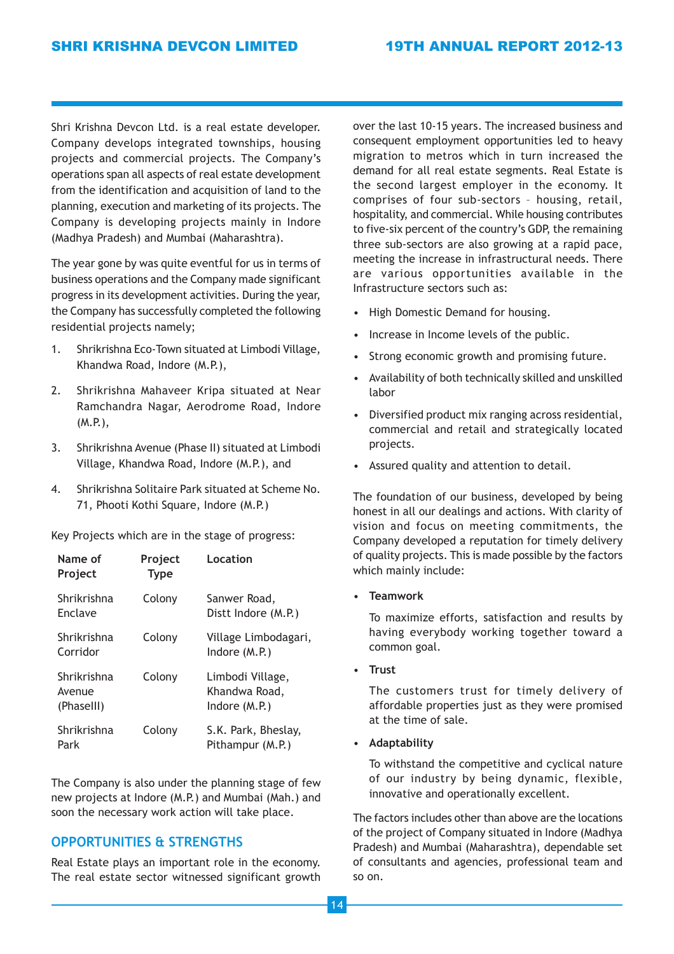Shri Krishna Devcon Ltd. is a real estate developer. Company develops integrated townships, housing projects and commercial projects. The Company's operations span all aspects of real estate development from the identification and acquisition of land to the planning, execution and marketing of its projects. The Company is developing projects mainly in Indore (Madhya Pradesh) and Mumbai (Maharashtra).

The year gone by was quite eventful for us in terms of business operations and the Company made significant progress in its development activities. During the year, the Company has successfully completed the following residential projects namely;

- 1. Shrikrishna Eco-Town situated at Limbodi Village, Khandwa Road, Indore (M.P.),
- 2. Shrikrishna Mahaveer Kripa situated at Near Ramchandra Nagar, Aerodrome Road, Indore (M.P.),
- 3. Shrikrishna Avenue (Phase II) situated at Limbodi Village, Khandwa Road, Indore (M.P.), and
- 4. Shrikrishna Solitaire Park situated at Scheme No. 71, Phooti Kothi Square, Indore (M.P.)

Key Projects which are in the stage of progress:

| Name of<br>Project                  | Project<br><b>Type</b> | Location                                           |
|-------------------------------------|------------------------|----------------------------------------------------|
| Shrikrishna<br>Enclave              | Colony                 | Sanwer Road,<br>Distt Indore (M.P.)                |
| Shrikrishna<br>Corridor             | Colony                 | Village Limbodagari,<br>Indore (M.P.)              |
| Shrikrishna<br>Avenue<br>(PhaseIII) | Colony                 | Limbodi Village,<br>Khandwa Road,<br>Indore (M.P.) |
| Shrikrishna<br>Park                 | Colony                 | S.K. Park, Bheslay,<br>Pithampur (M.P.)            |

The Company is also under the planning stage of few new projects at Indore (M.P.) and Mumbai (Mah.) and soon the necessary work action will take place.

## **OPPORTUNITIES & STRENGTHS**

Real Estate plays an important role in the economy. The real estate sector witnessed significant growth over the last 10-15 years. The increased business and consequent employment opportunities led to heavy migration to metros which in turn increased the demand for all real estate segments. Real Estate is the second largest employer in the economy. It comprises of four sub-sectors – housing, retail, hospitality, and commercial. While housing contributes to five-six percent of the country's GDP, the remaining three sub-sectors are also growing at a rapid pace, meeting the increase in infrastructural needs. There are various opportunities available in the Infrastructure sectors such as:

- High Domestic Demand for housing.
- Increase in Income levels of the public.
- Strong economic growth and promising future.
- Availability of both technically skilled and unskilled labor
- Diversified product mix ranging across residential, commercial and retail and strategically located projects.
- Assured quality and attention to detail.

The foundation of our business, developed by being honest in all our dealings and actions. With clarity of vision and focus on meeting commitments, the Company developed a reputation for timely delivery of quality projects. This is made possible by the factors which mainly include:

• **Teamwork**

To maximize efforts, satisfaction and results by having everybody working together toward a common goal.

• **Trust**

The customers trust for timely delivery of affordable properties just as they were promised at the time of sale.

• **Adaptability**

To withstand the competitive and cyclical nature of our industry by being dynamic, flexible, innovative and operationally excellent.

The factors includes other than above are the locations of the project of Company situated in Indore (Madhya Pradesh) and Mumbai (Maharashtra), dependable set of consultants and agencies, professional team and so on.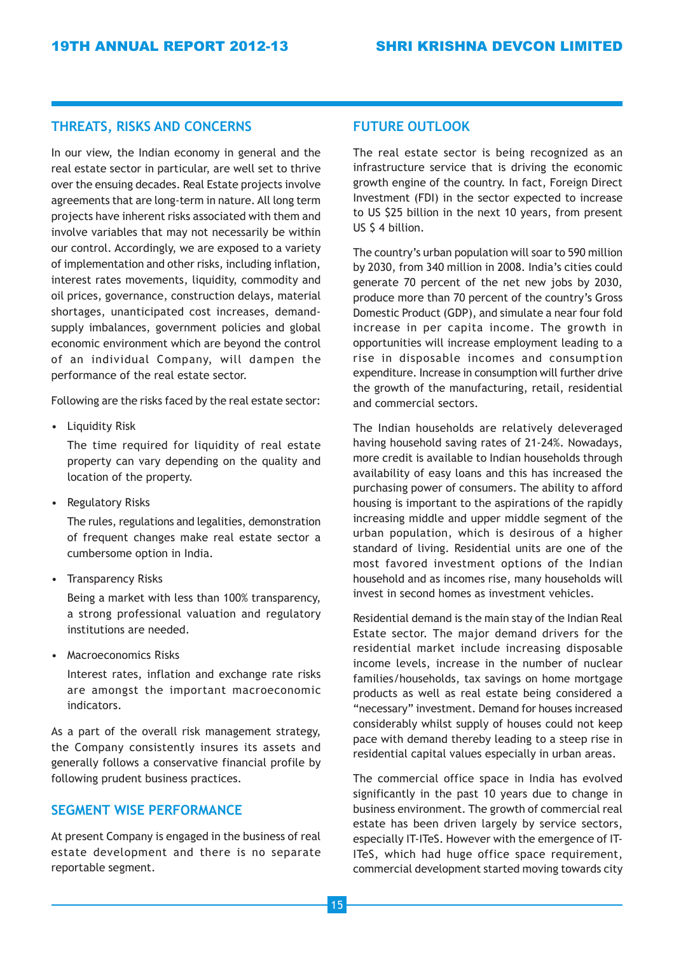#### **THREATS, RISKS AND CONCERNS**

In our view, the Indian economy in general and the real estate sector in particular, are well set to thrive over the ensuing decades. Real Estate projects involve agreements that are long-term in nature. All long term projects have inherent risks associated with them and involve variables that may not necessarily be within our control. Accordingly, we are exposed to a variety of implementation and other risks, including inflation, interest rates movements, liquidity, commodity and oil prices, governance, construction delays, material shortages, unanticipated cost increases, demandsupply imbalances, government policies and global economic environment which are beyond the control of an individual Company, will dampen the performance of the real estate sector.

Following are the risks faced by the real estate sector:

• Liquidity Risk

The time required for liquidity of real estate property can vary depending on the quality and location of the property.

• Regulatory Risks

The rules, regulations and legalities, demonstration of frequent changes make real estate sector a cumbersome option in India.

• Transparency Risks

Being a market with less than 100% transparency, a strong professional valuation and regulatory institutions are needed.

• Macroeconomics Risks

Interest rates, inflation and exchange rate risks are amongst the important macroeconomic indicators.

As a part of the overall risk management strategy, the Company consistently insures its assets and generally follows a conservative financial profile by following prudent business practices.

#### **SEGMENT WISE PERFORMANCE**

At present Company is engaged in the business of real estate development and there is no separate reportable segment.

#### **FUTURE OUTLOOK**

The real estate sector is being recognized as an infrastructure service that is driving the economic growth engine of the country. In fact, Foreign Direct Investment (FDI) in the sector expected to increase to US \$25 billion in the next 10 years, from present US \$ 4 billion.

The country's urban population will soar to 590 million by 2030, from 340 million in 2008. India's cities could generate 70 percent of the net new jobs by 2030, produce more than 70 percent of the country's Gross Domestic Product (GDP), and simulate a near four fold increase in per capita income. The growth in opportunities will increase employment leading to a rise in disposable incomes and consumption expenditure. Increase in consumption will further drive the growth of the manufacturing, retail, residential and commercial sectors.

The Indian households are relatively deleveraged having household saving rates of 21-24%. Nowadays, more credit is available to Indian households through availability of easy loans and this has increased the purchasing power of consumers. The ability to afford housing is important to the aspirations of the rapidly increasing middle and upper middle segment of the urban population, which is desirous of a higher standard of living. Residential units are one of the most favored investment options of the Indian household and as incomes rise, many households will invest in second homes as investment vehicles.

Residential demand is the main stay of the Indian Real Estate sector. The major demand drivers for the residential market include increasing disposable income levels, increase in the number of nuclear families/households, tax savings on home mortgage products as well as real estate being considered a "necessary" investment. Demand for houses increased considerably whilst supply of houses could not keep pace with demand thereby leading to a steep rise in residential capital values especially in urban areas.

The commercial office space in India has evolved significantly in the past 10 years due to change in business environment. The growth of commercial real estate has been driven largely by service sectors, especially IT-ITeS. However with the emergence of IT-ITeS, which had huge office space requirement, commercial development started moving towards city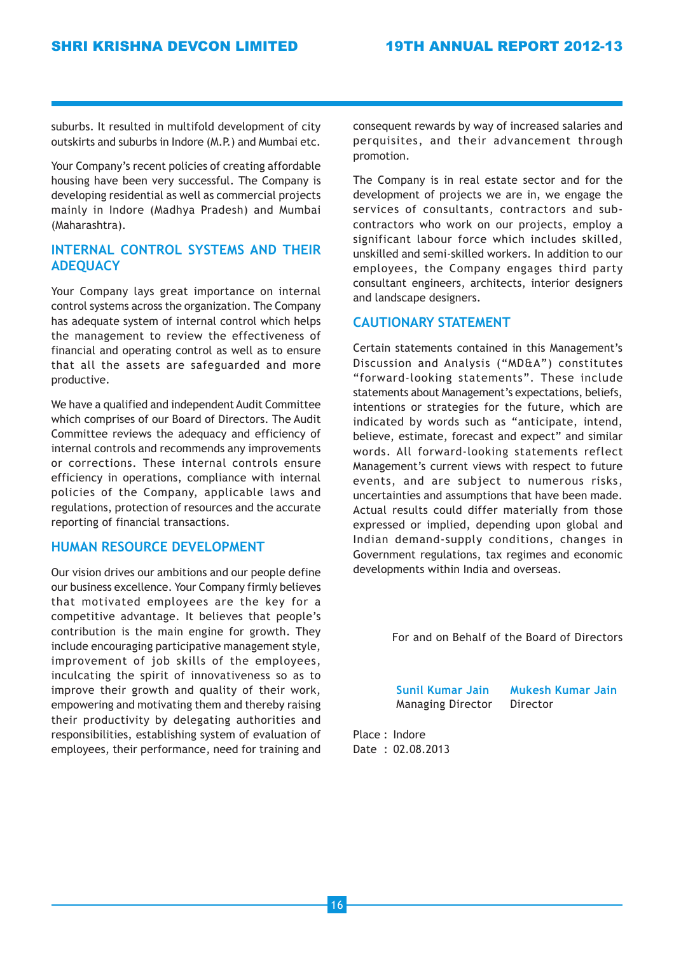suburbs. It resulted in multifold development of city outskirts and suburbs in Indore (M.P.) and Mumbai etc.

Your Company's recent policies of creating affordable housing have been very successful. The Company is developing residential as well as commercial projects mainly in Indore (Madhya Pradesh) and Mumbai (Maharashtra).

### **INTERNAL CONTROL SYSTEMS AND THEIR ADEQUACY**

Your Company lays great importance on internal control systems across the organization. The Company has adequate system of internal control which helps the management to review the effectiveness of financial and operating control as well as to ensure that all the assets are safeguarded and more productive.

We have a qualified and independent Audit Committee which comprises of our Board of Directors. The Audit Committee reviews the adequacy and efficiency of internal controls and recommends any improvements or corrections. These internal controls ensure efficiency in operations, compliance with internal policies of the Company, applicable laws and regulations, protection of resources and the accurate reporting of financial transactions.

#### **HUMAN RESOURCE DEVELOPMENT**

Our vision drives our ambitions and our people define our business excellence. Your Company firmly believes that motivated employees are the key for a competitive advantage. It believes that people's contribution is the main engine for growth. They include encouraging participative management style, improvement of job skills of the employees, inculcating the spirit of innovativeness so as to improve their growth and quality of their work, empowering and motivating them and thereby raising their productivity by delegating authorities and responsibilities, establishing system of evaluation of employees, their performance, need for training and consequent rewards by way of increased salaries and perquisites, and their advancement through promotion.

The Company is in real estate sector and for the development of projects we are in, we engage the services of consultants, contractors and subcontractors who work on our projects, employ a significant labour force which includes skilled, unskilled and semi-skilled workers. In addition to our employees, the Company engages third party consultant engineers, architects, interior designers and landscape designers.

#### **CAUTIONARY STATEMENT**

Certain statements contained in this Management's Discussion and Analysis ("MD&A") constitutes "forward-looking statements". These include statements about Management's expectations, beliefs, intentions or strategies for the future, which are indicated by words such as "anticipate, intend, believe, estimate, forecast and expect" and similar words. All forward-looking statements reflect Management's current views with respect to future events, and are subject to numerous risks, uncertainties and assumptions that have been made. Actual results could differ materially from those expressed or implied, depending upon global and Indian demand-supply conditions, changes in Government regulations, tax regimes and economic developments within India and overseas.

For and on Behalf of the Board of Directors

Managing Director Director

**Sunil Kumar Jain Mukesh Kumar Jain**

Place : Indore Date : 02.08.2013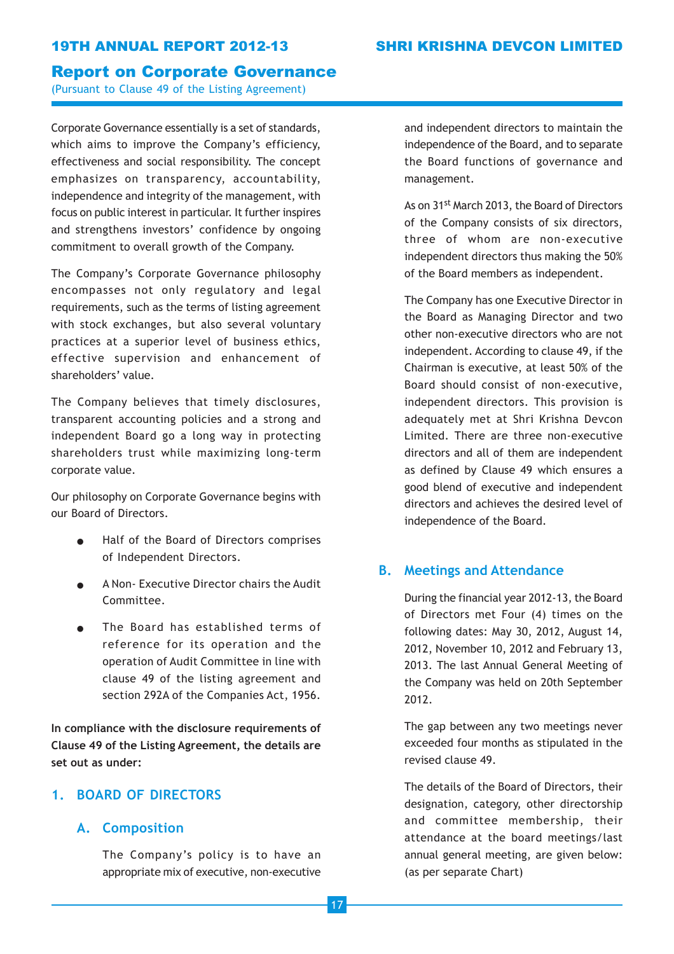#### 19TH ANNUAL REPORT 2012-13 SHRI KRISHNA DEVCON LIMITED

Report on Corporate Governance (Pursuant to Clause 49 of the Listing Agreement)

Corporate Governance essentially is a set of standards, which aims to improve the Company's efficiency, effectiveness and social responsibility. The concept emphasizes on transparency, accountability, independence and integrity of the management, with focus on public interest in particular. It further inspires and strengthens investors' confidence by ongoing commitment to overall growth of the Company.

The Company's Corporate Governance philosophy encompasses not only regulatory and legal requirements, such as the terms of listing agreement with stock exchanges, but also several voluntary practices at a superior level of business ethics, effective supervision and enhancement of shareholders' value.

The Company believes that timely disclosures, transparent accounting policies and a strong and independent Board go a long way in protecting shareholders trust while maximizing long-term corporate value.

Our philosophy on Corporate Governance begins with our Board of Directors.

- Half of the Board of Directors comprises of Independent Directors.
- A Non- Executive Director chairs the Audit Committee.
- The Board has established terms of reference for its operation and the operation of Audit Committee in line with clause 49 of the listing agreement and section 292A of the Companies Act, 1956.

**In compliance with the disclosure requirements of Clause 49 of the Listing Agreement, the details are set out as under:**

#### **1. BOARD OF DIRECTORS**

#### **A. Composition**

The Company's policy is to have an appropriate mix of executive, non-executive

and independent directors to maintain the independence of the Board, and to separate the Board functions of governance and management.

As on 31<sup>st</sup> March 2013, the Board of Directors of the Company consists of six directors, three of whom are non-executive independent directors thus making the 50% of the Board members as independent.

The Company has one Executive Director in the Board as Managing Director and two other non-executive directors who are not independent. According to clause 49, if the Chairman is executive, at least 50% of the Board should consist of non-executive, independent directors. This provision is adequately met at Shri Krishna Devcon Limited. There are three non-executive directors and all of them are independent as defined by Clause 49 which ensures a good blend of executive and independent directors and achieves the desired level of independence of the Board.

#### **B. Meetings and Attendance**

During the financial year 2012-13, the Board of Directors met Four (4) times on the following dates: May 30, 2012, August 14, 2012, November 10, 2012 and February 13, 2013. The last Annual General Meeting of the Company was held on 20th September 2012.

The gap between any two meetings never exceeded four months as stipulated in the revised clause 49.

The details of the Board of Directors, their designation, category, other directorship and committee membership, their attendance at the board meetings/last annual general meeting, are given below: (as per separate Chart)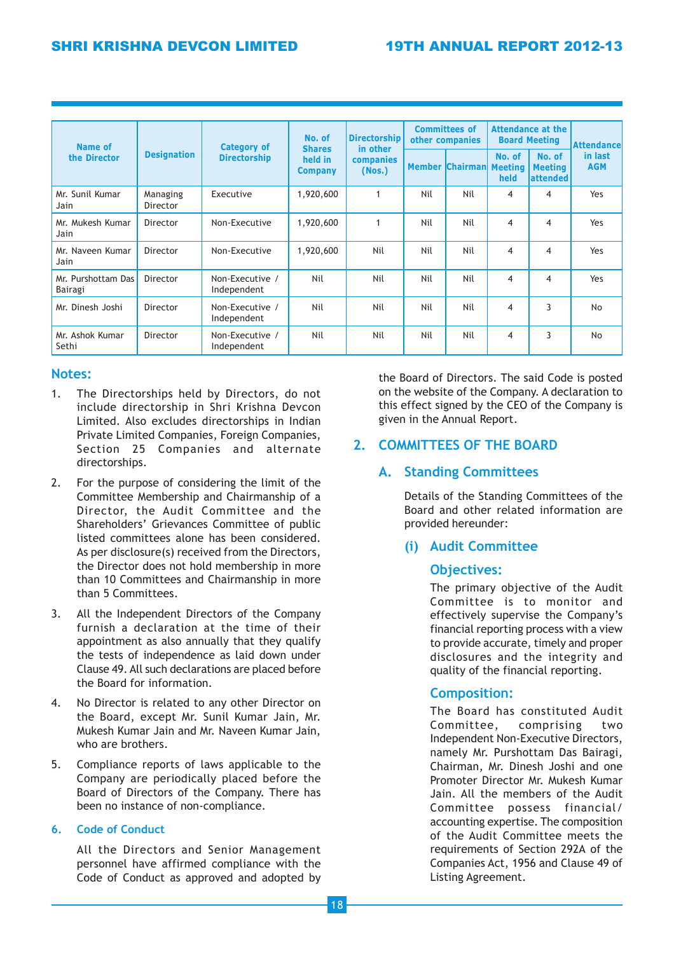| Name of<br>the Director       |                      | <b>Category of</b>             | No. of<br><b>Shares</b>   | <b>Directorship</b><br>in other |     | <b>Committees of</b><br>other companies |                     | Attendance at the<br><b>Board Meeting</b> | <b>Attendancel</b>             |                |                                       |
|-------------------------------|----------------------|--------------------------------|---------------------------|---------------------------------|-----|-----------------------------------------|---------------------|-------------------------------------------|--------------------------------|----------------|---------------------------------------|
|                               | <b>Designation</b>   | <b>Directorship</b>            | held in<br><b>Company</b> |                                 |     |                                         | companies<br>(Nos.) |                                           | <b>Member Chairman Meeting</b> | No. of<br>held | No. of<br><b>Meeting</b><br> attended |
| Mr. Sunil Kumar<br>Jain       | Managing<br>Director | Executive                      | 1,920,600                 | 1                               | Nil | Nil                                     | 4                   | 4                                         | Yes                            |                |                                       |
| Mr. Mukesh Kumar<br>Jain      | <b>Director</b>      | Non-Executive                  | 1,920,600                 | 1                               | Nil | Nil                                     | 4                   | 4                                         | Yes                            |                |                                       |
| Mr. Naveen Kumar<br>Jain      | Director             | Non-Executive                  | 1,920,600                 | Nil                             | Nil | Nil                                     | 4                   | 4                                         | Yes                            |                |                                       |
| Mr. Purshottam Das<br>Bairagi | Director             | Non-Executive /<br>Independent | Nil                       | Nil                             | Nil | Nil                                     | 4                   | 4                                         | Yes                            |                |                                       |
| Mr. Dinesh Joshi              | Director             | Non-Executive /<br>Independent | Nil                       | Nil                             | Nil | Nil                                     | 4                   | 3                                         | No                             |                |                                       |
| Mr. Ashok Kumar<br>Sethi      | Director             | Non-Executive /<br>Independent | Nil                       | Nil                             | Nil | Nil                                     | 4                   | 3                                         | <b>No</b>                      |                |                                       |

#### **Notes:**

- 1. The Directorships held by Directors, do not include directorship in Shri Krishna Devcon Limited. Also excludes directorships in Indian Private Limited Companies, Foreign Companies, Section 25 Companies and alternate directorships.
- 2. For the purpose of considering the limit of the Committee Membership and Chairmanship of a Director, the Audit Committee and the Shareholders' Grievances Committee of public listed committees alone has been considered. As per disclosure(s) received from the Directors, the Director does not hold membership in more than 10 Committees and Chairmanship in more than 5 Committees.
- 3. All the Independent Directors of the Company furnish a declaration at the time of their appointment as also annually that they qualify the tests of independence as laid down under Clause 49. All such declarations are placed before the Board for information.
- 4. No Director is related to any other Director on the Board, except Mr. Sunil Kumar Jain, Mr. Mukesh Kumar Jain and Mr. Naveen Kumar Jain, who are brothers.
- 5. Compliance reports of laws applicable to the Company are periodically placed before the Board of Directors of the Company. There has been no instance of non-compliance.

#### **6. Code of Conduct**

All the Directors and Senior Management personnel have affirmed compliance with the Code of Conduct as approved and adopted by the Board of Directors. The said Code is posted on the website of the Company. A declaration to this effect signed by the CEO of the Company is given in the Annual Report.

## **2. COMMITTEES OF THE BOARD**

## **A. Standing Committees**

Details of the Standing Committees of the Board and other related information are provided hereunder:

#### **(i) Audit Committee**

#### **Objectives:**

The primary objective of the Audit Committee is to monitor and effectively supervise the Company's financial reporting process with a view to provide accurate, timely and proper disclosures and the integrity and quality of the financial reporting.

#### **Composition:**

The Board has constituted Audit Committee, comprising two Independent Non-Executive Directors, namely Mr. Purshottam Das Bairagi, Chairman, Mr. Dinesh Joshi and one Promoter Director Mr. Mukesh Kumar Jain. All the members of the Audit Committee possess financial/ accounting expertise. The composition of the Audit Committee meets the requirements of Section 292A of the Companies Act, 1956 and Clause 49 of Listing Agreement.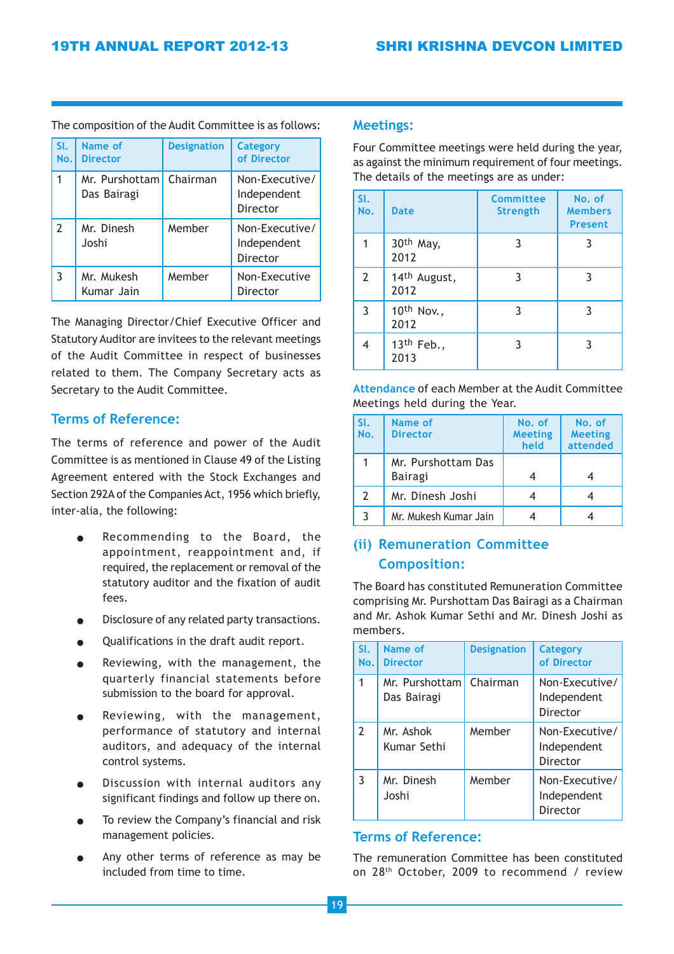| SI.<br>No.    | Name of<br><b>Director</b>    | <b>Designation</b> | <b>Category</b><br>of Director            |
|---------------|-------------------------------|--------------------|-------------------------------------------|
| 1             | Mr. Purshottam<br>Das Bairagi | Chairman           | Non-Executive/<br>Independent<br>Director |
| $\mathcal{P}$ | Mr. Dinesh<br>Joshi           | Member             | Non-Executive/<br>Independent<br>Director |
| 3             | Mr. Mukesh<br>Kumar Jain      | Member             | Non-Executive<br>Director                 |

#### The composition of the Audit Committee is as follows:

The Managing Director/Chief Executive Officer and Statutory Auditor are invitees to the relevant meetings of the Audit Committee in respect of businesses related to them. The Company Secretary acts as Secretary to the Audit Committee.

## **Terms of Reference:**

The terms of reference and power of the Audit Committee is as mentioned in Clause 49 of the Listing Agreement entered with the Stock Exchanges and Section 292A of the Companies Act, 1956 which briefly, inter-alia, the following:

- Recommending to the Board, the appointment, reappointment and, if required, the replacement or removal of the statutory auditor and the fixation of audit fees.
- Disclosure of any related party transactions.
- Qualifications in the draft audit report.
- Reviewing, with the management, the quarterly financial statements before submission to the board for approval.
- Reviewing, with the management, performance of statutory and internal auditors, and adequacy of the internal control systems.
- Discussion with internal auditors any significant findings and follow up there on.
- To review the Company's financial and risk management policies.
- Any other terms of reference as may be included from time to time.

#### **Meetings:**

Four Committee meetings were held during the year, as against the minimum requirement of four meetings. The details of the meetings are as under:

| SI.<br>No. | <b>Date</b>                      | <b>Committee</b><br><b>Strength</b> | No. of<br><b>Members</b><br><b>Present</b> |
|------------|----------------------------------|-------------------------------------|--------------------------------------------|
|            | 30th May,<br>2012                |                                     |                                            |
| 2          | 14 <sup>th</sup> August,<br>2012 | 3                                   | 3                                          |
| 3          | 10th Nov.,<br>2012               |                                     |                                            |
| 4          | $13th$ Feb.,<br>2013             |                                     |                                            |

**Attendance** of each Member at the Audit Committee Meetings held during the Year.

| SI.<br>No.    | Name of<br><b>Director</b>           | No. of<br><b>Meeting</b><br>held | No. of<br><b>Meeting</b><br>attended |
|---------------|--------------------------------------|----------------------------------|--------------------------------------|
|               | Mr. Purshottam Das<br><b>Bairagi</b> |                                  |                                      |
| $\mathcal{P}$ | Mr. Dinesh Joshi                     |                                  |                                      |
|               | Mr. Mukesh Kumar Jain                |                                  |                                      |

## **(ii) Remuneration Committee Composition:**

The Board has constituted Remuneration Committee comprising Mr. Purshottam Das Bairagi as a Chairman and Mr. Ashok Kumar Sethi and Mr. Dinesh Joshi as members.

| SI.<br>No.    | Name of<br><b>Director</b>    | <b>Designation</b> | <b>Category</b><br>of Director            |
|---------------|-------------------------------|--------------------|-------------------------------------------|
| 1             | Mr. Purshottam<br>Das Bairagi | Chairman           | Non-Executive/<br>Independent<br>Director |
| $\mathcal{P}$ | Mr. Ashok<br>Kumar Sethi      | Member             | Non-Executive/<br>Independent<br>Director |
| 3             | Mr. Dinesh<br>Joshi           | Member             | Non-Executive/<br>Independent<br>Director |

#### **Terms of Reference:**

The remuneration Committee has been constituted on 28th October, 2009 to recommend / review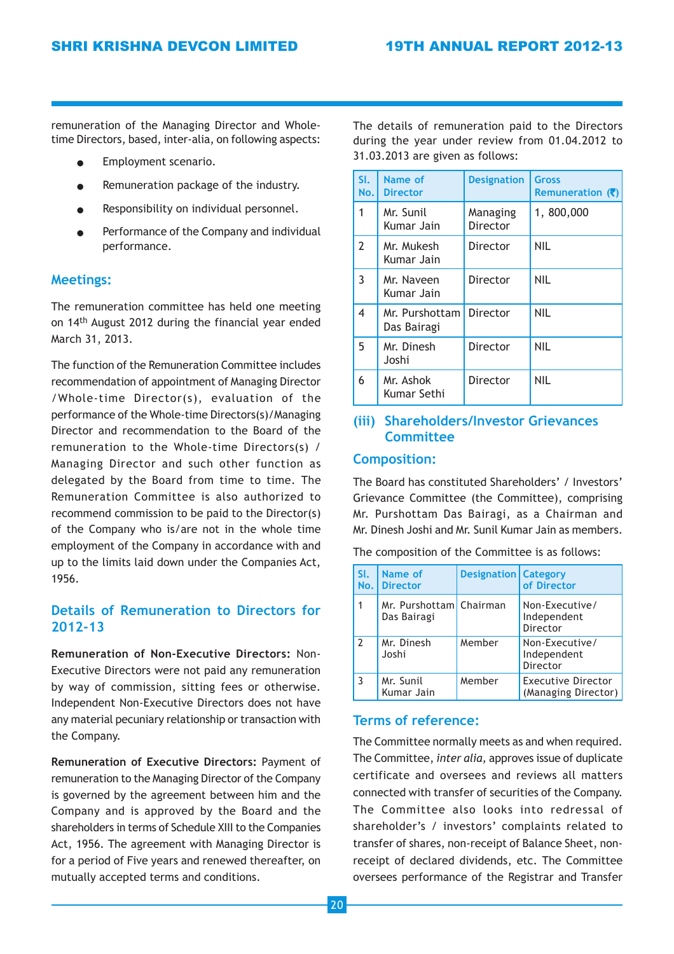remuneration of the Managing Director and Wholetime Directors, based, inter-alia, on following aspects:

- Employment scenario.
- Remuneration package of the industry.
- Responsibility on individual personnel.
- Performance of the Company and individual performance.

#### **Meetings:**

The remuneration committee has held one meeting on 14th August 2012 during the financial year ended March 31, 2013.

The function of the Remuneration Committee includes recommendation of appointment of Managing Director /Whole-time Director(s), evaluation of the performance of the Whole-time Directors(s)/Managing Director and recommendation to the Board of the remuneration to the Whole-time Directors(s) / Managing Director and such other function as delegated by the Board from time to time. The Remuneration Committee is also authorized to recommend commission to be paid to the Director(s) of the Company who is/are not in the whole time employment of the Company in accordance with and up to the limits laid down under the Companies Act, 1956.

### **Details of Remuneration to Directors for 2012-13**

**Remuneration of Non-Executive Directors:** Non-Executive Directors were not paid any remuneration by way of commission, sitting fees or otherwise. Independent Non-Executive Directors does not have any material pecuniary relationship or transaction with the Company.

**Remuneration of Executive Directors:** Payment of remuneration to the Managing Director of the Company is governed by the agreement between him and the Company and is approved by the Board and the shareholders in terms of Schedule XIII to the Companies Act, 1956. The agreement with Managing Director is for a period of Five years and renewed thereafter, on mutually accepted terms and conditions.

The details of remuneration paid to the Directors during the year under review from 01.04.2012 to 31.03.2013 are given as follows:

| SI.<br>No.l    | Name of<br><b>Director</b>    | <b>Designation</b>   | <b>Gross</b><br>Remuneration (र) |
|----------------|-------------------------------|----------------------|----------------------------------|
| 1              | Mr. Sunil<br>Kumar Jain       | Managing<br>Director | 1,800,000                        |
| $\overline{2}$ | Mr. Mukesh<br>Kumar Jain      | Director             | <b>NIL</b>                       |
| 3              | Mr. Naveen<br>Kumar Jain      | Director             | <b>NIL</b>                       |
| 4              | Mr. Purshottam<br>Das Bairagi | Director             | <b>NIL</b>                       |
| 5              | Mr. Dinesh<br>Joshi           | Director             | <b>NIL</b>                       |
| 6              | Mr. Ashok<br>Kumar Sethi      | Director             | <b>NIL</b>                       |

## **(iii) Shareholders/Investor Grievances Committee**

#### **Composition:**

The Board has constituted Shareholders' / Investors' Grievance Committee (the Committee), comprising Mr. Purshottam Das Bairagi, as a Chairman and Mr. Dinesh Joshi and Mr. Sunil Kumar Jain as members.

The composition of the Committee is as follows:

| SI.           | Name of<br>No.   Director              | <b>Designation   Category</b> | of Director                                      |
|---------------|----------------------------------------|-------------------------------|--------------------------------------------------|
|               | Mr. Purshottam Chairman<br>Das Bairagi |                               | Non-Executive/<br>Independent<br>Director        |
| $\mathcal{P}$ | Mr. Dinesh<br>Joshi                    | Member                        | Non-Executive/<br>Independent<br>Director        |
| ς             | Mr. Sunil<br>Kumar Jain                | Member                        | <b>Executive Director</b><br>(Managing Director) |

#### **Terms of reference:**

The Committee normally meets as and when required. The Committee, *inter alia,* approves issue of duplicate certificate and oversees and reviews all matters connected with transfer of securities of the Company. The Committee also looks into redressal of shareholder's / investors' complaints related to transfer of shares, non-receipt of Balance Sheet, nonreceipt of declared dividends, etc. The Committee oversees performance of the Registrar and Transfer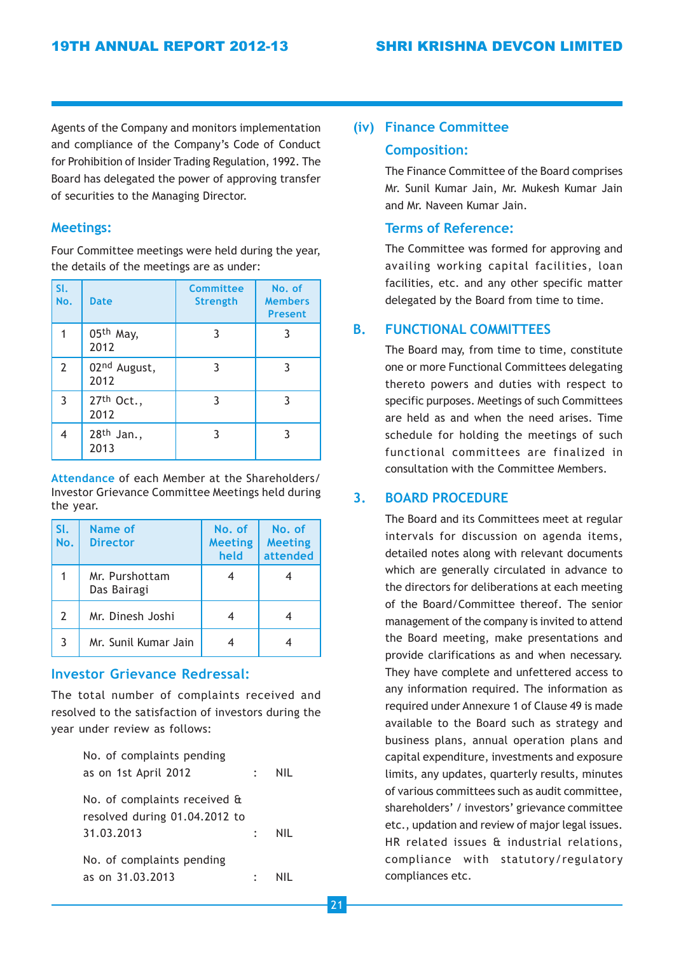Agents of the Company and monitors implementation and compliance of the Company's Code of Conduct for Prohibition of Insider Trading Regulation, 1992. The Board has delegated the power of approving transfer of securities to the Managing Director.

#### **Meetings:**

Four Committee meetings were held during the year, the details of the meetings are as under:

| SI.<br>No. | <b>Date</b>                      | <b>Committee</b><br><b>Strength</b> | No. of<br><b>Members</b><br><b>Present</b> |
|------------|----------------------------------|-------------------------------------|--------------------------------------------|
|            | 05th May,<br>2012                |                                     | 3                                          |
| 2          | 02 <sup>nd</sup> August,<br>2012 |                                     |                                            |
| 3          | 27th Oct.,<br>2012               | ٦                                   | 3                                          |
|            | $28th$ Jan.,<br>2013             |                                     |                                            |

**Attendance** of each Member at the Shareholders/ Investor Grievance Committee Meetings held during the year.

| SI.<br>No.     | Name of<br><b>Director</b>    | No. of<br><b>Meeting</b><br>held | No. of<br><b>Meeting</b><br>attended |
|----------------|-------------------------------|----------------------------------|--------------------------------------|
|                | Mr. Purshottam<br>Das Bairagi |                                  |                                      |
| $\overline{2}$ | Mr. Dinesh Joshi              |                                  |                                      |
|                | Mr. Sunil Kumar Jain          |                                  |                                      |

#### **Investor Grievance Redressal:**

The total number of complaints received and resolved to the satisfaction of investors during the year under review as follows:

| No. of complaints pending<br>as on 1st April 2012 | <b>NIL</b> |
|---------------------------------------------------|------------|
|                                                   |            |
| No. of complaints received &                      |            |
| resolved during 01.04.2012 to<br>31.03.2013       | NIL        |
|                                                   |            |
| No. of complaints pending                         |            |
| as on 31.03.2013                                  | NII        |

## **(iv) Finance Committee**

#### **Composition:**

The Finance Committee of the Board comprises Mr. Sunil Kumar Jain, Mr. Mukesh Kumar Jain and Mr. Naveen Kumar Jain.

### **Terms of Reference:**

The Committee was formed for approving and availing working capital facilities, loan facilities, etc. and any other specific matter delegated by the Board from time to time.

#### **B. FUNCTIONAL COMMITTEES**

The Board may, from time to time, constitute one or more Functional Committees delegating thereto powers and duties with respect to specific purposes. Meetings of such Committees are held as and when the need arises. Time schedule for holding the meetings of such functional committees are finalized in consultation with the Committee Members.

### **3. BOARD PROCEDURE**

The Board and its Committees meet at regular intervals for discussion on agenda items, detailed notes along with relevant documents which are generally circulated in advance to the directors for deliberations at each meeting of the Board/Committee thereof. The senior management of the company is invited to attend the Board meeting, make presentations and provide clarifications as and when necessary. They have complete and unfettered access to any information required. The information as required under Annexure 1 of Clause 49 is made available to the Board such as strategy and business plans, annual operation plans and capital expenditure, investments and exposure limits, any updates, quarterly results, minutes of various committees such as audit committee, shareholders' / investors' grievance committee etc., updation and review of major legal issues. HR related issues & industrial relations, compliance with statutory/regulatory compliances etc.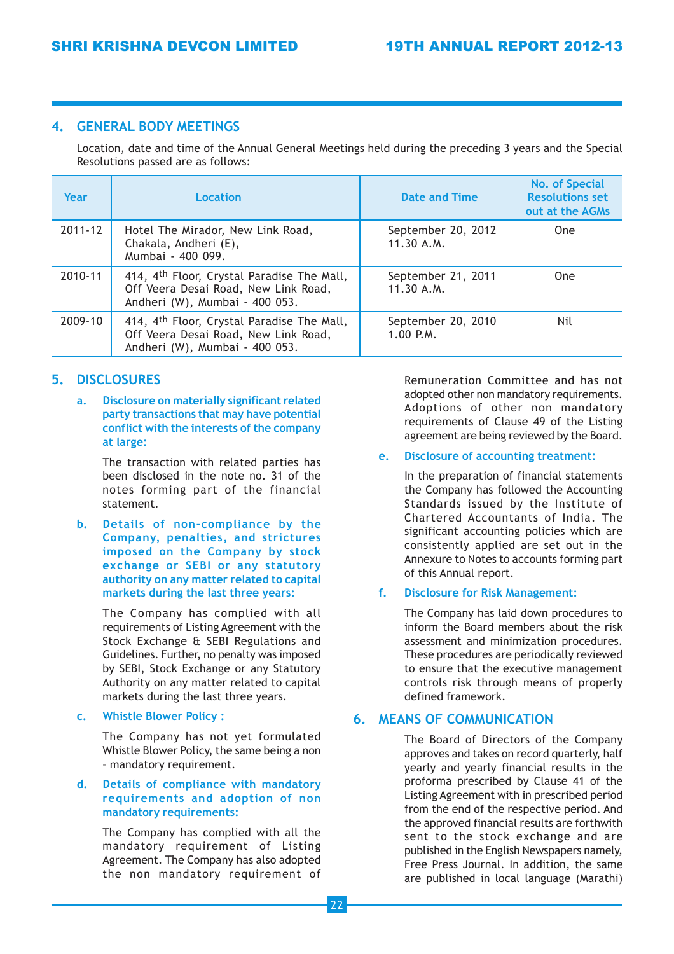#### **4. GENERAL BODY MEETINGS**

Location, date and time of the Annual General Meetings held during the preceding 3 years and the Special Resolutions passed are as follows:

| Year        | Location                                                                                                             | <b>Date and Time</b>             | <b>No. of Special</b><br><b>Resolutions set</b><br>out at the AGMs |
|-------------|----------------------------------------------------------------------------------------------------------------------|----------------------------------|--------------------------------------------------------------------|
| $2011 - 12$ | Hotel The Mirador, New Link Road,<br>Chakala, Andheri (E),<br>Mumbai - 400 099.                                      | September 20, 2012<br>11.30 A.M. | <b>One</b>                                                         |
| 2010-11     | 414, 4th Floor, Crystal Paradise The Mall,<br>Off Veera Desai Road, New Link Road,<br>Andheri (W), Mumbai - 400 053. | September 21, 2011<br>11.30 A.M. | <b>One</b>                                                         |
| 2009-10     | 414, 4th Floor, Crystal Paradise The Mall,<br>Off Veera Desai Road, New Link Road,<br>Andheri (W), Mumbai - 400 053. | September 20, 2010<br>1.00 P.M.  | Nil                                                                |

### **5. DISCLOSURES**

**a. Disclosure on materially significant related party transactions that may have potential conflict with the interests of the company at large:**

> The transaction with related parties has been disclosed in the note no. 31 of the notes forming part of the financial statement.

**b. Details of non-compliance by the Company, penalties, and strictures imposed on the Company by stock exchange or SEBI or any statutory authority on any matter related to capital markets during the last three years:**

> The Company has complied with all requirements of Listing Agreement with the Stock Exchange & SEBI Regulations and Guidelines. Further, no penalty was imposed by SEBI, Stock Exchange or any Statutory Authority on any matter related to capital markets during the last three years.

#### **c. Whistle Blower Policy :**

The Company has not yet formulated Whistle Blower Policy, the same being a non – mandatory requirement.

**d. Details of compliance with mandatory requirements and adoption of non mandatory requirements:**

> The Company has complied with all the mandatory requirement of Listing Agreement. The Company has also adopted the non mandatory requirement of

Remuneration Committee and has not adopted other non mandatory requirements. Adoptions of other non mandatory requirements of Clause 49 of the Listing agreement are being reviewed by the Board.

#### **e. Disclosure of accounting treatment:**

In the preparation of financial statements the Company has followed the Accounting Standards issued by the Institute of Chartered Accountants of India. The significant accounting policies which are consistently applied are set out in the Annexure to Notes to accounts forming part of this Annual report.

#### **f. Disclosure for Risk Management:**

The Company has laid down procedures to inform the Board members about the risk assessment and minimization procedures. These procedures are periodically reviewed to ensure that the executive management controls risk through means of properly defined framework.

#### **6. MEANS OF COMMUNICATION**

The Board of Directors of the Company approves and takes on record quarterly, half yearly and yearly financial results in the proforma prescribed by Clause 41 of the Listing Agreement with in prescribed period from the end of the respective period. And the approved financial results are forthwith sent to the stock exchange and are published in the English Newspapers namely, Free Press Journal. In addition, the same are published in local language (Marathi)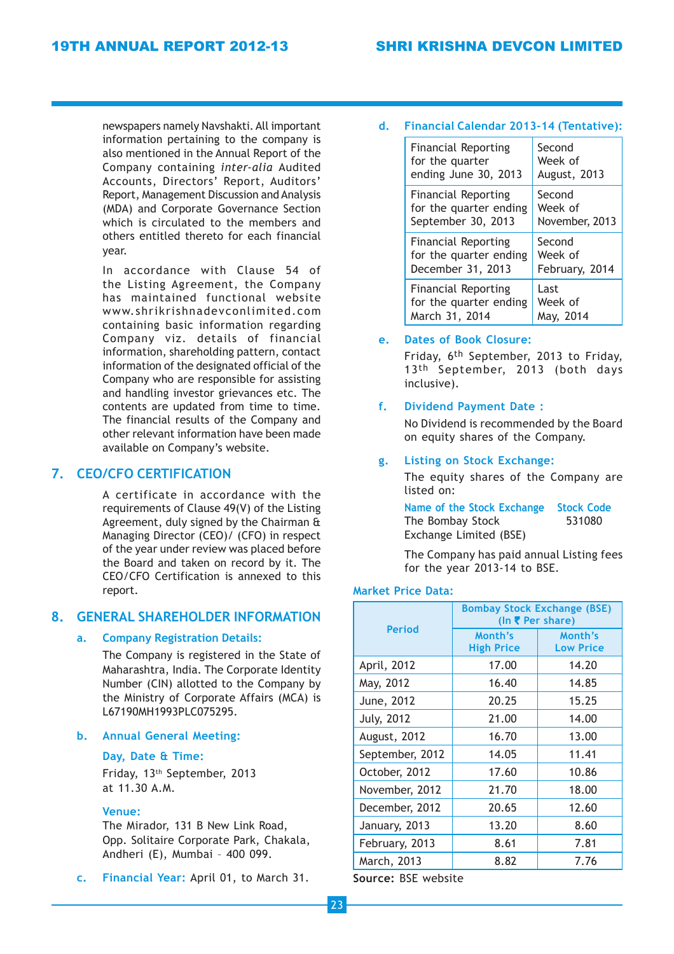newspapers namely Navshakti. All important information pertaining to the company is also mentioned in the Annual Report of the Company containing *inter-alia* Audited Accounts, Directors' Report, Auditors' Report, Management Discussion and Analysis (MDA) and Corporate Governance Section which is circulated to the members and others entitled thereto for each financial year.

In accordance with Clause 54 of the Listing Agreement, the Company has maintained functional website www.shrikrishnadevconlimited.com containing basic information regarding Company viz. details of financial information, shareholding pattern, contact information of the designated official of the Company who are responsible for assisting and handling investor grievances etc. The contents are updated from time to time. The financial results of the Company and other relevant information have been made available on Company's website.

#### **7. CEO/CFO CERTIFICATION**

A certificate in accordance with the requirements of Clause 49(V) of the Listing Agreement, duly signed by the Chairman & Managing Director (CEO)/ (CFO) in respect of the year under review was placed before the Board and taken on record by it. The CEO/CFO Certification is annexed to this report.

### **8. GENERAL SHAREHOLDER INFORMATION**

#### **a. Company Registration Details:**

The Company is registered in the State of Maharashtra, India. The Corporate Identity Number (CIN) allotted to the Company by the Ministry of Corporate Affairs (MCA) is L67190MH1993PLC075295.

#### **b. Annual General Meeting:**

#### **Day, Date & Time:**

Friday, 13th September, 2013 at 11.30 A.M.

#### **Venue:**

The Mirador, 131 B New Link Road, Opp. Solitaire Corporate Park, Chakala, Andheri (E), Mumbai – 400 099.

**c. Financial Year:** April 01, to March 31.

#### **d. Financial Calendar 2013-14 (Tentative):**

| <b>Financial Reporting</b> | Second         |
|----------------------------|----------------|
| for the quarter            | Week of        |
| ending June 30, 2013       | August, 2013   |
| <b>Financial Reporting</b> | Second         |
| for the quarter ending     | Week of        |
| September 30, 2013         | November, 2013 |
| <b>Financial Reporting</b> | Second         |
| for the quarter ending     | Week of        |
| December 31, 2013          | February, 2014 |
| <b>Financial Reporting</b> | Last           |
| for the quarter ending     | Week of        |
| March 31, 2014             | May, 2014      |

**e. Dates of Book Closure:**

Friday, 6th September, 2013 to Friday, 13th September, 2013 (both days inclusive).

#### **f. Dividend Payment Date :**

No Dividend is recommended by the Board on equity shares of the Company.

#### **g. Listing on Stock Exchange:**

The equity shares of the Company are listed on:

**Name of the Stock Exchange Stock Code** The Bombay Stock 531080 Exchange Limited (BSE)

The Company has paid annual Listing fees for the year 2013-14 to BSE.

#### **Market Price Data:**

|                   | <b>Bombay Stock Exchange (BSE)</b><br>(In ₹ Per share) |                             |  |
|-------------------|--------------------------------------------------------|-----------------------------|--|
| <b>Period</b>     | Month's<br><b>High Price</b>                           | Month's<br><b>Low Price</b> |  |
| April, 2012       | 17.00                                                  | 14.20                       |  |
| May, 2012         | 16.40                                                  | 14.85                       |  |
| June, 2012        | 20.25                                                  | 15.25                       |  |
| <b>July, 2012</b> | 21.00                                                  | 14.00                       |  |
| August, 2012      | 16.70                                                  | 13.00                       |  |
| September, 2012   | 14.05                                                  | 11.41                       |  |
| October, 2012     | 17.60                                                  | 10.86                       |  |
| November, 2012    | 21.70                                                  | 18.00                       |  |
| December, 2012    | 20.65                                                  | 12.60                       |  |
| January, 2013     | 13.20                                                  | 8.60                        |  |
| February, 2013    | 8.61                                                   | 7.81                        |  |
| March, 2013       | 8.82                                                   | 7.76                        |  |

**Source:** BSE website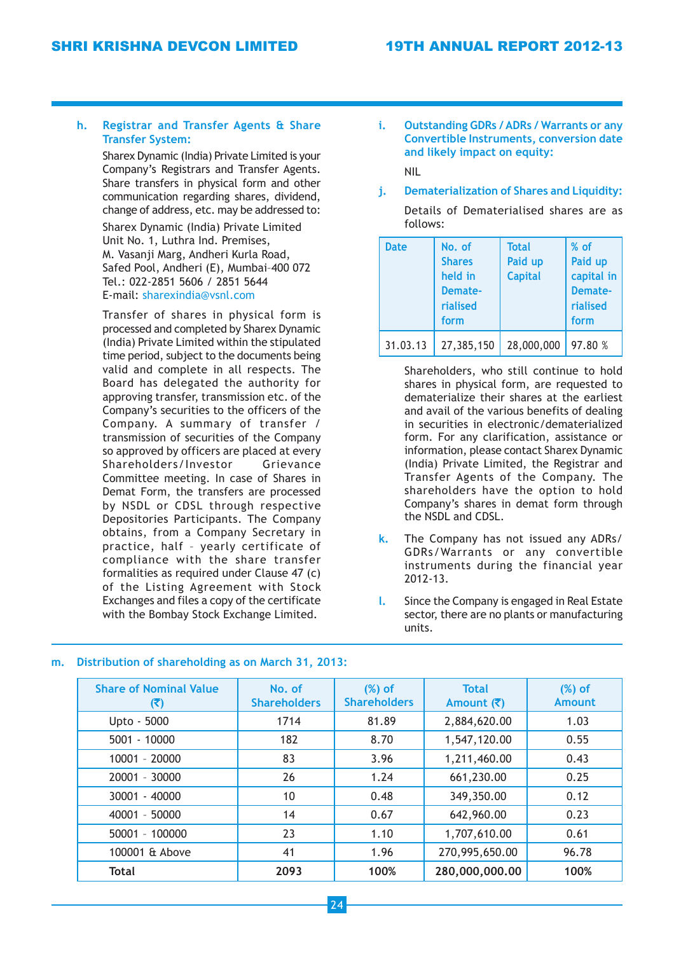#### **h. Registrar and Transfer Agents & Share Transfer System:**

Sharex Dynamic (India) Private Limited is your Company's Registrars and Transfer Agents. Share transfers in physical form and other communication regarding shares, dividend, change of address, etc. may be addressed to:

Sharex Dynamic (India) Private Limited Unit No. 1, Luthra Ind. Premises, M. Vasanji Marg, Andheri Kurla Road, Safed Pool, Andheri (E), Mumbai–400 072 Tel.: 022-2851 5606 / 2851 5644 E-mail: sharexindia@vsnl.com

Transfer of shares in physical form is processed and completed by Sharex Dynamic (India) Private Limited within the stipulated time period, subject to the documents being valid and complete in all respects. The Board has delegated the authority for approving transfer, transmission etc. of the Company's securities to the officers of the Company. A summary of transfer / transmission of securities of the Company so approved by officers are placed at every Shareholders/Investor Grievance Committee meeting. In case of Shares in Demat Form, the transfers are processed by NSDL or CDSL through respective Depositories Participants. The Company obtains, from a Company Secretary in practice, half – yearly certificate of compliance with the share transfer formalities as required under Clause 47 (c) of the Listing Agreement with Stock Exchanges and files a copy of the certificate with the Bombay Stock Exchange Limited.

**i. Outstanding GDRs / ADRs / Warrants or any Convertible Instruments, conversion date and likely impact on equity:**

NIL

**j. Dematerialization of Shares and Liquidity:**

Details of Dematerialised shares are as follows:

| <b>Date</b> | No. of<br><b>Shares</b><br>held in<br>Demate-<br>rialised<br>form | <b>Total</b><br>Paid up<br><b>Capital</b> | % of<br>Paid up<br>capital in<br><b>Demate-</b><br>rialised<br>form |
|-------------|-------------------------------------------------------------------|-------------------------------------------|---------------------------------------------------------------------|
| 31.03.13    | 27,385,150                                                        | 28,000,000                                | 97.80 %                                                             |

Shareholders, who still continue to hold shares in physical form, are requested to dematerialize their shares at the earliest and avail of the various benefits of dealing in securities in electronic/dematerialized form. For any clarification, assistance or information, please contact Sharex Dynamic (India) Private Limited, the Registrar and Transfer Agents of the Company. The shareholders have the option to hold Company's shares in demat form through the NSDL and CDSL.

- **k.** The Company has not issued any ADRs/ GDRs/Warrants or any convertible instruments during the financial year 2012-13.
- **l.** Since the Company is engaged in Real Estate sector, there are no plants or manufacturing units.

| <b>Share of Nominal Value</b><br>(₹) | No. of<br><b>Shareholders</b> | $%$ ) of<br><b>Shareholders</b> | <b>Total</b><br>Amount $(\bar{\bar{\zeta}})$ | $%$ ) of<br><b>Amount</b> |
|--------------------------------------|-------------------------------|---------------------------------|----------------------------------------------|---------------------------|
| Upto - 5000                          | 1714                          | 81.89                           | 2,884,620.00                                 | 1.03                      |
| $5001 - 10000$                       | 182                           | 8.70                            | 1,547,120.00                                 | 0.55                      |
| 10001 - 20000                        | 83                            | 3.96                            | 1,211,460.00                                 | 0.43                      |
| 20001 - 30000                        | 26                            | 1.24                            | 661,230.00                                   | 0.25                      |
| 30001 - 40000                        | 10                            | 0.48                            | 349,350.00                                   | 0.12                      |
| 40001 - 50000                        | 14                            | 0.67                            | 642,960.00                                   | 0.23                      |
| 50001 - 100000                       | 23                            | 1.10                            | 1,707,610.00                                 | 0.61                      |
| 100001 & Above                       | 41                            | 1.96                            | 270,995,650.00                               | 96.78                     |
| <b>Total</b>                         | 2093                          | 100%                            | 280,000,000.00                               | 100%                      |

#### **m. Distribution of shareholding as on March 31, 2013:**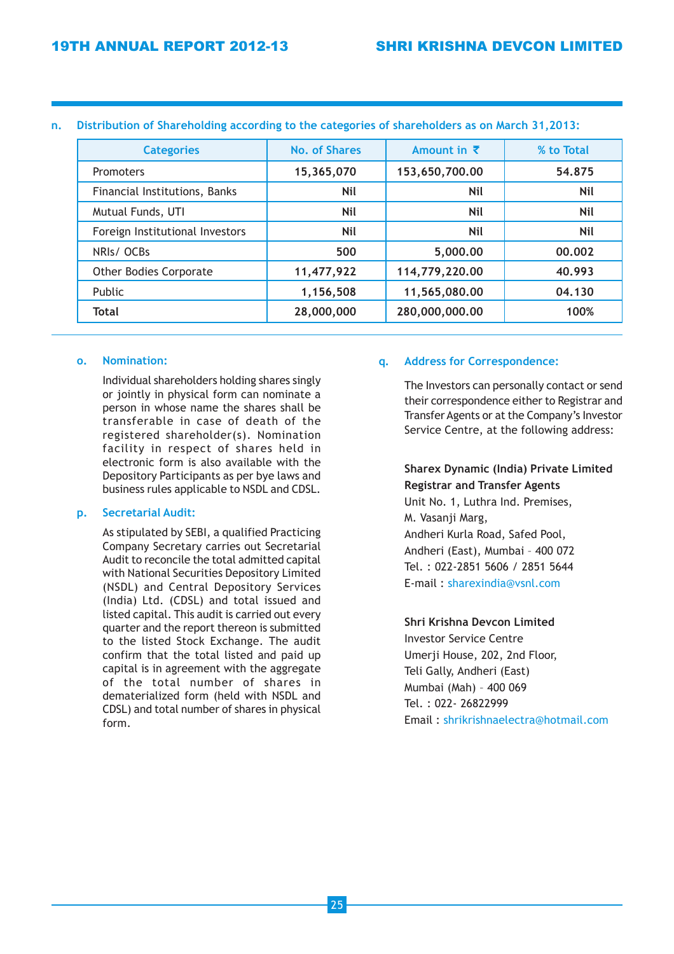| <b>Categories</b>               | <b>No. of Shares</b> | Amount in $\bar{\tau}$ | % to Total |
|---------------------------------|----------------------|------------------------|------------|
| Promoters                       | 15,365,070           | 153,650,700.00         | 54.875     |
| Financial Institutions, Banks   | <b>Nil</b>           | <b>Nil</b>             | <b>Nil</b> |
| Mutual Funds, UTI               | <b>Nil</b>           | <b>Nil</b>             | <b>Nil</b> |
| Foreign Institutional Investors | <b>Nil</b>           | <b>Nil</b>             | <b>Nil</b> |
| NRIS/OCBS                       | 500                  | 5,000.00               | 00.002     |
| <b>Other Bodies Corporate</b>   | 11,477,922           | 114,779,220.00         | 40.993     |
| <b>Public</b>                   | 1,156,508            | 11,565,080.00          | 04.130     |
| <b>Total</b>                    | 28,000,000           | 280,000,000.00         | 100%       |

**n. Distribution of Shareholding according to the categories of shareholders as on March 31,2013:**

#### **o. Nomination:**

Individual shareholders holding shares singly or jointly in physical form can nominate a person in whose name the shares shall be transferable in case of death of the registered shareholder(s). Nomination facility in respect of shares held in electronic form is also available with the Depository Participants as per bye laws and business rules applicable to NSDL and CDSL.

#### **p. Secretarial Audit:**

As stipulated by SEBI, a qualified Practicing Company Secretary carries out Secretarial Audit to reconcile the total admitted capital with National Securities Depository Limited (NSDL) and Central Depository Services (India) Ltd. (CDSL) and total issued and listed capital. This audit is carried out every quarter and the report thereon is submitted to the listed Stock Exchange. The audit confirm that the total listed and paid up capital is in agreement with the aggregate of the total number of shares in dematerialized form (held with NSDL and CDSL) and total number of shares in physical form.

#### **q. Address for Correspondence:**

The Investors can personally contact or send their correspondence either to Registrar and Transfer Agents or at the Company's Investor Service Centre, at the following address:

#### **Sharex Dynamic (India) Private Limited Registrar and Transfer Agents**

Unit No. 1, Luthra Ind. Premises, M. Vasanii Marg, Andheri Kurla Road, Safed Pool, Andheri (East), Mumbai – 400 072 Tel. : 022-2851 5606 / 2851 5644 E-mail : sharexindia@vsnl.com

#### **Shri Krishna Devcon Limited**

Investor Service Centre Umerji House, 202, 2nd Floor, Teli Gally, Andheri (East) Mumbai (Mah) – 400 069 Tel. : 022- 26822999 Email : shrikrishnaelectra@hotmail.com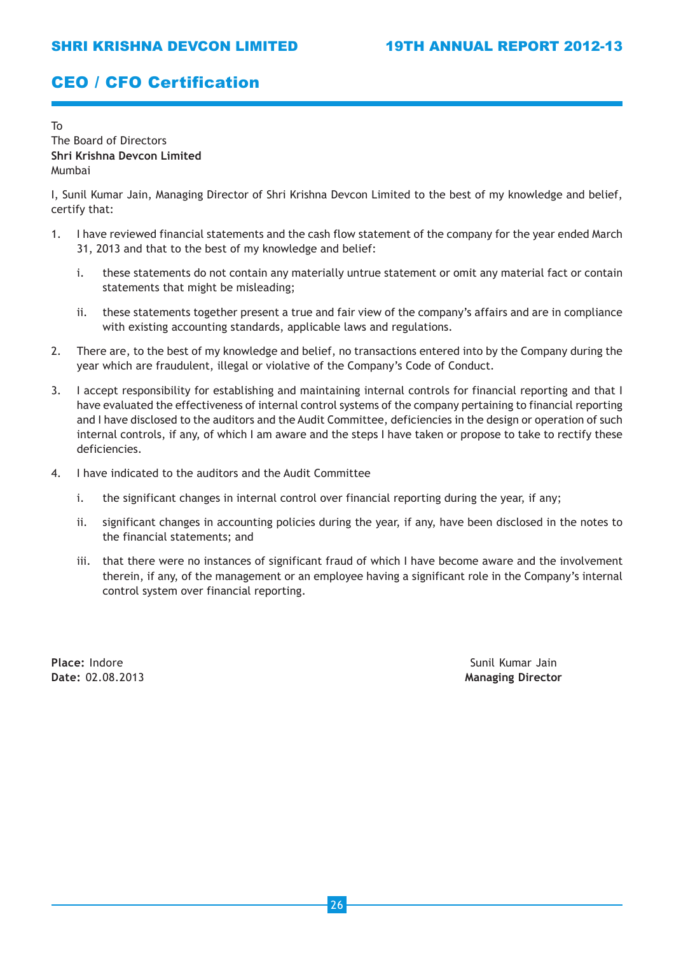## CEO / CFO Certification

To

The Board of Directors **Shri Krishna Devcon Limited** Mumbai

I, Sunil Kumar Jain, Managing Director of Shri Krishna Devcon Limited to the best of my knowledge and belief, certify that:

- 1. I have reviewed financial statements and the cash flow statement of the company for the year ended March 31, 2013 and that to the best of my knowledge and belief:
	- i. these statements do not contain any materially untrue statement or omit any material fact or contain statements that might be misleading;
	- ii. these statements together present a true and fair view of the company's affairs and are in compliance with existing accounting standards, applicable laws and regulations.
- 2. There are, to the best of my knowledge and belief, no transactions entered into by the Company during the year which are fraudulent, illegal or violative of the Company's Code of Conduct.
- 3. I accept responsibility for establishing and maintaining internal controls for financial reporting and that I have evaluated the effectiveness of internal control systems of the company pertaining to financial reporting and I have disclosed to the auditors and the Audit Committee, deficiencies in the design or operation of such internal controls, if any, of which I am aware and the steps I have taken or propose to take to rectify these deficiencies.
- 4. I have indicated to the auditors and the Audit Committee
	- i. the significant changes in internal control over financial reporting during the year, if any;
	- ii. significant changes in accounting policies during the year, if any, have been disclosed in the notes to the financial statements; and
	- iii. that there were no instances of significant fraud of which I have become aware and the involvement therein, if any, of the management or an employee having a significant role in the Company's internal control system over financial reporting.

**Place:** Indore Sunil Kumar Jain Sunil Kumar Jain Sunil Kumar Jain Sunil Kumar Jain **Date:** 02.08.2013 **Managing Director**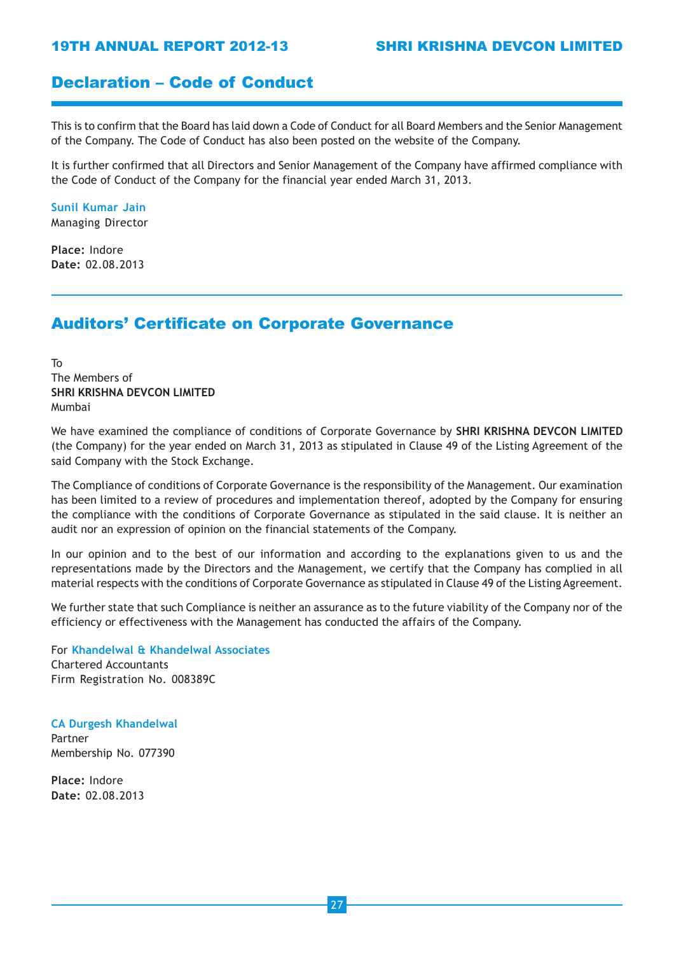## Declaration – Code of Conduct

This is to confirm that the Board has laid down a Code of Conduct for all Board Members and the Senior Management of the Company. The Code of Conduct has also been posted on the website of the Company.

It is further confirmed that all Directors and Senior Management of the Company have affirmed compliance with the Code of Conduct of the Company for the financial year ended March 31, 2013.

**Sunil Kumar Jain** Managing Director

**Place:** Indore

**Date:** 02.08.2013

## Auditors' Certificate on Corporate Governance

To The Members of **SHRI KRISHNA DEVCON LIMITED** Mumbai

We have examined the compliance of conditions of Corporate Governance by **SHRI KRISHNA DEVCON LIMITED** (the Company) for the year ended on March 31, 2013 as stipulated in Clause 49 of the Listing Agreement of the said Company with the Stock Exchange.

The Compliance of conditions of Corporate Governance is the responsibility of the Management. Our examination has been limited to a review of procedures and implementation thereof, adopted by the Company for ensuring the compliance with the conditions of Corporate Governance as stipulated in the said clause. It is neither an audit nor an expression of opinion on the financial statements of the Company.

In our opinion and to the best of our information and according to the explanations given to us and the representations made by the Directors and the Management, we certify that the Company has complied in all material respects with the conditions of Corporate Governance as stipulated in Clause 49 of the Listing Agreement.

We further state that such Compliance is neither an assurance as to the future viability of the Company nor of the efficiency or effectiveness with the Management has conducted the affairs of the Company.

For **Khandelwal & Khandelwal Associates** Chartered Accountants Firm Registration No. 008389C

**CA Durgesh Khandelwal** Partner Membership No. 077390

**Place:** Indore **Date:** 02.08.2013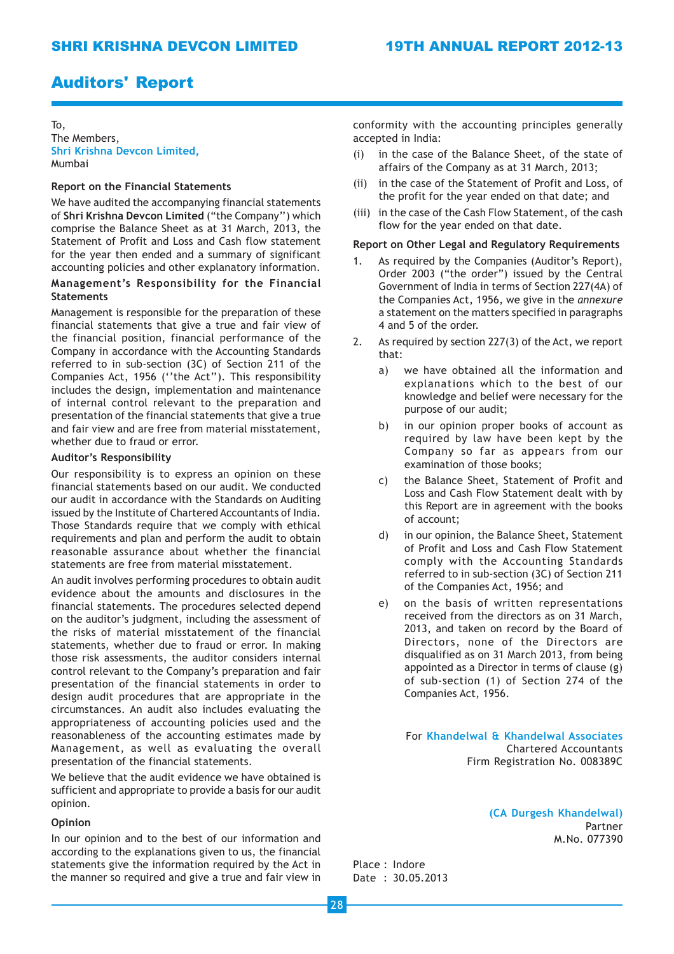## Auditors' Report

#### To,

The Members, **Shri Krishna Devcon Limited,** Mumbai

#### **Report on the Financial Statements**

We have audited the accompanying financial statements of **Shri Krishna Devcon Limited** ("the Company'') which comprise the Balance Sheet as at 31 March, 2013, the Statement of Profit and Loss and Cash flow statement for the year then ended and a summary of significant accounting policies and other explanatory information.

#### **Management's Responsibility for the Financial Statements**

Management is responsible for the preparation of these financial statements that give a true and fair view of the financial position, financial performance of the Company in accordance with the Accounting Standards referred to in sub-section (3C) of Section 211 of the Companies Act, 1956 (''the Act''). This responsibility includes the design, implementation and maintenance of internal control relevant to the preparation and presentation of the financial statements that give a true and fair view and are free from material misstatement, whether due to fraud or error.

#### **Auditor's Responsibility**

Our responsibility is to express an opinion on these financial statements based on our audit. We conducted our audit in accordance with the Standards on Auditing issued by the Institute of Chartered Accountants of India. Those Standards require that we comply with ethical requirements and plan and perform the audit to obtain reasonable assurance about whether the financial statements are free from material misstatement.

An audit involves performing procedures to obtain audit evidence about the amounts and disclosures in the financial statements. The procedures selected depend on the auditor's judgment, including the assessment of the risks of material misstatement of the financial statements, whether due to fraud or error. In making those risk assessments, the auditor considers internal control relevant to the Company's preparation and fair presentation of the financial statements in order to design audit procedures that are appropriate in the circumstances. An audit also includes evaluating the appropriateness of accounting policies used and the reasonableness of the accounting estimates made by Management, as well as evaluating the overall presentation of the financial statements.

We believe that the audit evidence we have obtained is sufficient and appropriate to provide a basis for our audit opinion.

#### **Opinion**

In our opinion and to the best of our information and according to the explanations given to us, the financial statements give the information required by the Act in the manner so required and give a true and fair view in

conformity with the accounting principles generally accepted in India:

- (i) in the case of the Balance Sheet, of the state of affairs of the Company as at 31 March, 2013;
- (ii) in the case of the Statement of Profit and Loss, of the profit for the year ended on that date; and
- (iii) in the case of the Cash Flow Statement, of the cash flow for the year ended on that date.

#### **Report on Other Legal and Regulatory Requirements**

- 1. As required by the Companies (Auditor's Report), Order 2003 ("the order") issued by the Central Government of India in terms of Section 227(4A) of the Companies Act, 1956, we give in the *annexure* a statement on the matters specified in paragraphs 4 and 5 of the order.
- 2. As required by section 227(3) of the Act, we report that:
	- a) we have obtained all the information and explanations which to the best of our knowledge and belief were necessary for the purpose of our audit;
	- b) in our opinion proper books of account as required by law have been kept by the Company so far as appears from our examination of those books;
	- c) the Balance Sheet, Statement of Profit and Loss and Cash Flow Statement dealt with by this Report are in agreement with the books of account;
	- d) in our opinion, the Balance Sheet, Statement of Profit and Loss and Cash Flow Statement comply with the Accounting Standards referred to in sub-section (3C) of Section 211 of the Companies Act, 1956; and
	- e) on the basis of written representations received from the directors as on 31 March, 2013, and taken on record by the Board of Directors, none of the Directors are disqualified as on 31 March 2013, from being appointed as a Director in terms of clause (g) of sub-section (1) of Section 274 of the Companies Act, 1956.

For **Khandelwal & Khandelwal Associates** Chartered Accountants Firm Registration No. 008389C

> **(CA Durgesh Khandelwal)** Partner M.No. 077390

Place : Indore Date : 30.05.2013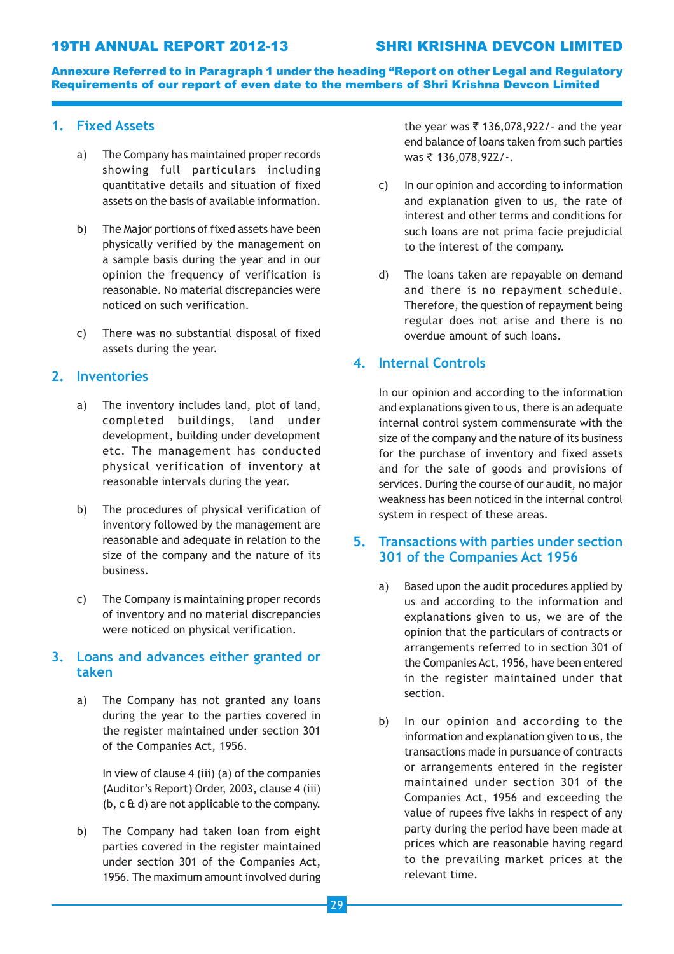Annexure Referred to in Paragraph 1 under the heading "Report on other Legal and Regulatory Requirements of our report of even date to the members of Shri Krishna Devcon Limited

### **1. Fixed Assets**

- a) The Company has maintained proper records showing full particulars including quantitative details and situation of fixed assets on the basis of available information.
- b) The Major portions of fixed assets have been physically verified by the management on a sample basis during the year and in our opinion the frequency of verification is reasonable. No material discrepancies were noticed on such verification.
- c) There was no substantial disposal of fixed assets during the year.

## **2. Inventories**

- a) The inventory includes land, plot of land, completed buildings, land under development, building under development etc. The management has conducted physical verification of inventory at reasonable intervals during the year.
- b) The procedures of physical verification of inventory followed by the management are reasonable and adequate in relation to the size of the company and the nature of its business.
- c) The Company is maintaining proper records of inventory and no material discrepancies were noticed on physical verification.

### **3. Loans and advances either granted or taken**

a) The Company has not granted any loans during the year to the parties covered in the register maintained under section 301 of the Companies Act, 1956.

> In view of clause 4 (iii) (a) of the companies (Auditor's Report) Order, 2003, clause 4 (iii)  $(b, c \& d)$  are not applicable to the company.

b) The Company had taken loan from eight parties covered in the register maintained under section 301 of the Companies Act, 1956. The maximum amount involved during

the year was  $\bar{\tau}$  136,078,922/- and the year end balance of loans taken from such parties was ₹ 136,078,922/-.

- c) In our opinion and according to information and explanation given to us, the rate of interest and other terms and conditions for such loans are not prima facie prejudicial to the interest of the company.
- d) The loans taken are repayable on demand and there is no repayment schedule. Therefore, the question of repayment being regular does not arise and there is no overdue amount of such loans.

## **4. Internal Controls**

In our opinion and according to the information and explanations given to us, there is an adequate internal control system commensurate with the size of the company and the nature of its business for the purchase of inventory and fixed assets and for the sale of goods and provisions of services. During the course of our audit, no major weakness has been noticed in the internal control system in respect of these areas.

## **5. Transactions with parties under section 301 of the Companies Act 1956**

- a) Based upon the audit procedures applied by us and according to the information and explanations given to us, we are of the opinion that the particulars of contracts or arrangements referred to in section 301 of the Companies Act, 1956, have been entered in the register maintained under that section.
- b) In our opinion and according to the information and explanation given to us, the transactions made in pursuance of contracts or arrangements entered in the register maintained under section 301 of the Companies Act, 1956 and exceeding the value of rupees five lakhs in respect of any party during the period have been made at prices which are reasonable having regard to the prevailing market prices at the relevant time.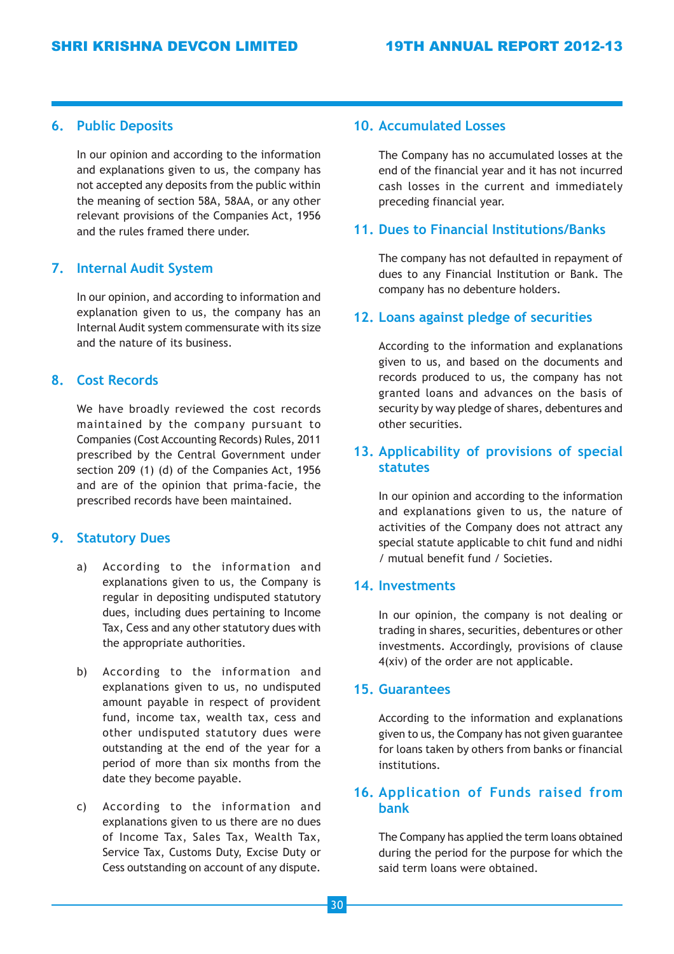#### **6. Public Deposits**

In our opinion and according to the information and explanations given to us, the company has not accepted any deposits from the public within the meaning of section 58A, 58AA, or any other relevant provisions of the Companies Act, 1956 and the rules framed there under.

### **7. Internal Audit System**

In our opinion, and according to information and explanation given to us, the company has an Internal Audit system commensurate with its size and the nature of its business.

## **8. Cost Records**

We have broadly reviewed the cost records maintained by the company pursuant to Companies (Cost Accounting Records) Rules, 2011 prescribed by the Central Government under section 209 (1) (d) of the Companies Act, 1956 and are of the opinion that prima-facie, the prescribed records have been maintained.

#### **9. Statutory Dues**

- a) According to the information and explanations given to us, the Company is regular in depositing undisputed statutory dues, including dues pertaining to Income Tax, Cess and any other statutory dues with the appropriate authorities.
- b) According to the information and explanations given to us, no undisputed amount payable in respect of provident fund, income tax, wealth tax, cess and other undisputed statutory dues were outstanding at the end of the year for a period of more than six months from the date they become payable.
- c) According to the information and explanations given to us there are no dues of Income Tax, Sales Tax, Wealth Tax, Service Tax, Customs Duty, Excise Duty or Cess outstanding on account of any dispute.

#### **10. Accumulated Losses**

The Company has no accumulated losses at the end of the financial year and it has not incurred cash losses in the current and immediately preceding financial year.

#### **11. Dues to Financial Institutions/Banks**

The company has not defaulted in repayment of dues to any Financial Institution or Bank. The company has no debenture holders.

#### **12. Loans against pledge of securities**

According to the information and explanations given to us, and based on the documents and records produced to us, the company has not granted loans and advances on the basis of security by way pledge of shares, debentures and other securities.

### **13. Applicability of provisions of special statutes**

In our opinion and according to the information and explanations given to us, the nature of activities of the Company does not attract any special statute applicable to chit fund and nidhi / mutual benefit fund / Societies.

#### **14. Investments**

In our opinion, the company is not dealing or trading in shares, securities, debentures or other investments. Accordingly, provisions of clause 4(xiv) of the order are not applicable.

#### **15. Guarantees**

According to the information and explanations given to us, the Company has not given guarantee for loans taken by others from banks or financial institutions.

#### **16. Application of Funds raised from bank**

The Company has applied the term loans obtained during the period for the purpose for which the said term loans were obtained.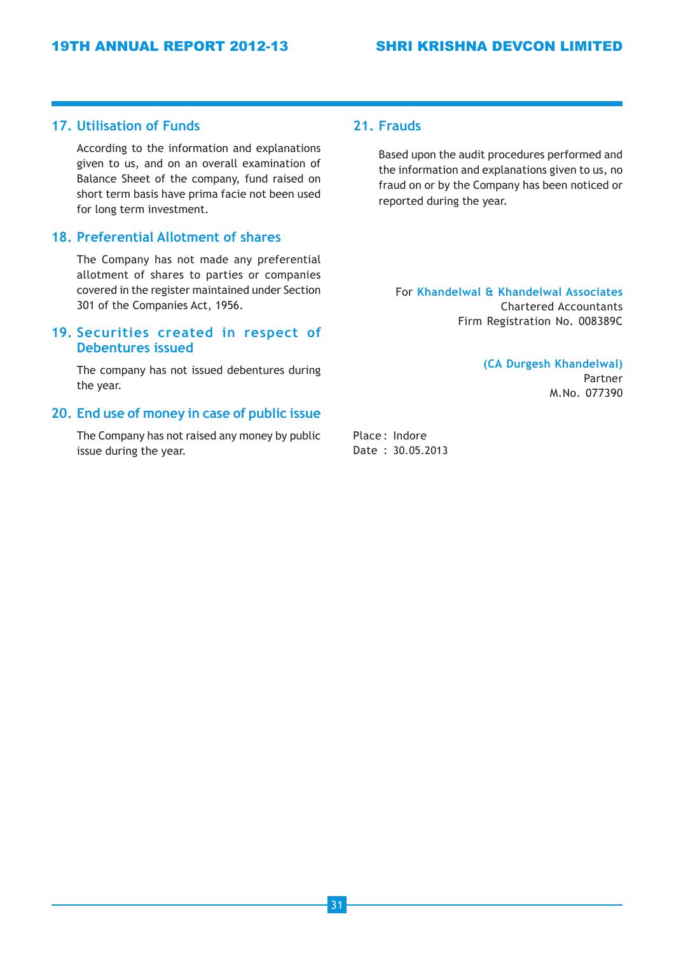#### **17. Utilisation of Funds**

According to the information and explanations given to us, and on an overall examination of Balance Sheet of the company, fund raised on short term basis have prima facie not been used for long term investment.

#### **18. Preferential Allotment of shares**

The Company has not made any preferential allotment of shares to parties or companies covered in the register maintained under Section 301 of the Companies Act, 1956.

#### **19. Securities created in respect of Debentures issued**

The company has not issued debentures during the year.

#### **20. End use of money in case of public issue**

The Company has not raised any money by public issue during the year.

#### **21. Frauds**

Based upon the audit procedures performed and the information and explanations given to us, no fraud on or by the Company has been noticed or reported during the year.

For **Khandelwal & Khandelwal Associates** Chartered Accountants Firm Registration No. 008389C

> **(CA Durgesh Khandelwal)** Partner M.No. 077390

Place : Indore Date : 30.05.2013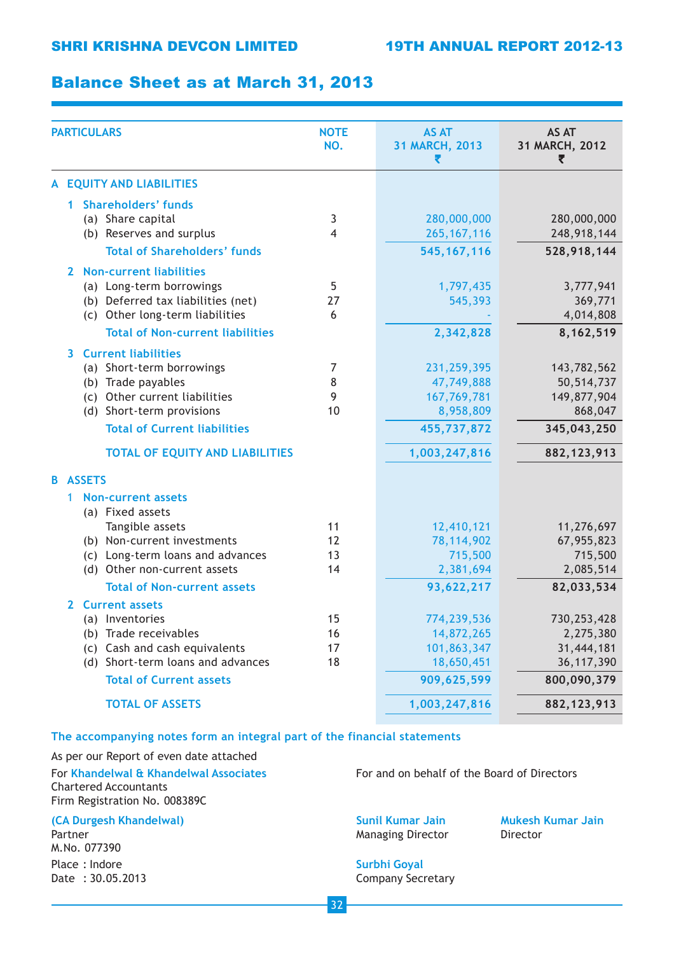## Balance Sheet as at March 31, 2013

|   | <b>PARTICULARS</b>                             | <b>NOTE</b><br>NO. | <b>AS AT</b><br>31 MARCH, 2013 | AS AT<br>31 MARCH, 2012 |
|---|------------------------------------------------|--------------------|--------------------------------|-------------------------|
|   | A EQUITY AND LIABILITIES                       |                    | ₹                              | ₹                       |
|   | <b>Shareholders' funds</b>                     |                    |                                |                         |
|   | (a) Share capital                              | 3                  | 280,000,000                    | 280,000,000             |
|   | (b) Reserves and surplus                       | 4                  | 265, 167, 116                  | 248, 918, 144           |
|   | <b>Total of Shareholders' funds</b>            |                    | 545, 167, 116                  | 528,918,144             |
|   | <b>Non-current liabilities</b><br>$\mathbf{2}$ |                    |                                |                         |
|   | (a) Long-term borrowings                       | 5                  | 1,797,435                      | 3,777,941               |
|   | (b) Deferred tax liabilities (net)             | 27                 | 545,393                        | 369,771                 |
|   | (c) Other long-term liabilities                | 6                  |                                | 4,014,808               |
|   | <b>Total of Non-current liabilities</b>        |                    | 2,342,828                      | 8,162,519               |
|   | <b>Current liabilities</b><br>3.               |                    |                                |                         |
|   | (a) Short-term borrowings                      | 7                  | 231,259,395                    | 143,782,562             |
|   | (b) Trade payables                             | 8                  | 47,749,888                     | 50,514,737              |
|   | (c) Other current liabilities                  | 9                  | 167,769,781                    | 149,877,904             |
|   | (d) Short-term provisions                      | 10                 | 8,958,809                      | 868,047                 |
|   | <b>Total of Current liabilities</b>            |                    | 455,737,872                    | 345,043,250             |
|   | <b>TOTAL OF EQUITY AND LIABILITIES</b>         |                    | 1,003,247,816                  | 882, 123, 913           |
|   | <b>B</b> ASSETS                                |                    |                                |                         |
| 1 | <b>Non-current assets</b>                      |                    |                                |                         |
|   | (a) Fixed assets                               |                    |                                |                         |
|   | Tangible assets                                | 11                 | 12,410,121                     | 11,276,697              |
|   | (b) Non-current investments                    | 12                 | 78,114,902                     | 67,955,823              |
|   | (c) Long-term loans and advances               | 13                 | 715,500                        | 715,500                 |
|   | (d) Other non-current assets                   | 14                 | 2,381,694                      | 2,085,514               |
|   | <b>Total of Non-current assets</b>             |                    | 93,622,217                     | 82,033,534              |
|   | <b>Current assets</b><br>$\mathbf{z}$          |                    |                                |                         |
|   | (a) Inventories                                | 15                 | 774,239,536                    | 730, 253, 428           |
|   | Trade receivables<br>(b)                       | 16                 | 14,872,265                     | 2,275,380               |
|   | Cash and cash equivalents<br>(C)               | 17                 | 101,863,347                    | 31,444,181              |
|   | (d) Short-term loans and advances              | 18                 | 18,650,451                     | 36, 117, 390            |
|   | <b>Total of Current assets</b>                 |                    | 909,625,599                    | 800,090,379             |
|   | <b>TOTAL OF ASSETS</b>                         |                    | 1,003,247,816                  | 882, 123, 913           |
|   |                                                |                    |                                |                         |

#### **The accompanying notes form an integral part of the financial statements**

As per our Report of even date attached For **Khandelwal & Khandelwal Associates** For and on behalf of the Board of Directors Chartered Accountants Firm Registration No. 008389C

#### (CA Durgesh Khandelwal) **Sunil Kumar Jain** Mukesh Kumar Jain Mukesh Kumar Jain

M.No. 077390 Place : Indore **Surbhi Goyal** 

Partner **Managing Director** Director **Director** Director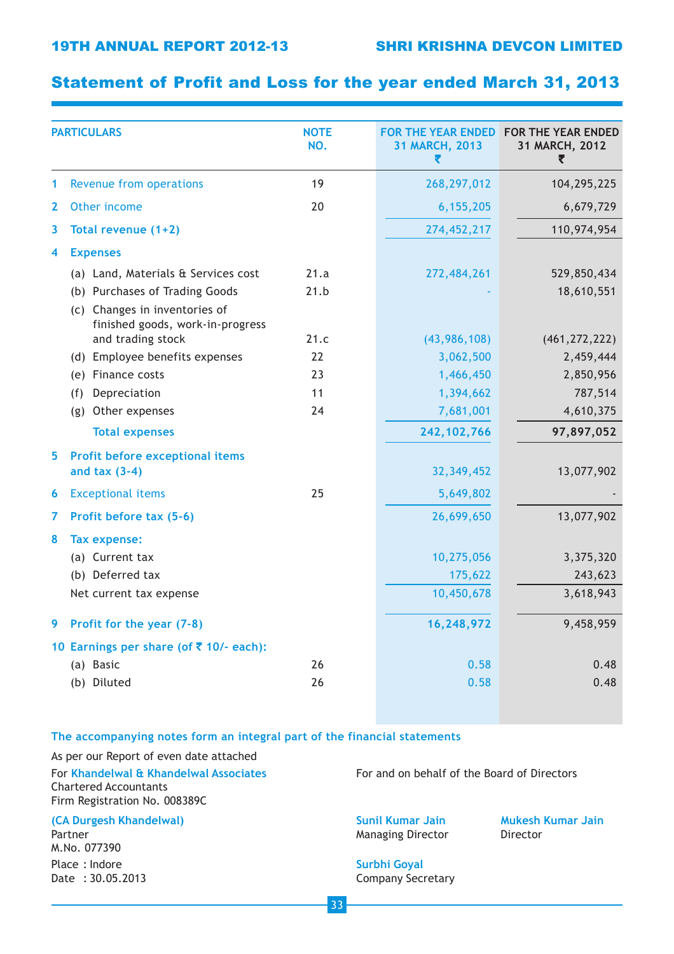## Statement of Profit and Loss for the year ended March 31, 2013

|              | <b>PARTICULARS</b>                                                | <b>NOTE</b><br>NO. | 31 MARCH, 2013<br>₹ | FOR THE YEAR ENDED FOR THE YEAR ENDED<br>31 MARCH, 2012<br>₹ |
|--------------|-------------------------------------------------------------------|--------------------|---------------------|--------------------------------------------------------------|
| 1            | Revenue from operations                                           | 19                 | 268,297,012         | 104,295,225                                                  |
| $\mathbf{2}$ | Other income                                                      | 20                 | 6,155,205           | 6,679,729                                                    |
| 3            | Total revenue (1+2)                                               |                    | 274,452,217         | 110,974,954                                                  |
| 4            | <b>Expenses</b>                                                   |                    |                     |                                                              |
|              | (a) Land, Materials & Services cost                               | 21.a               | 272,484,261         | 529,850,434                                                  |
|              | (b) Purchases of Trading Goods                                    | 21.b               |                     | 18,610,551                                                   |
|              | (c) Changes in inventories of<br>finished goods, work-in-progress |                    |                     |                                                              |
|              | and trading stock                                                 | 21.c               | (43,986,108)        | (461, 272, 222)                                              |
|              | (d) Employee benefits expenses                                    | 22                 | 3,062,500           | 2,459,444                                                    |
|              | (e) Finance costs                                                 | 23                 | 1,466,450           | 2,850,956                                                    |
|              | Depreciation<br>(f)                                               | 11                 | 1,394,662           | 787,514                                                      |
|              | (g) Other expenses                                                | 24                 | 7,681,001           | 4,610,375                                                    |
|              | <b>Total expenses</b>                                             |                    | 242, 102, 766       | 97,897,052                                                   |
| 5            | Profit before exceptional items<br>and tax $(3-4)$                |                    | 32, 349, 452        | 13,077,902                                                   |
| 6            | <b>Exceptional items</b>                                          | 25                 | 5,649,802           |                                                              |
| 7            | Profit before tax (5-6)                                           |                    | 26,699,650          | 13,077,902                                                   |
| 8            | <b>Tax expense:</b>                                               |                    |                     |                                                              |
|              | (a) Current tax                                                   |                    | 10,275,056          | 3,375,320                                                    |
|              | (b) Deferred tax                                                  |                    | 175,622             | 243,623                                                      |
|              | Net current tax expense                                           |                    | 10,450,678          | 3,618,943                                                    |
| 9            | Profit for the year (7-8)                                         |                    | 16,248,972          | 9,458,959                                                    |
|              | 10 Earnings per share (of ₹ 10/- each):                           |                    |                     |                                                              |
|              | (a) Basic                                                         | 26                 | 0.58                | 0.48                                                         |
|              | (b) Diluted                                                       | 26                 | 0.58                | 0.48                                                         |
|              |                                                                   |                    |                     |                                                              |

#### **The accompanying notes form an integral part of the financial statements**

As per our Report of even date attached For **Khandelwal & Khandelwal Associates** For and on behalf of the Board of Directors Chartered Accountants Firm Registration No. 008389C

#### **(CA Durgesh Khandelwal) Sunil Kumar Jain Mukesh Kumar Jain**

M.No. 077390 Place : Indore **Surbhi Goyal** 

Partner **Managing Director** Director **Director** Director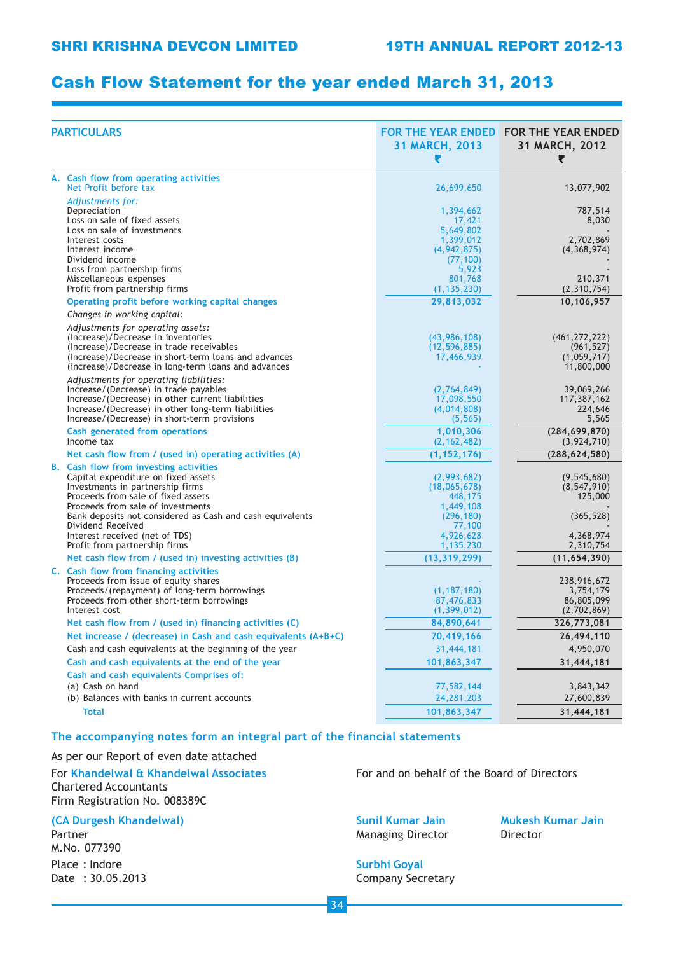## Cash Flow Statement for the year ended March 31, 2013

| <b>PARTICULARS</b>                                                                                                                                                                                                                                                                                                                                |                                                                                                       | FOR THE YEAR ENDED FOR THE YEAR ENDED                                             |
|---------------------------------------------------------------------------------------------------------------------------------------------------------------------------------------------------------------------------------------------------------------------------------------------------------------------------------------------------|-------------------------------------------------------------------------------------------------------|-----------------------------------------------------------------------------------|
|                                                                                                                                                                                                                                                                                                                                                   | 31 MARCH, 2013<br>₹                                                                                   | 31 MARCH, 2012<br>₹                                                               |
| A. Cash flow from operating activities<br>Net Profit before tax                                                                                                                                                                                                                                                                                   | 26,699,650                                                                                            | 13,077,902                                                                        |
| Adjustments for:<br>Depreciation<br>Loss on sale of fixed assets<br>Loss on sale of investments<br>Interest costs<br>Interest income                                                                                                                                                                                                              | 1,394,662<br>17,421<br>5,649,802<br>1,399,012<br>(4, 942, 875)                                        | 787,514<br>8,030<br>2,702,869<br>(4,368,974)                                      |
| Dividend income<br>Loss from partnership firms<br>Miscellaneous expenses<br>Profit from partnership firms                                                                                                                                                                                                                                         | (77, 100)<br>5,923<br>801,768<br>(1, 135, 230)                                                        | 210,371<br>(2,310,754)                                                            |
| Operating profit before working capital changes                                                                                                                                                                                                                                                                                                   | 29,813,032                                                                                            | 10,106,957                                                                        |
| Changes in working capital:<br>Adjustments for operating assets:<br>(Increase)/Decrease in inventories<br>(Increase)/Decrease in trade receivables<br>(Increase)/Decrease in short-term loans and advances<br>(increase)/Decrease in long-term loans and advances                                                                                 | (43, 986, 108)<br>(12, 596, 885)<br>17,466,939                                                        | (461, 272, 222)<br>(961, 527)<br>(1,059,717)<br>11,800,000                        |
| Adjustments for operating liabilities:<br>Increase/(Decrease) in trade payables<br>Increase/(Decrease) in other current liabilities<br>Increase/(Decrease) in other long-term liabilities<br>Increase/(Decrease) in short-term provisions                                                                                                         | (2,764,849)<br>17,098,550<br>(4,014,808)<br>(5, 565)                                                  | 39,069,266<br>117,387,162<br>224,646<br>5,565                                     |
| Cash generated from operations<br>Income tax                                                                                                                                                                                                                                                                                                      | 1,010,306<br>(2, 162, 482)                                                                            | (284, 699, 870)<br>(3,924,710)                                                    |
| Net cash flow from / (used in) operating activities (A)                                                                                                                                                                                                                                                                                           | (1, 152, 176)                                                                                         | (288, 624, 580)                                                                   |
| B. Cash flow from investing activities<br>Capital expenditure on fixed assets<br>Investments in partnership firms<br>Proceeds from sale of fixed assets<br>Proceeds from sale of investments<br>Bank deposits not considered as Cash and cash equivalents<br>Dividend Received<br>Interest received (net of TDS)<br>Profit from partnership firms | (2,993,682)<br>(18,065,678)<br>448,175<br>1,449,108<br>(296, 180)<br>77,100<br>4,926,628<br>1,135,230 | (9, 545, 680)<br>(8, 547, 910)<br>125,000<br>(365, 528)<br>4,368,974<br>2,310,754 |
| Net cash flow from / (used in) investing activities $(B)$                                                                                                                                                                                                                                                                                         | (13, 319, 299)                                                                                        | (11, 654, 390)                                                                    |
| C. Cash flow from financing activities<br>Proceeds from issue of equity shares<br>Proceeds/(repayment) of long-term borrowings<br>Proceeds from other short-term borrowings<br>Interest cost                                                                                                                                                      | (1, 187, 180)<br>87,476,833<br>(1, 399, 012)                                                          | 238,916,672<br>3,754,179<br>86,805,099<br>(2,702,869)                             |
| Net cash flow from / (used in) financing activities (C)                                                                                                                                                                                                                                                                                           | 84,890,641                                                                                            | 326,773,081                                                                       |
| Net increase / (decrease) in Cash and cash equivalents (A+B+C)                                                                                                                                                                                                                                                                                    | 70,419,166                                                                                            | 26,494,110                                                                        |
| Cash and cash equivalents at the beginning of the year                                                                                                                                                                                                                                                                                            | 31,444,181                                                                                            | 4,950,070                                                                         |
| Cash and cash equivalents at the end of the year                                                                                                                                                                                                                                                                                                  | 101,863,347                                                                                           | 31,444,181                                                                        |
| Cash and cash equivalents Comprises of:<br>(a) Cash on hand<br>(b) Balances with banks in current accounts                                                                                                                                                                                                                                        | 77,582,144<br>24, 281, 203                                                                            | 3,843,342<br>27,600,839                                                           |
| <b>Total</b>                                                                                                                                                                                                                                                                                                                                      | 101,863,347                                                                                           | 31,444,181                                                                        |
|                                                                                                                                                                                                                                                                                                                                                   |                                                                                                       |                                                                                   |

#### **The accompanying notes form an integral part of the financial statements**

#### As per our Report of even date attached

## For **Khandelwal & Khandelwal Associates** For and on behalf of the Board of Directors Chartered Accountants

Firm Registration No. 008389C

## (CA Durgesh Khandelwal) **Sunil Kumar Jain** Mukesh Kumar Jain Mukesh Kumar Jain

M.No. 077390 Place : Indore **Surbhi Goyal** 

Partner **Managing Director** Director **Director** Director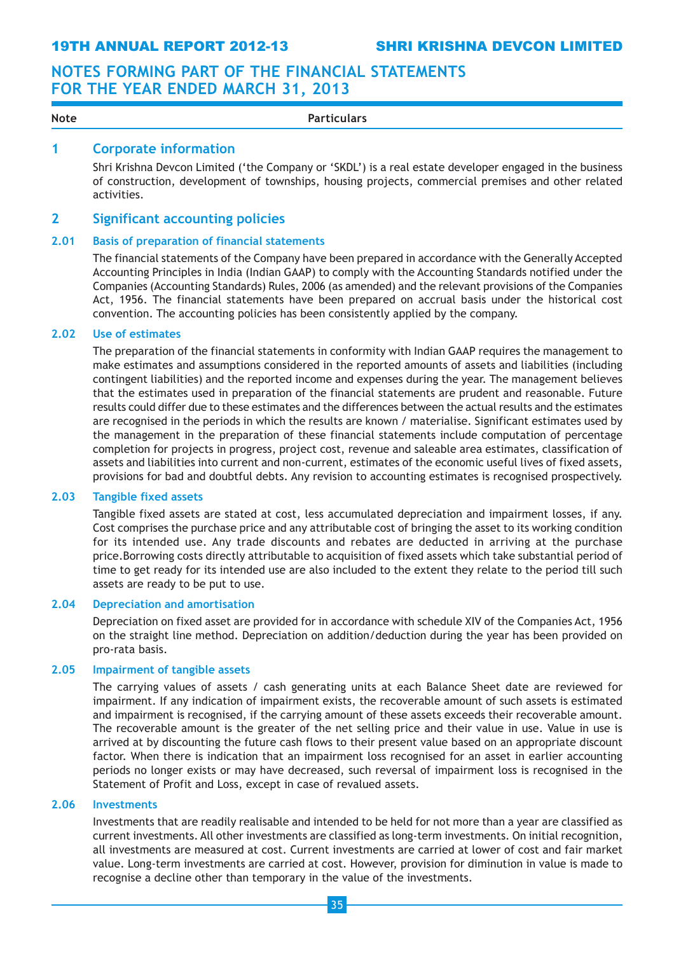**Note** Particulars

#### **1 Corporate information**

Shri Krishna Devcon Limited ('the Company or 'SKDL') is a real estate developer engaged in the business of construction, development of townships, housing projects, commercial premises and other related activities.

#### **2 Significant accounting policies**

#### **2.01 Basis of preparation of financial statements**

The financial statements of the Company have been prepared in accordance with the Generally Accepted Accounting Principles in India (Indian GAAP) to comply with the Accounting Standards notified under the Companies (Accounting Standards) Rules, 2006 (as amended) and the relevant provisions of the Companies Act, 1956. The financial statements have been prepared on accrual basis under the historical cost convention. The accounting policies has been consistently applied by the company.

#### **2.02 Use of estimates**

The preparation of the financial statements in conformity with Indian GAAP requires the management to make estimates and assumptions considered in the reported amounts of assets and liabilities (including contingent liabilities) and the reported income and expenses during the year. The management believes that the estimates used in preparation of the financial statements are prudent and reasonable. Future results could differ due to these estimates and the differences between the actual results and the estimates are recognised in the periods in which the results are known / materialise. Significant estimates used by the management in the preparation of these financial statements include computation of percentage completion for projects in progress, project cost, revenue and saleable area estimates, classification of assets and liabilities into current and non-current, estimates of the economic useful lives of fixed assets, provisions for bad and doubtful debts. Any revision to accounting estimates is recognised prospectively.

#### **2.03 Tangible fixed assets**

Tangible fixed assets are stated at cost, less accumulated depreciation and impairment losses, if any. Cost comprises the purchase price and any attributable cost of bringing the asset to its working condition for its intended use. Any trade discounts and rebates are deducted in arriving at the purchase price.Borrowing costs directly attributable to acquisition of fixed assets which take substantial period of time to get ready for its intended use are also included to the extent they relate to the period till such assets are ready to be put to use.

#### **2.04 Depreciation and amortisation**

Depreciation on fixed asset are provided for in accordance with schedule XIV of the Companies Act, 1956 on the straight line method. Depreciation on addition/deduction during the year has been provided on pro-rata basis.

#### **2.05 Impairment of tangible assets**

The carrying values of assets / cash generating units at each Balance Sheet date are reviewed for impairment. If any indication of impairment exists, the recoverable amount of such assets is estimated and impairment is recognised, if the carrying amount of these assets exceeds their recoverable amount. The recoverable amount is the greater of the net selling price and their value in use. Value in use is arrived at by discounting the future cash flows to their present value based on an appropriate discount factor. When there is indication that an impairment loss recognised for an asset in earlier accounting periods no longer exists or may have decreased, such reversal of impairment loss is recognised in the Statement of Profit and Loss, except in case of revalued assets.

#### **2.06 Investments**

Investments that are readily realisable and intended to be held for not more than a year are classified as current investments. All other investments are classified as long-term investments. On initial recognition, all investments are measured at cost. Current investments are carried at lower of cost and fair market value. Long-term investments are carried at cost. However, provision for diminution in value is made to recognise a decline other than temporary in the value of the investments.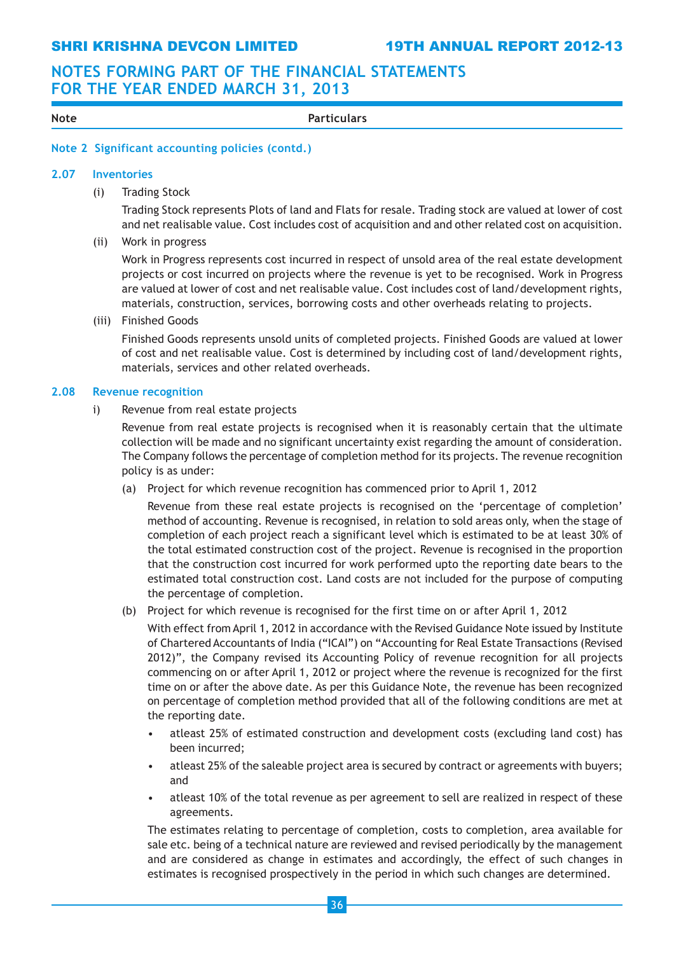**Note** Particulars

#### **Note 2 Significant accounting policies (contd.)**

#### **2.07 Inventories**

(i) Trading Stock

Trading Stock represents Plots of land and Flats for resale. Trading stock are valued at lower of cost and net realisable value. Cost includes cost of acquisition and and other related cost on acquisition.

(ii) Work in progress

Work in Progress represents cost incurred in respect of unsold area of the real estate development projects or cost incurred on projects where the revenue is yet to be recognised. Work in Progress are valued at lower of cost and net realisable value. Cost includes cost of land/development rights, materials, construction, services, borrowing costs and other overheads relating to projects.

(iii) Finished Goods

Finished Goods represents unsold units of completed projects. Finished Goods are valued at lower of cost and net realisable value. Cost is determined by including cost of land/development rights, materials, services and other related overheads.

#### **2.08 Revenue recognition**

i) Revenue from real estate projects

Revenue from real estate projects is recognised when it is reasonably certain that the ultimate collection will be made and no significant uncertainty exist regarding the amount of consideration. The Company follows the percentage of completion method for its projects. The revenue recognition policy is as under:

(a) Project for which revenue recognition has commenced prior to April 1, 2012

Revenue from these real estate projects is recognised on the 'percentage of completion' method of accounting. Revenue is recognised, in relation to sold areas only, when the stage of completion of each project reach a significant level which is estimated to be at least 30% of the total estimated construction cost of the project. Revenue is recognised in the proportion that the construction cost incurred for work performed upto the reporting date bears to the estimated total construction cost. Land costs are not included for the purpose of computing the percentage of completion.

(b) Project for which revenue is recognised for the first time on or after April 1, 2012

With effect from April 1, 2012 in accordance with the Revised Guidance Note issued by Institute of Chartered Accountants of India ("ICAI") on "Accounting for Real Estate Transactions (Revised 2012)", the Company revised its Accounting Policy of revenue recognition for all projects commencing on or after April 1, 2012 or project where the revenue is recognized for the first time on or after the above date. As per this Guidance Note, the revenue has been recognized on percentage of completion method provided that all of the following conditions are met at the reporting date.

- atleast 25% of estimated construction and development costs (excluding land cost) has been incurred;
- atleast 25% of the saleable project area is secured by contract or agreements with buyers; and
- atleast 10% of the total revenue as per agreement to sell are realized in respect of these agreements.

The estimates relating to percentage of completion, costs to completion, area available for sale etc. being of a technical nature are reviewed and revised periodically by the management and are considered as change in estimates and accordingly, the effect of such changes in estimates is recognised prospectively in the period in which such changes are determined.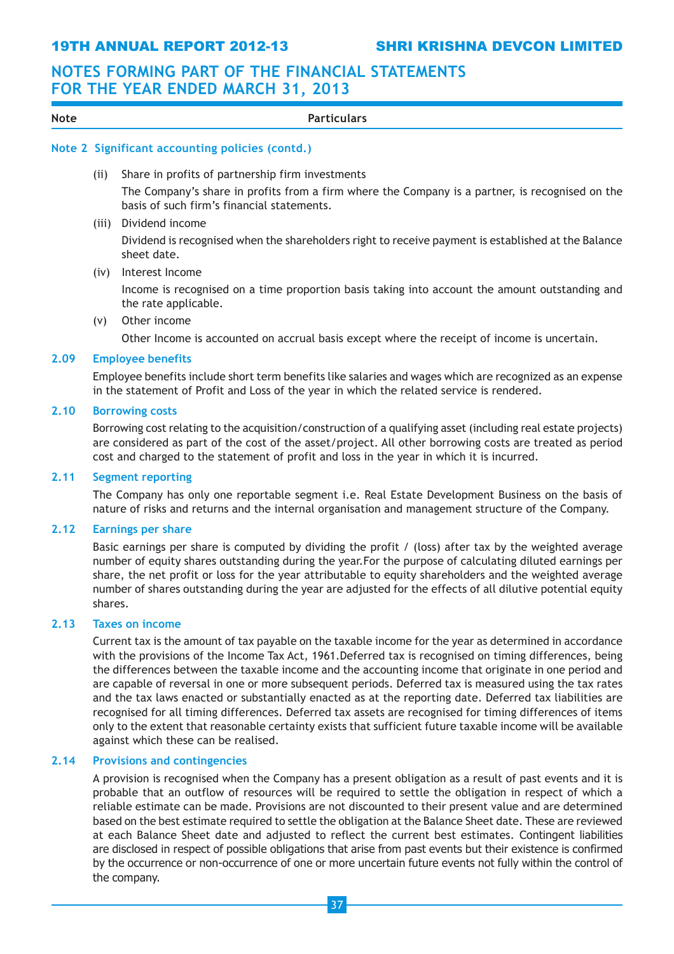19TH ANNUAL REPORT 2012-13 SHRI KRISHNA DEVCON LIMITED

## **NOTES FORMING PART OF THE FINANCIAL STATEMENTS FOR THE YEAR ENDED MARCH 31, 2013**

#### **Note** Particulars

#### **Note 2 Significant accounting policies (contd.)**

(ii) Share in profits of partnership firm investments

The Company's share in profits from a firm where the Company is a partner, is recognised on the basis of such firm's financial statements.

#### (iii) Dividend income

Dividend is recognised when the shareholders right to receive payment is established at the Balance sheet date.

#### (iv) Interest Income

Income is recognised on a time proportion basis taking into account the amount outstanding and the rate applicable.

(v) Other income

Other Income is accounted on accrual basis except where the receipt of income is uncertain.

#### **2.09 Employee benefits**

Employee benefits include short term benefits like salaries and wages which are recognized as an expense in the statement of Profit and Loss of the year in which the related service is rendered.

#### **2.10 Borrowing costs**

Borrowing cost relating to the acquisition/construction of a qualifying asset (including real estate projects) are considered as part of the cost of the asset/project. All other borrowing costs are treated as period cost and charged to the statement of profit and loss in the year in which it is incurred.

#### **2.11 Segment reporting**

The Company has only one reportable segment i.e. Real Estate Development Business on the basis of nature of risks and returns and the internal organisation and management structure of the Company.

#### **2.12 Earnings per share**

Basic earnings per share is computed by dividing the profit / (loss) after tax by the weighted average number of equity shares outstanding during the year.For the purpose of calculating diluted earnings per share, the net profit or loss for the year attributable to equity shareholders and the weighted average number of shares outstanding during the year are adjusted for the effects of all dilutive potential equity shares.

#### **2.13 Taxes on income**

Current tax is the amount of tax payable on the taxable income for the year as determined in accordance with the provisions of the Income Tax Act, 1961.Deferred tax is recognised on timing differences, being the differences between the taxable income and the accounting income that originate in one period and are capable of reversal in one or more subsequent periods. Deferred tax is measured using the tax rates and the tax laws enacted or substantially enacted as at the reporting date. Deferred tax liabilities are recognised for all timing differences. Deferred tax assets are recognised for timing differences of items only to the extent that reasonable certainty exists that sufficient future taxable income will be available against which these can be realised.

#### **2.14 Provisions and contingencies**

A provision is recognised when the Company has a present obligation as a result of past events and it is probable that an outflow of resources will be required to settle the obligation in respect of which a reliable estimate can be made. Provisions are not discounted to their present value and are determined based on the best estimate required to settle the obligation at the Balance Sheet date. These are reviewed at each Balance Sheet date and adjusted to reflect the current best estimates. Contingent liabilities are disclosed in respect of possible obligations that arise from past events but their existence is confirmed by the occurrence or non-occurrence of one or more uncertain future events not fully within the control of the company.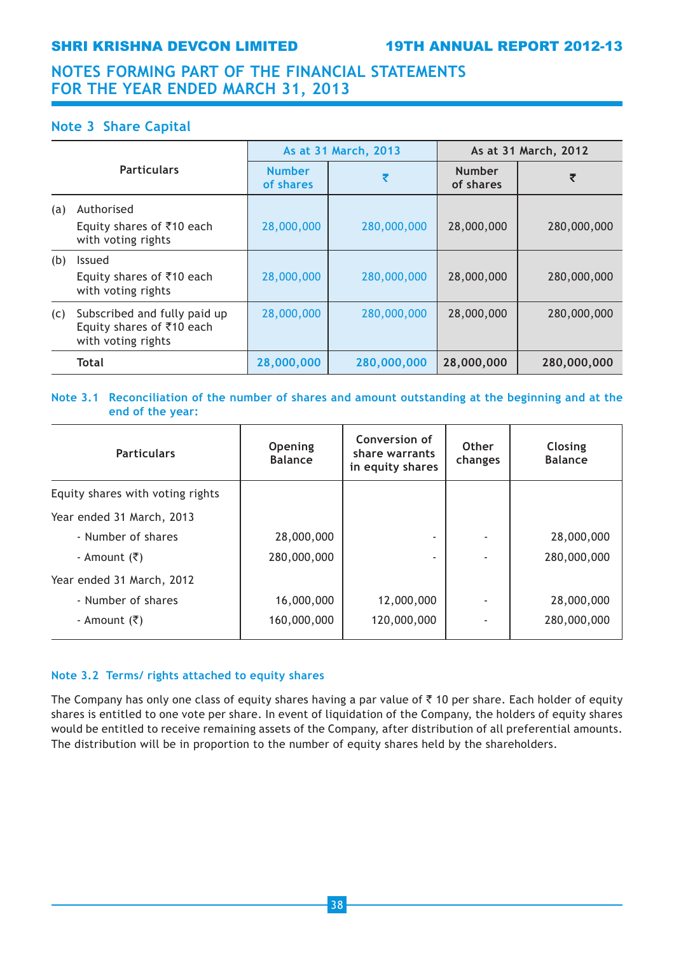## **Note 3 Share Capital**

|     |                                                                                 |                            | As at 31 March, 2013 |                            | As at 31 March, 2012 |  |
|-----|---------------------------------------------------------------------------------|----------------------------|----------------------|----------------------------|----------------------|--|
|     | <b>Particulars</b>                                                              | <b>Number</b><br>of shares | ₹                    | <b>Number</b><br>of shares | ₹                    |  |
| (a) | Authorised<br>Equity shares of ₹10 each<br>with voting rights                   | 28,000,000                 | 280,000,000          | 28,000,000                 | 280,000,000          |  |
| (b) | <b>Issued</b><br>Equity shares of ₹10 each<br>with voting rights                | 28,000,000                 | 280,000,000          | 28,000,000                 | 280,000,000          |  |
| (c) | Subscribed and fully paid up<br>Equity shares of ₹10 each<br>with voting rights | 28,000,000                 | 280,000,000          | 28,000,000                 | 280,000,000          |  |
|     | <b>Total</b>                                                                    | 28,000,000                 | 280,000,000          | 28,000,000                 | 280,000,000          |  |

#### **Note 3.1 Reconciliation of the number of shares and amount outstanding at the beginning and at the end of the year:**

| <b>Particulars</b>               | Opening<br><b>Balance</b> | <b>Conversion of</b><br>share warrants<br>in equity shares | <b>Other</b><br>changes | <b>Closing</b><br><b>Balance</b> |
|----------------------------------|---------------------------|------------------------------------------------------------|-------------------------|----------------------------------|
| Equity shares with voting rights |                           |                                                            |                         |                                  |
| Year ended 31 March, 2013        |                           |                                                            |                         |                                  |
| - Number of shares               | 28,000,000                | ۰                                                          |                         | 28,000,000                       |
| - Amount (₹)                     | 280,000,000               | -                                                          |                         | 280,000,000                      |
| Year ended 31 March, 2012        |                           |                                                            |                         |                                  |
| - Number of shares               | 16,000,000                | 12,000,000                                                 |                         | 28,000,000                       |
| - Amount (₹)                     | 160,000,000               | 120,000,000                                                |                         | 280,000,000                      |
|                                  |                           |                                                            |                         |                                  |

#### **Note 3.2 Terms/ rights attached to equity shares**

The Company has only one class of equity shares having a par value of  $\bar{\tau}$  10 per share. Each holder of equity shares is entitled to one vote per share. In event of liquidation of the Company, the holders of equity shares would be entitled to receive remaining assets of the Company, after distribution of all preferential amounts. The distribution will be in proportion to the number of equity shares held by the shareholders.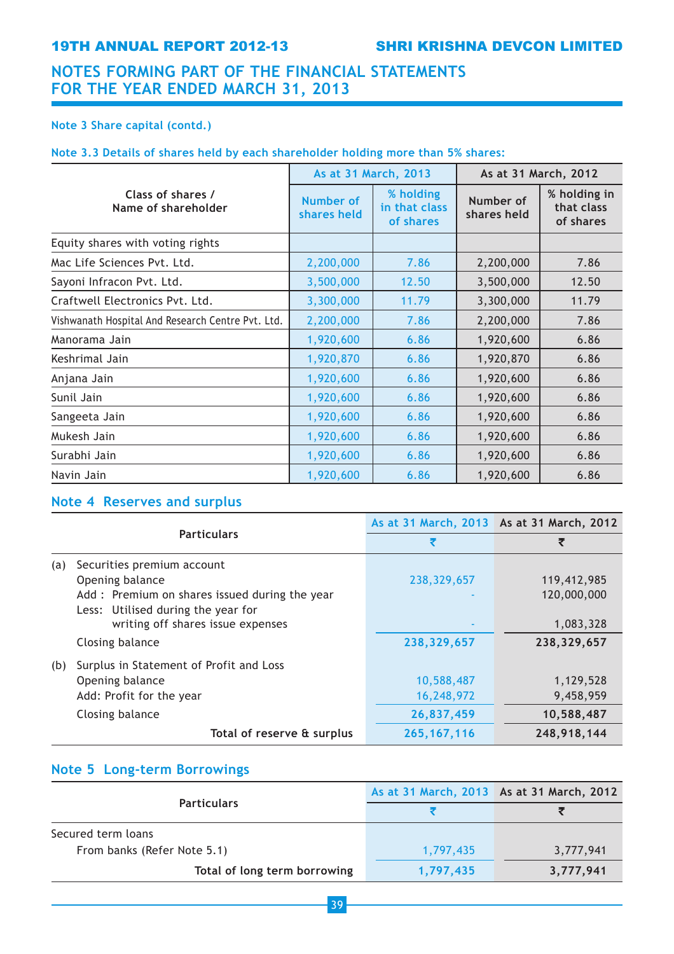### **Note 3 Share capital (contd.)**

#### **Note 3.3 Details of shares held by each shareholder holding more than 5% shares:**

|                                                   |                          | As at 31 March, 2013                    |                          | As at 31 March, 2012                    |  |
|---------------------------------------------------|--------------------------|-----------------------------------------|--------------------------|-----------------------------------------|--|
| Class of shares /<br>Name of shareholder          | Number of<br>shares held | % holding<br>in that class<br>of shares | Number of<br>shares held | % holding in<br>that class<br>of shares |  |
| Equity shares with voting rights                  |                          |                                         |                          |                                         |  |
| Mac Life Sciences Pvt. Ltd.                       | 2,200,000                | 7.86                                    | 2,200,000                | 7.86                                    |  |
| Sayoni Infracon Pvt. Ltd.                         | 3,500,000                | 12.50                                   | 3,500,000                | 12.50                                   |  |
| Craftwell Electronics Pvt. Ltd.                   | 3,300,000                | 11.79                                   | 3,300,000                | 11.79                                   |  |
| Vishwanath Hospital And Research Centre Pvt. Ltd. | 2,200,000                | 7.86                                    | 2,200,000                | 7.86                                    |  |
| Manorama Jain                                     | 1,920,600                | 6.86                                    | 1,920,600                | 6.86                                    |  |
| Keshrimal Jain                                    | 1,920,870                | 6.86                                    | 1,920,870                | 6.86                                    |  |
| Anjana Jain                                       | 1,920,600                | 6.86                                    | 1,920,600                | 6.86                                    |  |
| Sunil Jain                                        | 1,920,600                | 6.86                                    | 1,920,600                | 6.86                                    |  |
| Sangeeta Jain                                     | 1,920,600                | 6.86                                    | 1,920,600                | 6.86                                    |  |
| Mukesh Jain                                       | 1,920,600                | 6.86                                    | 1,920,600                | 6.86                                    |  |
| Surabhi Jain                                      | 1,920,600                | 6.86                                    | 1,920,600                | 6.86                                    |  |
| Navin Jain                                        | 1,920,600                | 6.86                                    | 1,920,600                | 6.86                                    |  |

## **Note 4 Reserves and surplus**

|     |                                                                                                                                                                           | As at 31 March, 2013 As at 31 March, 2012 |                                         |
|-----|---------------------------------------------------------------------------------------------------------------------------------------------------------------------------|-------------------------------------------|-----------------------------------------|
|     | <b>Particulars</b>                                                                                                                                                        |                                           | ₹                                       |
| (a) | Securities premium account<br>Opening balance<br>Add: Premium on shares issued during the year<br>Less: Utilised during the year for<br>writing off shares issue expenses | 238,329,657                               | 119,412,985<br>120,000,000<br>1,083,328 |
|     | Closing balance                                                                                                                                                           | 238,329,657                               | 238,329,657                             |
| (b) | Surplus in Statement of Profit and Loss<br>Opening balance<br>Add: Profit for the year<br>Closing balance                                                                 | 10,588,487<br>16,248,972<br>26,837,459    | 1,129,528<br>9,458,959<br>10,588,487    |
|     | Total of reserve & surplus                                                                                                                                                | 265, 167, 116                             | 248,918,144                             |

## **Note 5 Long-term Borrowings**

|                              |           | As at 31 March, 2013 As at 31 March, 2012 |
|------------------------------|-----------|-------------------------------------------|
| <b>Particulars</b>           |           |                                           |
| Secured term loans           |           |                                           |
| From banks (Refer Note 5.1)  | 1,797,435 | 3,777,941                                 |
| Total of long term borrowing | 1,797,435 | 3,777,941                                 |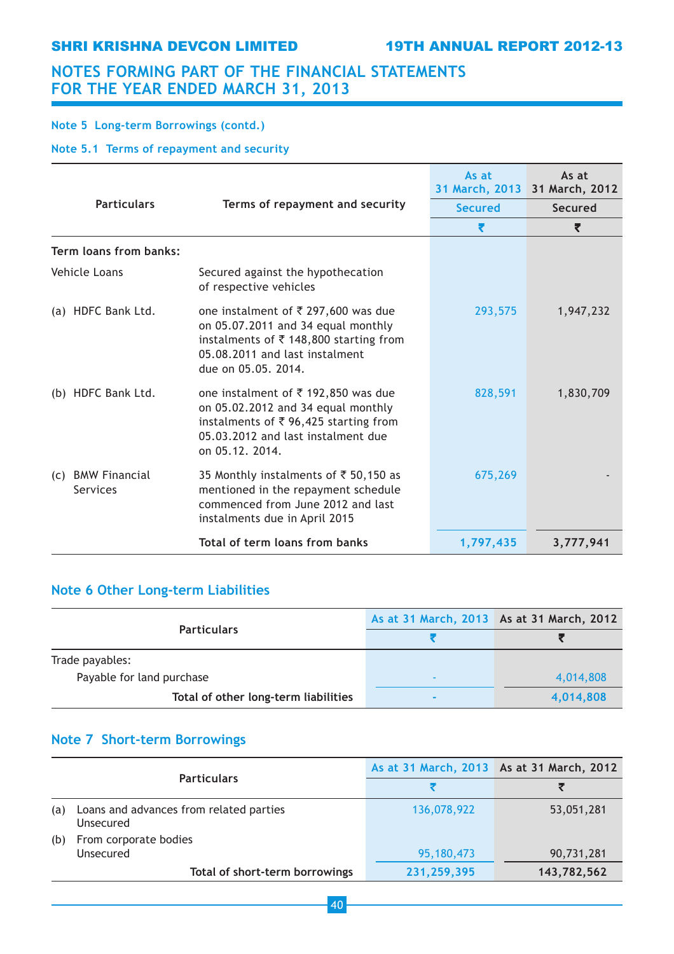#### **Note 5 Long-term Borrowings (contd.)**

**Note 5.1 Terms of repayment and security**

|                                         |                                                                                                                                                                                                     | As at          | As at<br>31 March, 2013 31 March, 2012 |
|-----------------------------------------|-----------------------------------------------------------------------------------------------------------------------------------------------------------------------------------------------------|----------------|----------------------------------------|
| <b>Particulars</b>                      | Terms of repayment and security                                                                                                                                                                     | <b>Secured</b> | <b>Secured</b>                         |
|                                         |                                                                                                                                                                                                     | ₹              | ₹                                      |
| Term loans from banks:                  |                                                                                                                                                                                                     |                |                                        |
| Vehicle Loans                           | Secured against the hypothecation<br>of respective vehicles                                                                                                                                         |                |                                        |
| (a) HDFC Bank Ltd.                      | one instalment of $\overline{\xi}$ 297,600 was due<br>on 05.07.2011 and 34 equal monthly<br>instalments of ₹ 148,800 starting from<br>05.08.2011 and last instalment<br>due on 05.05, 2014.         | 293,575        | 1,947,232                              |
| (b) HDFC Bank Ltd.                      | one instalment of $\bar{\tau}$ 192,850 was due<br>on 05.02.2012 and 34 equal monthly<br>instalments of $\overline{5}$ 96,425 starting from<br>05.03.2012 and last instalment due<br>on 05.12, 2014. | 828,591        | 1,830,709                              |
| <b>BMW Financial</b><br>(C)<br>Services | 35 Monthly instalments of ₹ 50,150 as<br>mentioned in the repayment schedule<br>commenced from June 2012 and last<br>instalments due in April 2015                                                  | 675,269        |                                        |
|                                         | Total of term loans from banks                                                                                                                                                                      | 1,797,435      | 3,777,941                              |

## **Note 6 Other Long-term Liabilities**

|                                      | As at 31 March, 2013 As at 31 March, 2012 |           |
|--------------------------------------|-------------------------------------------|-----------|
| <b>Particulars</b>                   |                                           |           |
| Trade payables:                      |                                           |           |
| Payable for land purchase            |                                           | 4,014,808 |
| Total of other long-term liabilities | $\blacksquare$                            | 4,014,808 |

## **Note 7 Short-term Borrowings**

|                    |                                                      | As at 31 March, 2013 As at 31 March, 2012 |             |
|--------------------|------------------------------------------------------|-------------------------------------------|-------------|
| <b>Particulars</b> |                                                      |                                           |             |
| (a)                | Loans and advances from related parties<br>Unsecured | 136,078,922                               | 53,051,281  |
| (b)                | From corporate bodies<br>Unsecured                   | 95,180,473                                | 90,731,281  |
|                    | Total of short-term borrowings                       | 231,259,395                               | 143,782,562 |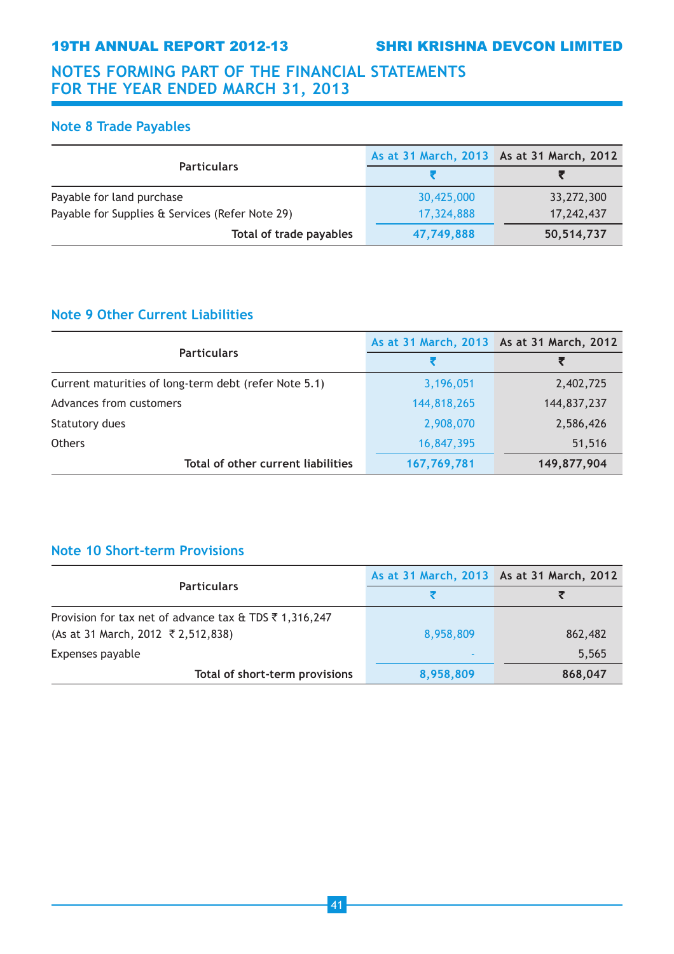## **Note 8 Trade Payables**

|                                                 | As at 31 March, 2013 As at 31 March, 2012 |            |
|-------------------------------------------------|-------------------------------------------|------------|
| <b>Particulars</b>                              |                                           |            |
| Payable for land purchase                       | 30,425,000                                | 33,272,300 |
| Payable for Supplies & Services (Refer Note 29) | 17,324,888                                | 17,242,437 |
| Total of trade payables                         | 47,749,888                                | 50,514,737 |

## **Note 9 Other Current Liabilities**

|                                                       | As at 31 March, 2013 As at 31 March, 2012 |             |
|-------------------------------------------------------|-------------------------------------------|-------------|
| <b>Particulars</b>                                    |                                           |             |
| Current maturities of long-term debt (refer Note 5.1) | 3,196,051                                 | 2,402,725   |
| Advances from customers                               | 144,818,265                               | 144,837,237 |
| Statutory dues                                        | 2,908,070                                 | 2,586,426   |
| <b>Others</b>                                         | 16,847,395                                | 51,516      |
| Total of other current liabilities                    | 167,769,781                               | 149,877,904 |

## **Note 10 Short-term Provisions**

| <b>Particulars</b>                                     |           | As at 31 March, 2013 As at 31 March, 2012 |
|--------------------------------------------------------|-----------|-------------------------------------------|
|                                                        |           |                                           |
| Provision for tax net of advance tax & TDS ₹ 1,316,247 |           |                                           |
| (As at 31 March, 2012 ₹ 2,512,838)                     | 8,958,809 | 862,482                                   |
| Expenses payable                                       |           | 5,565                                     |
| Total of short-term provisions                         | 8,958,809 | 868,047                                   |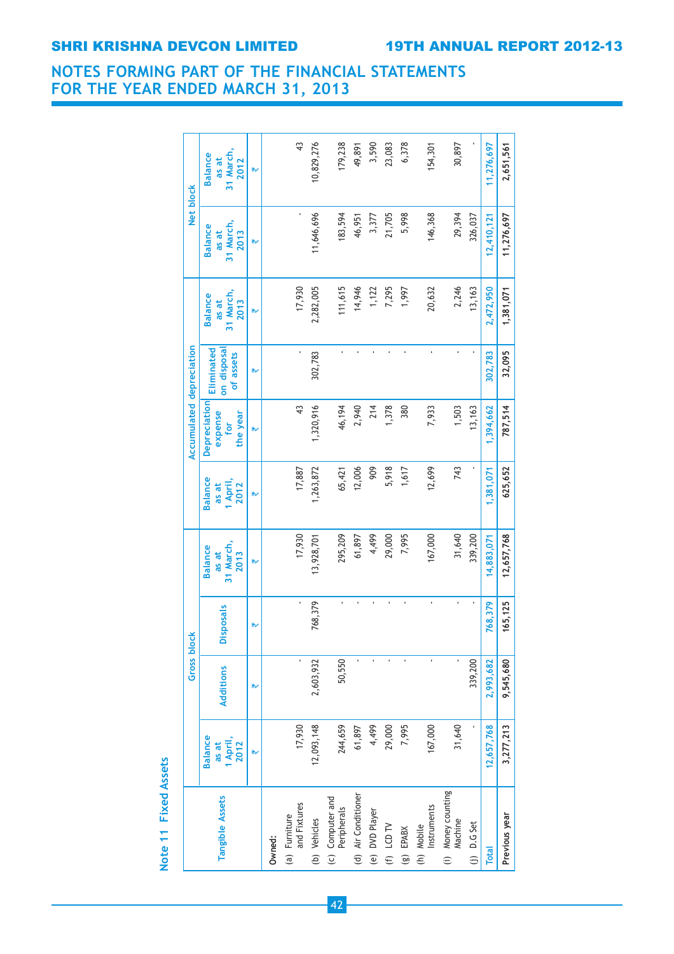|                                 |                                             | <b>Gross block</b> |                  |                                              |                                             | Accumulated depreciation                   |                                       |                                              | Net block                                    |                                              |
|---------------------------------|---------------------------------------------|--------------------|------------------|----------------------------------------------|---------------------------------------------|--------------------------------------------|---------------------------------------|----------------------------------------------|----------------------------------------------|----------------------------------------------|
| Tangible Assets                 | <b>Balance</b><br>as at<br>1 April,<br>2012 | <b>Additions</b>   | <b>Disposals</b> | 31 March,<br><b>Balance</b><br>2013<br>as at | <b>Balance</b><br>1 April,<br>2012<br>as at | Depreciation<br>expense<br>the year<br>for | Eliminated<br>on disposa<br>of assets | 31 March,<br><b>Balance</b><br>2013<br>as at | 31 March,<br><b>Balance</b><br>2013<br>as at | 31 March,<br><b>Balance</b><br>as at<br>2012 |
|                                 | ⋫                                           | ₩                  | ₩                | ₩                                            | ₩                                           | ₩                                          | ₩                                     | ₩                                            | ₩                                            | ⋫                                            |
| Owned:                          |                                             |                    |                  |                                              |                                             |                                            |                                       |                                              |                                              |                                              |
| and Fixtures<br>(a) Furniture   | 17,930                                      |                    |                  | 17,930                                       | 17,887                                      | $\frac{4}{3}$                              |                                       | 17,930                                       |                                              | $\overline{4}$                               |
| (b) Vehicles                    | 12,093,148                                  | 2,603,932          | 768,379          | 13,928,701                                   | 1,263,872                                   | 1,320,916                                  | 302,783                               | 2,282,005                                    | 11,646,696                                   | 10,829,276                                   |
| (c) Computer and<br>Peripherals | 244,659                                     | 50,550             |                  | 295,209                                      | 65,421                                      | 46,194                                     |                                       | 111,615                                      | 183,594                                      | 179,238                                      |
| (d) Air Conditioner             | 61,897                                      |                    |                  | 61,897                                       | 12,006                                      | 2,940                                      |                                       | 14,946                                       | 46,951                                       | 49,891                                       |
| (e) DVD Player                  | 4,499                                       |                    |                  | 4,499                                        | 909                                         | 214                                        |                                       | 1,122                                        | 3,377                                        | 3,590                                        |
| $(1)$ LCD TV                    | 29,000                                      |                    |                  | 29,000                                       | 5,918                                       | 1,378                                      |                                       | 7,295                                        | 21,705                                       | 23,083                                       |
| EPABX<br>$\circledcirc$         | 7,995                                       |                    |                  | 7,995                                        | 1,617                                       | 380                                        |                                       | 1,997                                        | 5,998                                        | 6,378                                        |
| Instruments<br>(h) Mobile       | 167,000                                     |                    |                  | 167,000                                      | 12,699                                      | 7,933                                      |                                       | 20,632                                       | 146,368                                      | 154,301                                      |
| (i) Money counting<br>Machine   | 31,640                                      |                    |                  | 31,640                                       | 743                                         | 1,503                                      |                                       | 2,246                                        | 29,394                                       | 30,897                                       |
| $(j)$ $D.G$ Set                 |                                             | 339,200            |                  | 339,200                                      |                                             | 13,163                                     |                                       | 13,163                                       | 326,037                                      |                                              |
| <b>Total</b>                    | 12,657,768                                  | 2,993,682          | 768,379          | 14,883,071                                   | 1,381,071                                   | 1,394,662                                  | 302,783                               | 2,472,950                                    | 12,410,121                                   | 11,276,697                                   |
| Previous year                   | 3,277,213                                   | 9,545,680          | 165, 125         | 12,657,768                                   | 625,652                                     | 787,514                                    | 32,095                                | 1,381,071                                    | 11,276,697                                   | 2,651,561                                    |

Note 11 Fixed Assets **Note 11 Fixed Assets**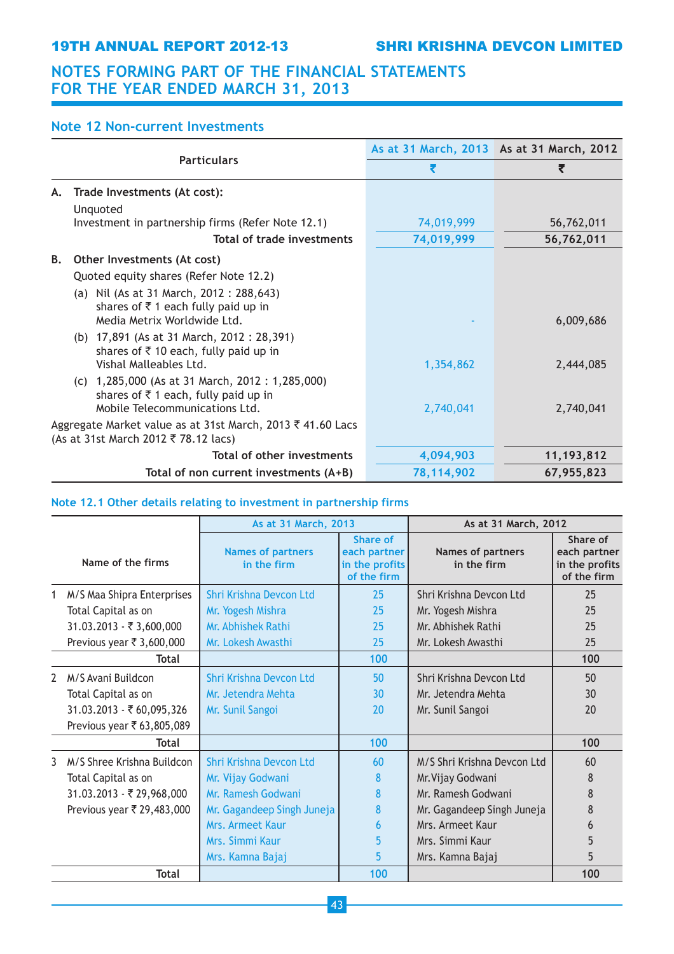## **Note 12 Non-current Investments**

|                                                                                                                               |                                                                                                       |            | As at 31 March, 2013 As at 31 March, 2012 |
|-------------------------------------------------------------------------------------------------------------------------------|-------------------------------------------------------------------------------------------------------|------------|-------------------------------------------|
|                                                                                                                               | <b>Particulars</b>                                                                                    | ₹          | ₹                                         |
| Trade Investments (At cost):<br>А.                                                                                            |                                                                                                       |            |                                           |
| Unquoted                                                                                                                      |                                                                                                       |            |                                           |
|                                                                                                                               | Investment in partnership firms (Refer Note 12.1)                                                     | 74,019,999 | 56,762,011                                |
|                                                                                                                               | Total of trade investments                                                                            | 74,019,999 | 56,762,011                                |
| Other Investments (At cost)<br>В.                                                                                             |                                                                                                       |            |                                           |
| Quoted equity shares (Refer Note 12.2)                                                                                        |                                                                                                       |            |                                           |
| (a) Nil (As at 31 March, 2012 : 288,643)<br>shares of $\overline{\xi}$ 1 each fully paid up in<br>Media Metrix Worldwide Ltd. |                                                                                                       |            | 6,009,686                                 |
| Vishal Malleables Ltd.                                                                                                        | (b) 17,891 (As at 31 March, 2012 : 28,391)<br>shares of $\bar{\tau}$ 10 each, fully paid up in        | 1,354,862  | 2,444,085                                 |
| Mobile Telecommunications Ltd.                                                                                                | (c) $1,285,000$ (As at 31 March, 2012 : 1,285,000)<br>shares of $\bar{\tau}$ 1 each, fully paid up in | 2,740,041  | 2,740,041                                 |
| (As at 31st March 2012 ₹ 78.12 lacs)                                                                                          | Aggregate Market value as at 31st March, 2013 ₹ 41.60 Lacs                                            |            |                                           |
|                                                                                                                               | <b>Total of other investments</b>                                                                     | 4,094,903  | 11, 193, 812                              |
|                                                                                                                               | Total of non current investments (A+B)                                                                | 78,114,902 | 67,955,823                                |

#### **Note 12.1 Other details relating to investment in partnership firms**

|              |                            | As at 31 March, 2013                    |                                                           | As at 31 March, 2012                    |                                                           |  |
|--------------|----------------------------|-----------------------------------------|-----------------------------------------------------------|-----------------------------------------|-----------------------------------------------------------|--|
|              | Name of the firms          | <b>Names of partners</b><br>in the firm | Share of<br>each partner<br>in the profits<br>of the firm | <b>Names of partners</b><br>in the firm | Share of<br>each partner<br>in the profits<br>of the firm |  |
| 1            | M/S Maa Shipra Enterprises | Shri Krishna Devcon Ltd                 | 25                                                        | Shri Krishna Devcon Ltd                 | 25                                                        |  |
|              | Total Capital as on        | Mr. Yogesh Mishra                       | 25                                                        | Mr. Yogesh Mishra                       | 25                                                        |  |
|              | $31.03.2013 - ₹ 3,600,000$ | Mr. Abhishek Rathi                      | 25                                                        | Mr. Abhishek Rathi                      | 25                                                        |  |
|              | Previous year ₹ 3,600,000  | Mr. Lokesh Awasthi                      | 25                                                        | Mr. Lokesh Awasthi                      | 25                                                        |  |
|              | <b>Total</b>               |                                         | 100                                                       |                                         | 100                                                       |  |
| $\mathbf{2}$ | M/S Avani Buildcon         | Shri Krishna Devcon Ltd                 | 50                                                        | Shri Krishna Devcon Ltd                 | 50                                                        |  |
|              | Total Capital as on        | Mr. Jetendra Mehta                      | 30                                                        | Mr. Jetendra Mehta                      | 30                                                        |  |
|              | 31.03.2013 - ₹60,095,326   | Mr. Sunil Sangoi                        | 20                                                        | Mr. Sunil Sangoi                        | 20                                                        |  |
|              | Previous year ₹63,805,089  |                                         |                                                           |                                         |                                                           |  |
|              | <b>Total</b>               |                                         | 100                                                       |                                         | 100                                                       |  |
| 3            | M/S Shree Krishna Buildcon | Shri Krishna Devcon Ltd                 | 60                                                        | M/S Shri Krishna Devcon Ltd             | 60                                                        |  |
|              | Total Capital as on        | Mr. Vijay Godwani                       | 8                                                         | Mr. Vijay Godwani                       | 8                                                         |  |
|              | 31.03.2013 - ₹29,968,000   | Mr. Ramesh Godwani                      | 8                                                         | Mr. Ramesh Godwani                      | 8                                                         |  |
|              | Previous year ₹ 29,483,000 | Mr. Gagandeep Singh Juneja              | 8                                                         | Mr. Gagandeep Singh Juneja              | 8                                                         |  |
|              |                            | Mrs. Armeet Kaur                        | 6                                                         | Mrs. Armeet Kaur                        | 6                                                         |  |
|              |                            | Mrs. Simmi Kaur                         | 5.                                                        | Mrs. Simmi Kaur                         | 5                                                         |  |
|              |                            | Mrs. Kamna Bajaj                        | 5.                                                        | Mrs. Kamna Bajaj                        | 5                                                         |  |
|              | <b>Total</b>               |                                         | 100                                                       |                                         | 100                                                       |  |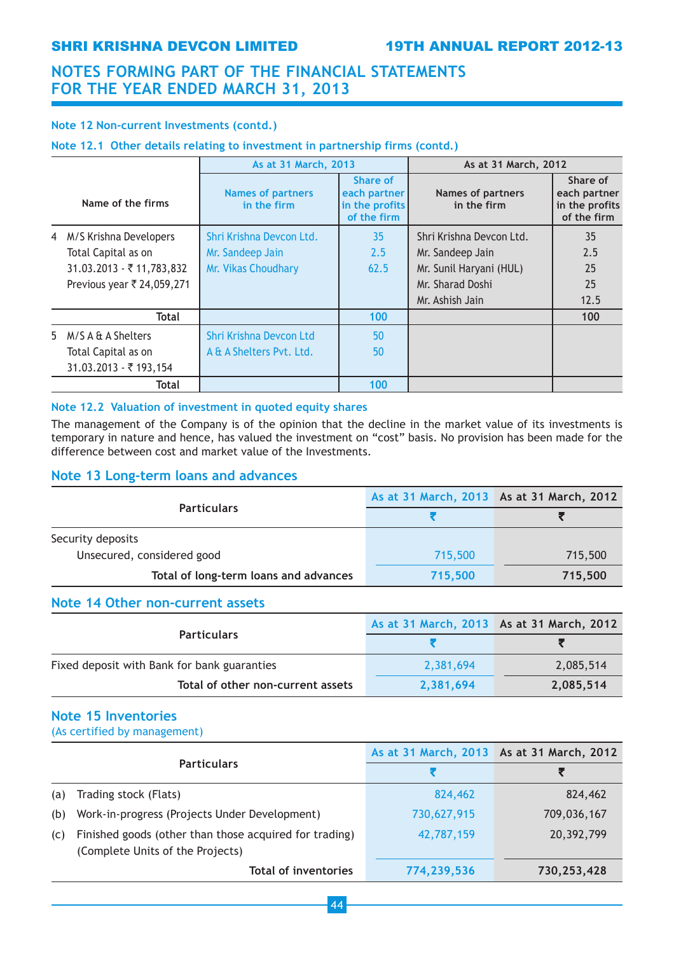### SHRI KRISHNA DEVCON LIMITED 19TH ANNUAL REPORT 2012-13

## **NOTES FORMING PART OF THE FINANCIAL STATEMENTS FOR THE YEAR ENDED MARCH 31, 2013**

#### **Note 12 Non-current Investments (contd.)**

#### **Note 12.1 Other details relating to investment in partnership firms (contd.)**

|    |                            | As at 31 March, 2013                    |                                                           | As at 31 March, 2012                    |                                                           |
|----|----------------------------|-----------------------------------------|-----------------------------------------------------------|-----------------------------------------|-----------------------------------------------------------|
|    | Name of the firms          | <b>Names of partners</b><br>in the firm | Share of<br>each partner<br>in the profits<br>of the firm | <b>Names of partners</b><br>in the firm | Share of<br>each partner<br>in the profits<br>of the firm |
|    | 4 M/S Krishna Developers   | Shri Krishna Devcon Ltd.                | 35                                                        | Shri Krishna Devcon Ltd.                | 35                                                        |
|    | Total Capital as on        | Mr. Sandeep Jain                        | 2.5                                                       | Mr. Sandeep Jain                        | 2.5                                                       |
|    | 31.03.2013 - ₹ 11,783,832  | Mr. Vikas Choudhary                     | 62.5                                                      | Mr. Sunil Haryani (HUL)                 | 25                                                        |
|    | Previous year ₹ 24,059,271 |                                         |                                                           | Mr. Sharad Doshi                        | 25                                                        |
|    |                            |                                         |                                                           | Mr. Ashish Jain                         | 12.5                                                      |
|    | <b>Total</b>               |                                         | 100                                                       |                                         | 100                                                       |
| 5. | M/S A & A Shelters         | Shri Krishna Devcon Ltd                 | 50                                                        |                                         |                                                           |
|    | Total Capital as on        | A & A Shelters Pyt. Ltd.                | 50                                                        |                                         |                                                           |
|    | $31.03.2013 - ₹ 193,154$   |                                         |                                                           |                                         |                                                           |
|    | Total                      |                                         | 100                                                       |                                         |                                                           |

#### **Note 12.2 Valuation of investment in quoted equity shares**

The management of the Company is of the opinion that the decline in the market value of its investments is temporary in nature and hence, has valued the investment on "cost" basis. No provision has been made for the difference between cost and market value of the Investments.

## **Note 13 Long-term loans and advances**

|                                       | As at 31 March, 2013 As at 31 March, 2012 |         |
|---------------------------------------|-------------------------------------------|---------|
| <b>Particulars</b>                    |                                           |         |
| Security deposits                     |                                           |         |
| Unsecured, considered good            | 715,500                                   | 715,500 |
| Total of long-term loans and advances | 715,500                                   | 715,500 |

#### **Note 14 Other non-current assets**

|                                             | As at 31 March, 2013 As at 31 March, 2012 |           |
|---------------------------------------------|-------------------------------------------|-----------|
| <b>Particulars</b>                          |                                           |           |
| Fixed deposit with Bank for bank guaranties | 2,381,694                                 | 2,085,514 |
| Total of other non-current assets           | 2.381.694                                 | 2,085,514 |

## **Note 15 Inventories**

(As certified by management)

|     | <b>Particulars</b>                                     | As at 31 March, 2013 As at 31 March, 2012 |             |
|-----|--------------------------------------------------------|-------------------------------------------|-------------|
|     |                                                        |                                           | ₹           |
| (a) | Trading stock (Flats)                                  | 824,462                                   | 824,462     |
| (b) | Work-in-progress (Projects Under Development)          | 730,627,915                               | 709,036,167 |
| (C) | Finished goods (other than those acquired for trading) | 42,787,159                                | 20,392,799  |
|     | (Complete Units of the Projects)                       |                                           |             |
|     | <b>Total of inventories</b>                            | 774,239,536                               | 730,253,428 |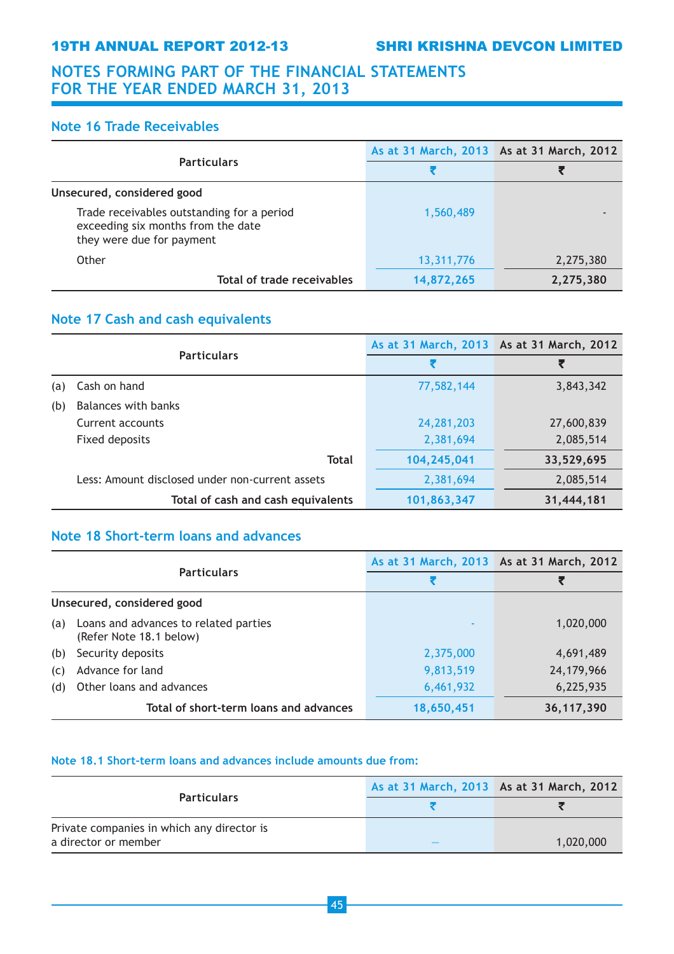## **Note 16 Trade Receivables**

| <b>Particulars</b>                                                                                            | As at 31 March, 2013 As at 31 March, 2012 |           |
|---------------------------------------------------------------------------------------------------------------|-------------------------------------------|-----------|
|                                                                                                               |                                           |           |
| Unsecured, considered good                                                                                    |                                           |           |
| Trade receivables outstanding for a period<br>exceeding six months from the date<br>they were due for payment | 1,560,489                                 |           |
| Other                                                                                                         | 13,311,776                                | 2,275,380 |
| Total of trade receivables                                                                                    | 14,872,265                                | 2,275,380 |

## **Note 17 Cash and cash equivalents**

|     | <b>Particulars</b>                              | As at 31 March, 2013 As at 31 March, 2012 |            |
|-----|-------------------------------------------------|-------------------------------------------|------------|
|     |                                                 | ₹                                         | ₹          |
| (a) | Cash on hand                                    | 77,582,144                                | 3,843,342  |
| (b) | Balances with banks                             |                                           |            |
|     | Current accounts                                | 24, 281, 203                              | 27,600,839 |
|     | Fixed deposits                                  | 2,381,694                                 | 2,085,514  |
|     | <b>Total</b>                                    | 104,245,041                               | 33,529,695 |
|     | Less: Amount disclosed under non-current assets | 2,381,694                                 | 2,085,514  |
|     | Total of cash and cash equivalents              | 101,863,347                               | 31,444,181 |

## **Note 18 Short-term loans and advances**

|     |                                                                  |            | As at 31 March, 2013 As at 31 March, 2012 |
|-----|------------------------------------------------------------------|------------|-------------------------------------------|
|     | <b>Particulars</b>                                               |            | ₹                                         |
|     | Unsecured, considered good                                       |            |                                           |
| (a) | Loans and advances to related parties<br>(Refer Note 18.1 below) |            | 1,020,000                                 |
| (b) | Security deposits                                                | 2,375,000  | 4,691,489                                 |
| (C) | Advance for land                                                 | 9,813,519  | 24,179,966                                |
| (d) | Other loans and advances                                         | 6,461,932  | 6,225,935                                 |
|     | Total of short-term loans and advances                           | 18,650,451 | 36,117,390                                |

#### **Note 18.1 Short-term loans and advances include amounts due from:**

|                                                                    | As at 31 March, 2013 As at 31 March, 2012 |           |
|--------------------------------------------------------------------|-------------------------------------------|-----------|
| <b>Particulars</b>                                                 |                                           |           |
| Private companies in which any director is<br>a director or member |                                           | 1,020,000 |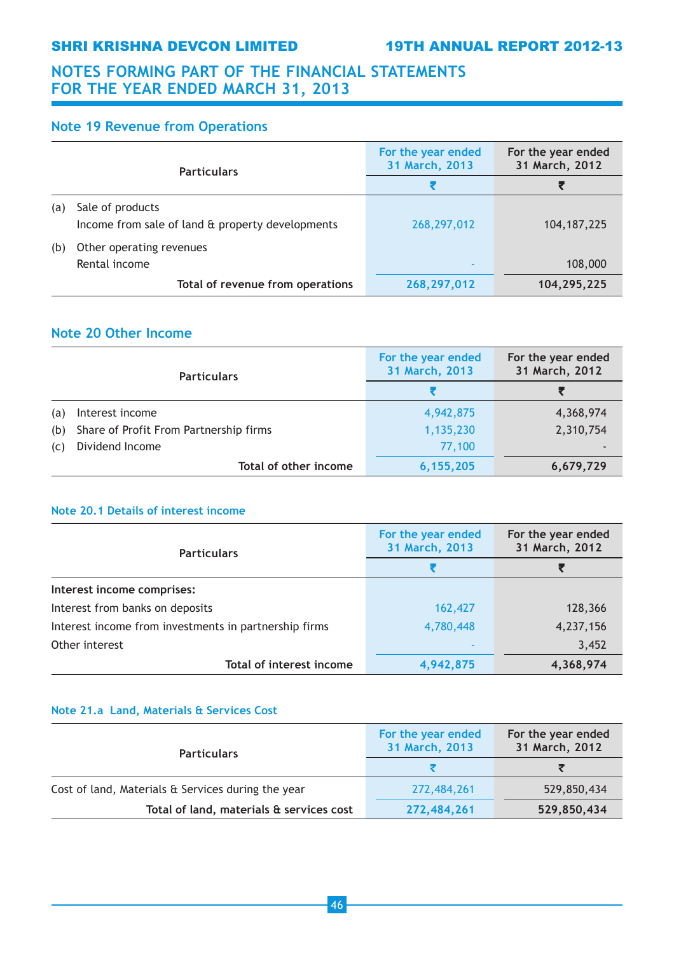## SHRI KRISHNA DEVCON LIMITED 19TH ANNUAL REPORT 2012-13

## **NOTES FORMING PART OF THE FINANCIAL STATEMENTS FOR THE YEAR ENDED MARCH 31, 2013**

## **Note 19 Revenue from Operations**

| <b>Particulars</b> | For the year ended<br>31 March, 2013                                 | For the year ended<br>31 March, 2012 |               |
|--------------------|----------------------------------------------------------------------|--------------------------------------|---------------|
|                    |                                                                      |                                      |               |
| (a)                | Sale of products<br>Income from sale of land & property developments | 268,297,012                          | 104, 187, 225 |
| (b)                | Other operating revenues<br>Rental income                            |                                      | 108,000       |
|                    | Total of revenue from operations                                     | 268,297,012                          | 104,295,225   |

## **Note 20 Other Income**

|     | <b>Particulars</b>                     | For the year ended<br>31 March, 2013 | For the year ended<br>31 March, 2012 |
|-----|----------------------------------------|--------------------------------------|--------------------------------------|
|     |                                        |                                      |                                      |
| (a) | Interest income                        | 4,942,875                            | 4,368,974                            |
| (b) | Share of Profit From Partnership firms | 1,135,230                            | 2,310,754                            |
| (C) | Dividend Income                        | 77,100                               | $\overline{\phantom{a}}$             |
|     | Total of other income                  | 6,155,205                            | 6,679,729                            |

#### **Note 20.1 Details of interest income**

| <b>Particulars</b>                                    | For the year ended<br>31 March, 2013 | For the year ended<br>31 March, 2012 |
|-------------------------------------------------------|--------------------------------------|--------------------------------------|
|                                                       |                                      |                                      |
| Interest income comprises:                            |                                      |                                      |
| Interest from banks on deposits                       | 162,427                              | 128,366                              |
| Interest income from investments in partnership firms | 4,780,448                            | 4,237,156                            |
| Other interest                                        |                                      | 3,452                                |
| Total of interest income                              | 4,942,875                            | 4,368,974                            |

#### **Note 21.a Land, Materials & Services Cost**

| <b>Particulars</b>                                 | For the year ended<br>31 March, 2013 | For the year ended<br>31 March, 2012 |
|----------------------------------------------------|--------------------------------------|--------------------------------------|
|                                                    |                                      |                                      |
| Cost of land, Materials & Services during the year | 272,484,261                          | 529,850,434                          |
| Total of land, materials & services cost           | 272,484,261                          | 529,850,434                          |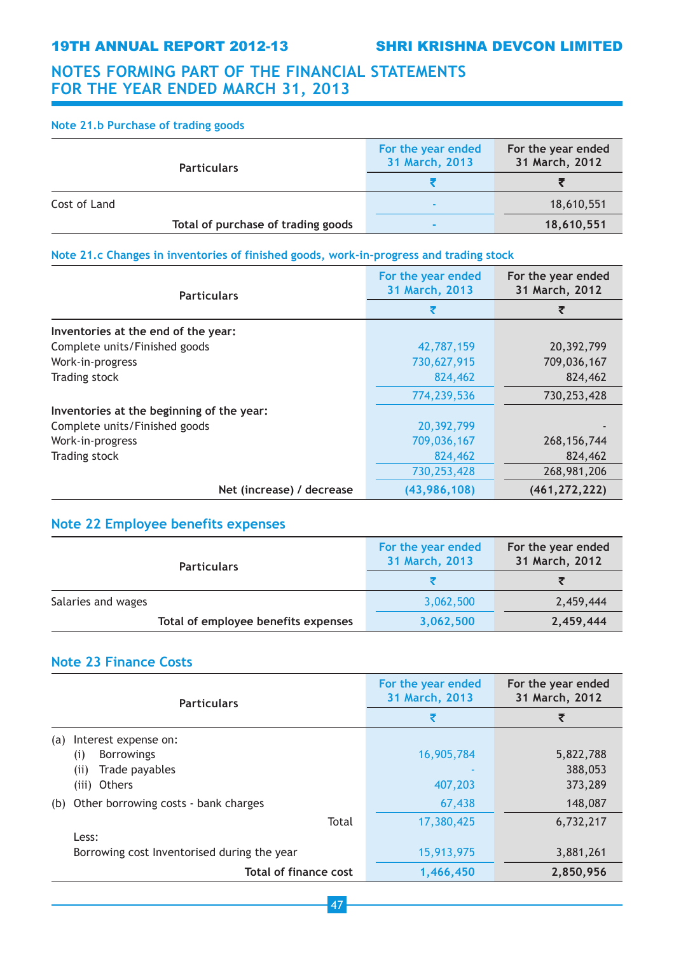#### **Note 21.b Purchase of trading goods**

| <b>Particulars</b> | For the year ended<br>31 March, 2013 | For the year ended<br>31 March, 2012 |            |
|--------------------|--------------------------------------|--------------------------------------|------------|
|                    |                                      |                                      |            |
| Cost of Land       |                                      |                                      | 18,610,551 |
|                    | Total of purchase of trading goods   | $\blacksquare$                       | 18,610,551 |

#### **Note 21.c Changes in inventories of finished goods, work-in-progress and trading stock**

| <b>Particulars</b>                        | For the year ended<br>31 March, 2013 | For the year ended<br>31 March, 2012 |
|-------------------------------------------|--------------------------------------|--------------------------------------|
|                                           |                                      | ₹                                    |
| Inventories at the end of the year:       |                                      |                                      |
| Complete units/Finished goods             | 42,787,159                           | 20,392,799                           |
| Work-in-progress                          | 730,627,915                          | 709,036,167                          |
| Trading stock                             | 824,462                              | 824,462                              |
|                                           | 774,239,536                          | 730,253,428                          |
| Inventories at the beginning of the year: |                                      |                                      |
| Complete units/Finished goods             | 20,392,799                           |                                      |
| Work-in-progress                          | 709,036,167                          | 268, 156, 744                        |
| Trading stock                             | 824,462                              | 824,462                              |
|                                           | 730,253,428                          | 268,981,206                          |
| Net (increase) / decrease                 | (43, 986, 108)                       | (461, 272, 222)                      |

## **Note 22 Employee benefits expenses**

| <b>Particulars</b>                  | For the year ended<br>31 March, 2013 | For the year ended<br>31 March, 2012 |
|-------------------------------------|--------------------------------------|--------------------------------------|
|                                     |                                      |                                      |
| Salaries and wages                  | 3,062,500                            | 2,459,444                            |
| Total of employee benefits expenses | 3,062,500                            | 2,459,444                            |

## **Note 23 Finance Costs**

| <b>Particulars</b>                                                                                   | For the year ended<br>31 March, 2013 | For the year ended<br>31 March, 2012 |
|------------------------------------------------------------------------------------------------------|--------------------------------------|--------------------------------------|
|                                                                                                      |                                      | ₹                                    |
| Interest expense on:<br>(a)<br><b>Borrowings</b><br>(i)<br>Trade payables<br>(ii)<br>Others<br>(iii) | 16,905,784<br>407,203                | 5,822,788<br>388,053<br>373,289      |
| Other borrowing costs - bank charges<br>(b)                                                          | 67,438                               | 148,087                              |
| Total<br>Less:                                                                                       | 17,380,425                           | 6,732,217                            |
| Borrowing cost Inventorised during the year                                                          | 15,913,975                           | 3,881,261                            |
| Total of finance cost                                                                                | 1,466,450                            | 2,850,956                            |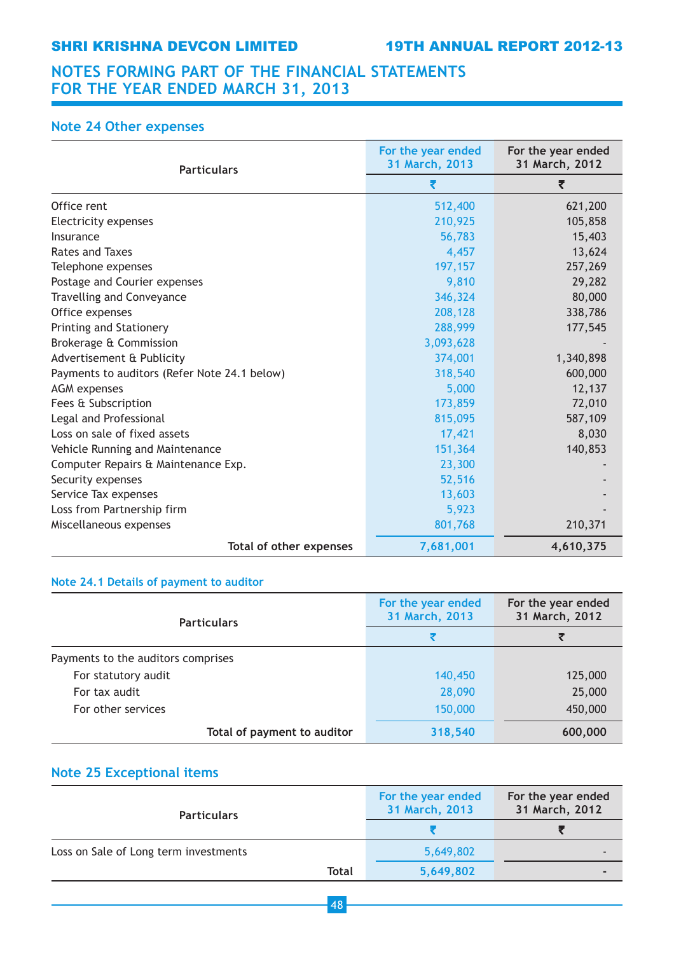## SHRI KRISHNA DEVCON LIMITED 19TH ANNUAL REPORT 2012-13

## **NOTES FORMING PART OF THE FINANCIAL STATEMENTS FOR THE YEAR ENDED MARCH 31, 2013**

## **Note 24 Other expenses**

| <b>Particulars</b>                           | For the year ended<br>31 March, 2013 | For the year ended<br>31 March, 2012 |
|----------------------------------------------|--------------------------------------|--------------------------------------|
|                                              | ₹                                    | ₹                                    |
| Office rent                                  | 512,400                              | 621,200                              |
| Electricity expenses                         | 210,925                              | 105,858                              |
| Insurance                                    | 56,783                               | 15,403                               |
| Rates and Taxes                              | 4,457                                | 13,624                               |
| Telephone expenses                           | 197,157                              | 257,269                              |
| Postage and Courier expenses                 | 9,810                                | 29,282                               |
| <b>Travelling and Conveyance</b>             | 346,324                              | 80,000                               |
| Office expenses                              | 208,128                              | 338,786                              |
| Printing and Stationery                      | 288,999                              | 177,545                              |
| Brokerage & Commission                       | 3,093,628                            |                                      |
| Advertisement & Publicity                    | 374,001                              | 1,340,898                            |
| Payments to auditors (Refer Note 24.1 below) | 318,540                              | 600,000                              |
| <b>AGM</b> expenses                          | 5,000                                | 12,137                               |
| Fees & Subscription                          | 173,859                              | 72,010                               |
| Legal and Professional                       | 815,095                              | 587,109                              |
| Loss on sale of fixed assets                 | 17,421                               | 8,030                                |
| Vehicle Running and Maintenance              | 151,364                              | 140,853                              |
| Computer Repairs & Maintenance Exp.          | 23,300                               |                                      |
| Security expenses                            | 52,516                               |                                      |
| Service Tax expenses                         | 13,603                               |                                      |
| Loss from Partnership firm                   | 5,923                                |                                      |
| Miscellaneous expenses                       | 801,768                              | 210,371                              |
| Total of other expenses                      | 7,681,001                            | 4,610,375                            |

#### **Note 24.1 Details of payment to auditor**

| <b>Particulars</b>                 | For the year ended<br>31 March, 2013 | For the year ended<br>31 March, 2012 |
|------------------------------------|--------------------------------------|--------------------------------------|
|                                    |                                      | ₹                                    |
| Payments to the auditors comprises |                                      |                                      |
| For statutory audit                | 140,450                              | 125,000                              |
| For tax audit                      | 28,090                               | 25,000                               |
| For other services                 | 150,000                              | 450,000                              |
| Total of payment to auditor        | 318,540                              | 600,000                              |

## **Note 25 Exceptional items**

| <b>Particulars</b>                    | For the year ended<br>31 March, 2013 | For the year ended<br>31 March, 2012 |
|---------------------------------------|--------------------------------------|--------------------------------------|
|                                       |                                      |                                      |
| Loss on Sale of Long term investments | 5,649,802                            | $\overline{\phantom{a}}$             |
| Total                                 | 5,649,802                            | $\blacksquare$                       |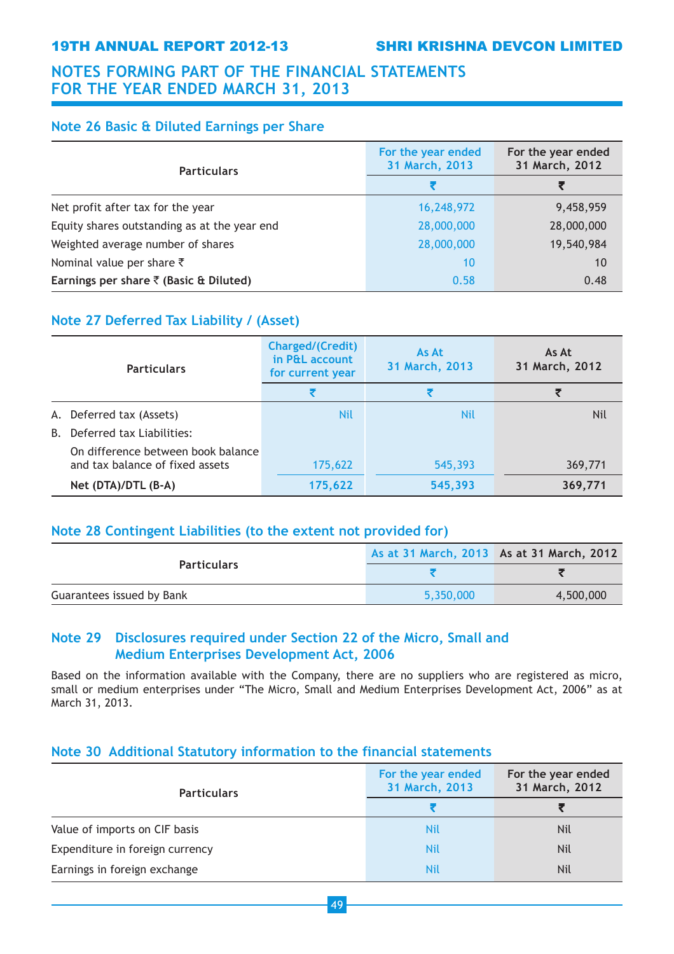## **Note 26 Basic & Diluted Earnings per Share**

| <b>Particulars</b>                                | For the year ended<br>31 March, 2013 | For the year ended<br>31 March, 2012 |
|---------------------------------------------------|--------------------------------------|--------------------------------------|
|                                                   |                                      |                                      |
| Net profit after tax for the year                 | 16,248,972                           | 9,458,959                            |
| Equity shares outstanding as at the year end      | 28,000,000                           | 28,000,000                           |
| Weighted average number of shares                 | 28,000,000                           | 19,540,984                           |
| Nominal value per share $\bar{\tau}$              | 10                                   | 10                                   |
| Earnings per share $\bar{\tau}$ (Basic & Diluted) | 0.58                                 | 0.48                                 |

## **Note 27 Deferred Tax Liability / (Asset)**

| <b>Particulars</b>                                                    | <b>Charged/(Credit)</b><br>in P&L account<br>for current year | As At<br>31 March, 2013 | As At<br>31 March, 2012 |
|-----------------------------------------------------------------------|---------------------------------------------------------------|-------------------------|-------------------------|
|                                                                       |                                                               |                         |                         |
| A. Deferred tax (Assets)                                              | <b>Nil</b>                                                    | <b>Nil</b>              | Nil                     |
| B. Deferred tax Liabilities:                                          |                                                               |                         |                         |
| On difference between book balance<br>and tax balance of fixed assets | 175,622                                                       | 545,393                 | 369,771                 |
| Net (DTA)/DTL (B-A)                                                   | 175,622                                                       | 545,393                 | 369,771                 |

#### **Note 28 Contingent Liabilities (to the extent not provided for)**

|                           | As at 31 March, 2013 As at 31 March, 2012 |           |
|---------------------------|-------------------------------------------|-----------|
| <b>Particulars</b>        |                                           |           |
| Guarantees issued by Bank | 5.350,000                                 | 4,500,000 |

## **Note 29 Disclosures required under Section 22 of the Micro, Small and Medium Enterprises Development Act, 2006**

Based on the information available with the Company, there are no suppliers who are registered as micro, small or medium enterprises under "The Micro, Small and Medium Enterprises Development Act, 2006" as at March 31, 2013.

#### **Note 30 Additional Statutory information to the financial statements**

| <b>Particulars</b>              | For the year ended<br>31 March, 2013 | For the year ended<br>31 March, 2012 |
|---------------------------------|--------------------------------------|--------------------------------------|
|                                 |                                      |                                      |
| Value of imports on CIF basis   | Nil                                  | Nil                                  |
| Expenditure in foreign currency | Nil                                  | Nil                                  |
| Earnings in foreign exchange    | Nil                                  | Nil                                  |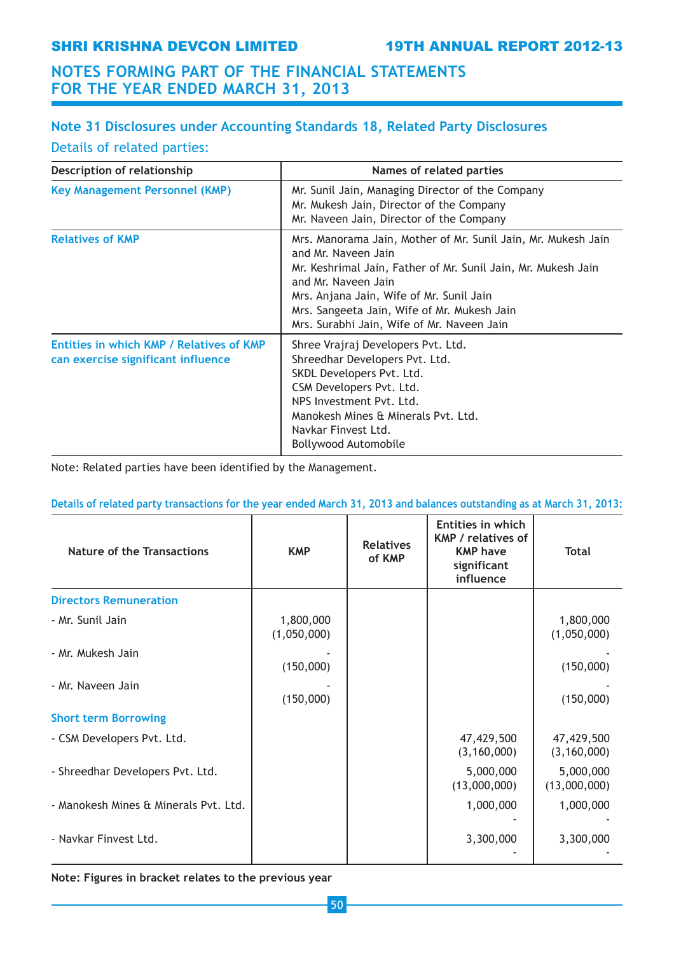## **Note 31 Disclosures under Accounting Standards 18, Related Party Disclosures** Details of related parties:

| Description of relationship                                                    | Names of related parties                                                                                                                                                                                                                                                                                              |
|--------------------------------------------------------------------------------|-----------------------------------------------------------------------------------------------------------------------------------------------------------------------------------------------------------------------------------------------------------------------------------------------------------------------|
| <b>Key Management Personnel (KMP)</b>                                          | Mr. Sunil Jain, Managing Director of the Company<br>Mr. Mukesh Jain, Director of the Company<br>Mr. Naveen Jain, Director of the Company                                                                                                                                                                              |
| <b>Relatives of KMP</b>                                                        | Mrs. Manorama Jain, Mother of Mr. Sunil Jain, Mr. Mukesh Jain<br>and Mr. Naveen Jain<br>Mr. Keshrimal Jain, Father of Mr. Sunil Jain, Mr. Mukesh Jain<br>and Mr. Naveen Jain<br>Mrs. Anjana Jain, Wife of Mr. Sunil Jain<br>Mrs. Sangeeta Jain, Wife of Mr. Mukesh Jain<br>Mrs. Surabhi Jain, Wife of Mr. Naveen Jain |
| Entities in which KMP / Relatives of KMP<br>can exercise significant influence | Shree Vrajraj Developers Pvt. Ltd.<br>Shreedhar Developers Pvt. Ltd.<br>SKDL Developers Pvt. Ltd.<br>CSM Developers Pvt. Ltd.<br>NPS Investment Pyt. Ltd.<br>Manokesh Mines & Minerals Pyt. Ltd.<br>Navkar Finvest Ltd.<br><b>Bollywood Automobile</b>                                                                |

Note: Related parties have been identified by the Management.

**Details of related party transactions for the year ended March 31, 2013 and balances outstanding as at March 31, 2013:**

| <b>Nature of the Transactions</b>     | <b>KMP</b>               | <b>Relatives</b><br>of KMP | Entities in which<br><b>KMP</b> / relatives of<br><b>KMP</b> have<br>significant<br>influence | <b>Total</b>                |
|---------------------------------------|--------------------------|----------------------------|-----------------------------------------------------------------------------------------------|-----------------------------|
| <b>Directors Remuneration</b>         |                          |                            |                                                                                               |                             |
| - Mr. Sunil Jain                      | 1,800,000<br>(1,050,000) |                            |                                                                                               | 1,800,000<br>(1,050,000)    |
| - Mr. Mukesh Jain                     | (150,000)                |                            |                                                                                               | (150,000)                   |
| - Mr. Naveen Jain                     | (150,000)                |                            |                                                                                               | (150,000)                   |
| <b>Short term Borrowing</b>           |                          |                            |                                                                                               |                             |
| - CSM Developers Pvt. Ltd.            |                          |                            | 47,429,500<br>(3, 160, 000)                                                                   | 47,429,500<br>(3, 160, 000) |
| - Shreedhar Developers Pvt. Ltd.      |                          |                            | 5,000,000<br>(13,000,000)                                                                     | 5,000,000<br>(13,000,000)   |
| - Manokesh Mines & Minerals Pvt. Ltd. |                          |                            | 1,000,000                                                                                     | 1,000,000                   |
| - Navkar Finvest Ltd.                 |                          |                            | 3,300,000                                                                                     | 3,300,000                   |

**Note: Figures in bracket relates to the previous year**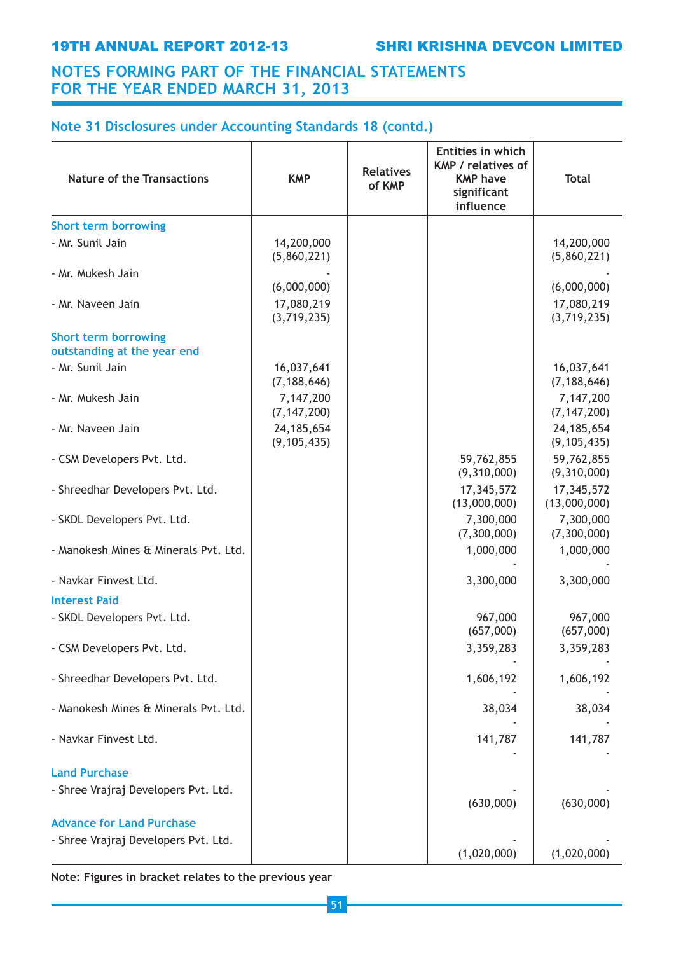## **Note 31 Disclosures under Accounting Standards 18 (contd.)**

| <b>Nature of the Transactions</b>                                        | <b>KMP</b>                    | <b>Relatives</b><br>of KMP | Entities in which<br>KMP / relatives of<br><b>KMP have</b><br>significant<br>influence | <b>Total</b>                  |
|--------------------------------------------------------------------------|-------------------------------|----------------------------|----------------------------------------------------------------------------------------|-------------------------------|
| <b>Short term borrowing</b>                                              |                               |                            |                                                                                        |                               |
| - Mr. Sunil Jain                                                         | 14,200,000<br>(5,860,221)     |                            |                                                                                        | 14,200,000<br>(5,860,221)     |
| - Mr. Mukesh Jain                                                        | (6,000,000)                   |                            |                                                                                        | (6,000,000)                   |
| - Mr. Naveen Jain                                                        | 17,080,219<br>(3,719,235)     |                            |                                                                                        | 17,080,219<br>(3,719,235)     |
| <b>Short term borrowing</b><br>outstanding at the year end               |                               |                            |                                                                                        |                               |
| - Mr. Sunil Jain                                                         | 16,037,641<br>(7, 188, 646)   |                            |                                                                                        | 16,037,641<br>(7, 188, 646)   |
| - Mr. Mukesh Jain                                                        | 7,147,200<br>(7, 147, 200)    |                            |                                                                                        | 7,147,200<br>(7, 147, 200)    |
| - Mr. Naveen Jain                                                        | 24, 185, 654<br>(9, 105, 435) |                            |                                                                                        | 24, 185, 654<br>(9, 105, 435) |
| - CSM Developers Pvt. Ltd.                                               |                               |                            | 59,762,855<br>(9,310,000)                                                              | 59,762,855<br>(9,310,000)     |
| - Shreedhar Developers Pvt. Ltd.                                         |                               |                            | 17,345,572<br>(13,000,000)                                                             | 17,345,572<br>(13,000,000)    |
| - SKDL Developers Pvt. Ltd.                                              |                               |                            | 7,300,000<br>(7,300,000)                                                               | 7,300,000<br>(7,300,000)      |
| - Manokesh Mines & Minerals Pvt. Ltd.                                    |                               |                            | 1,000,000                                                                              | 1,000,000                     |
| - Navkar Finvest Ltd.                                                    |                               |                            | 3,300,000                                                                              | 3,300,000                     |
| <b>Interest Paid</b>                                                     |                               |                            |                                                                                        |                               |
| - SKDL Developers Pvt. Ltd.                                              |                               |                            | 967,000<br>(657,000)                                                                   | 967,000<br>(657,000)          |
| CSM Developers Pvt. Ltd.                                                 |                               |                            | 3,359,283                                                                              | 3,359,283                     |
| - Shreedhar Developers Pvt. Ltd.                                         |                               |                            | 1,606,192                                                                              | 1,606,192                     |
| - Manokesh Mines & Minerals Pvt. Ltd.                                    |                               |                            | 38,034                                                                                 | 38,034                        |
| - Navkar Finvest Ltd.                                                    |                               |                            | 141,787                                                                                | 141,787                       |
| <b>Land Purchase</b>                                                     |                               |                            |                                                                                        |                               |
| - Shree Vrajraj Developers Pvt. Ltd.                                     |                               |                            | (630,000)                                                                              | (630,000)                     |
| <b>Advance for Land Purchase</b><br>- Shree Vrajraj Developers Pvt. Ltd. |                               |                            |                                                                                        |                               |
|                                                                          |                               |                            | (1,020,000)                                                                            | (1,020,000)                   |

**Note: Figures in bracket relates to the previous year**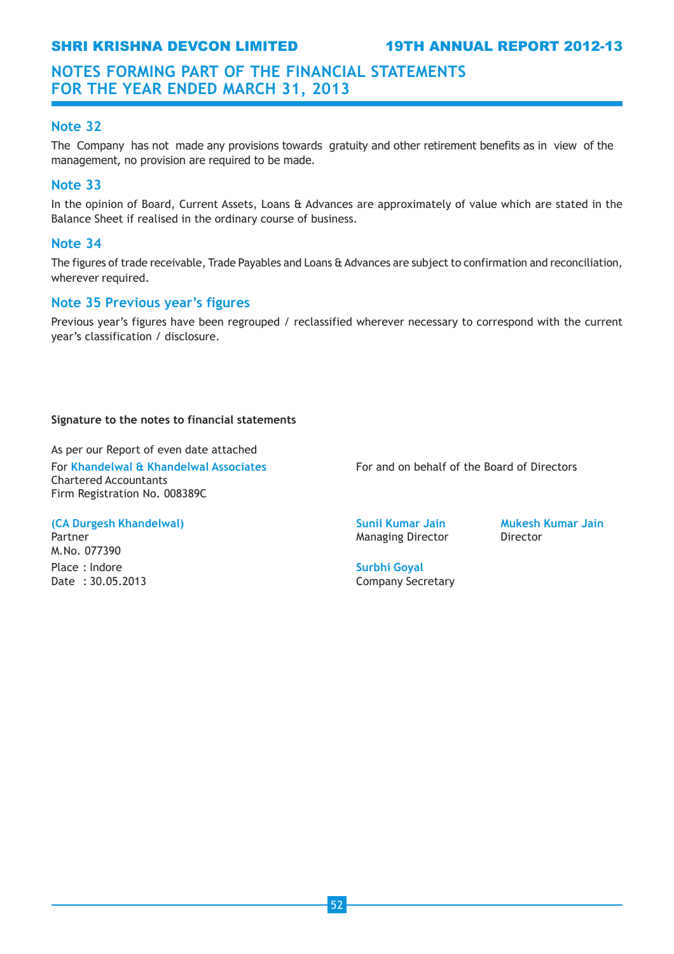### SHRI KRISHNA DEVCON LIMITED **19TH ANNUAL REPORT 2012-13**

## **NOTES FORMING PART OF THE FINANCIAL STATEMENTS FOR THE YEAR ENDED MARCH 31, 2013**

### **Note 32**

The Company has not made any provisions towards gratuity and other retirement benefits as in view of the management, no provision are required to be made.

### **Note 33**

In the opinion of Board, Current Assets, Loans & Advances are approximately of value which are stated in the Balance Sheet if realised in the ordinary course of business.

#### **Note 34**

The figures of trade receivable, Trade Payables and Loans & Advances are subject to confirmation and reconciliation, wherever required.

### **Note 35 Previous year's figures**

Previous year's figures have been regrouped / reclassified wherever necessary to correspond with the current year's classification / disclosure.

#### **Signature to the notes to financial statements**

As per our Report of even date attached For **Khandelwal & Khandelwal Associates** For and on behalf of the Board of Directors

Chartered Accountants Firm Registration No. 008389C

## **(CA Durgesh Khandelwal) Sunil Kumar Jain Mukesh Kumar Jain**

Partner **Managing Director** Director **Director Director Managing Director Director** M.No. 077390 Place : Indore **Surbhi Goyal**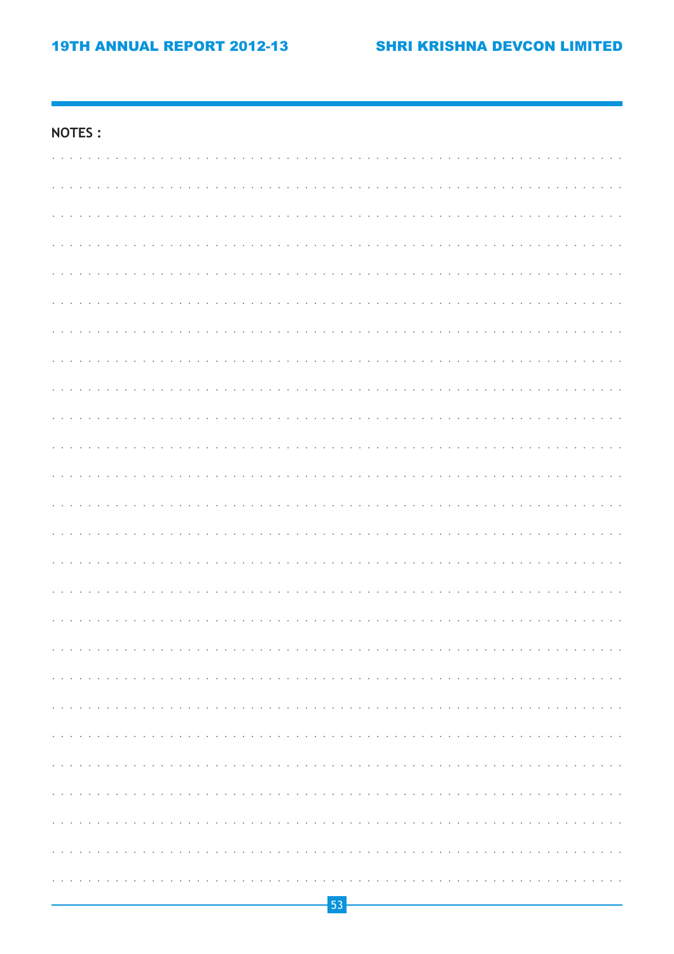## NOTES:

|  |  |  |  | a constitution de la constitution de la constitution de la constitution de la constitution de la constitution         |  |  |  |  |  |  |  |  |                                                                                                                                                                                                                               |  |  |  |  |  |
|--|--|--|--|-----------------------------------------------------------------------------------------------------------------------|--|--|--|--|--|--|--|--|-------------------------------------------------------------------------------------------------------------------------------------------------------------------------------------------------------------------------------|--|--|--|--|--|
|  |  |  |  | a constitution de la constitution de la constitution de la constitution de la constitution de la constitution         |  |  |  |  |  |  |  |  |                                                                                                                                                                                                                               |  |  |  |  |  |
|  |  |  |  | a constitución de la constitución de la constitución de la constitución de la constitución de la constitución         |  |  |  |  |  |  |  |  |                                                                                                                                                                                                                               |  |  |  |  |  |
|  |  |  |  |                                                                                                                       |  |  |  |  |  |  |  |  |                                                                                                                                                                                                                               |  |  |  |  |  |
|  |  |  |  |                                                                                                                       |  |  |  |  |  |  |  |  |                                                                                                                                                                                                                               |  |  |  |  |  |
|  |  |  |  |                                                                                                                       |  |  |  |  |  |  |  |  | design a construction of the construction of the construction of the construction of the construction of the construction of the construction of the construction of the construction of the construction of the construction |  |  |  |  |  |
|  |  |  |  |                                                                                                                       |  |  |  |  |  |  |  |  |                                                                                                                                                                                                                               |  |  |  |  |  |
|  |  |  |  | and the contract of the contract of the contract of the contract of the contract of the contract of the contract of   |  |  |  |  |  |  |  |  |                                                                                                                                                                                                                               |  |  |  |  |  |
|  |  |  |  | a constitution de la constitution de la constitution de la constitution de la constitution de la constitution         |  |  |  |  |  |  |  |  |                                                                                                                                                                                                                               |  |  |  |  |  |
|  |  |  |  | in a constitution of the constitution of the constitution of the constitution of the constitution of the constitution |  |  |  |  |  |  |  |  |                                                                                                                                                                                                                               |  |  |  |  |  |
|  |  |  |  |                                                                                                                       |  |  |  |  |  |  |  |  |                                                                                                                                                                                                                               |  |  |  |  |  |
|  |  |  |  |                                                                                                                       |  |  |  |  |  |  |  |  |                                                                                                                                                                                                                               |  |  |  |  |  |
|  |  |  |  | a constitution of the contract of the constitution of the constitution of the constitution of the constitution        |  |  |  |  |  |  |  |  |                                                                                                                                                                                                                               |  |  |  |  |  |
|  |  |  |  | المناقب والمناقب والمناقب والمناقب والمناقب والمناقب والمناقب والمناقب والمناقب والمناقب والمناقب والمناقب والمناقب   |  |  |  |  |  |  |  |  |                                                                                                                                                                                                                               |  |  |  |  |  |
|  |  |  |  |                                                                                                                       |  |  |  |  |  |  |  |  |                                                                                                                                                                                                                               |  |  |  |  |  |
|  |  |  |  |                                                                                                                       |  |  |  |  |  |  |  |  |                                                                                                                                                                                                                               |  |  |  |  |  |
|  |  |  |  |                                                                                                                       |  |  |  |  |  |  |  |  |                                                                                                                                                                                                                               |  |  |  |  |  |
|  |  |  |  |                                                                                                                       |  |  |  |  |  |  |  |  |                                                                                                                                                                                                                               |  |  |  |  |  |
|  |  |  |  |                                                                                                                       |  |  |  |  |  |  |  |  |                                                                                                                                                                                                                               |  |  |  |  |  |
|  |  |  |  |                                                                                                                       |  |  |  |  |  |  |  |  |                                                                                                                                                                                                                               |  |  |  |  |  |
|  |  |  |  |                                                                                                                       |  |  |  |  |  |  |  |  |                                                                                                                                                                                                                               |  |  |  |  |  |
|  |  |  |  |                                                                                                                       |  |  |  |  |  |  |  |  |                                                                                                                                                                                                                               |  |  |  |  |  |
|  |  |  |  |                                                                                                                       |  |  |  |  |  |  |  |  |                                                                                                                                                                                                                               |  |  |  |  |  |
|  |  |  |  |                                                                                                                       |  |  |  |  |  |  |  |  |                                                                                                                                                                                                                               |  |  |  |  |  |
|  |  |  |  |                                                                                                                       |  |  |  |  |  |  |  |  |                                                                                                                                                                                                                               |  |  |  |  |  |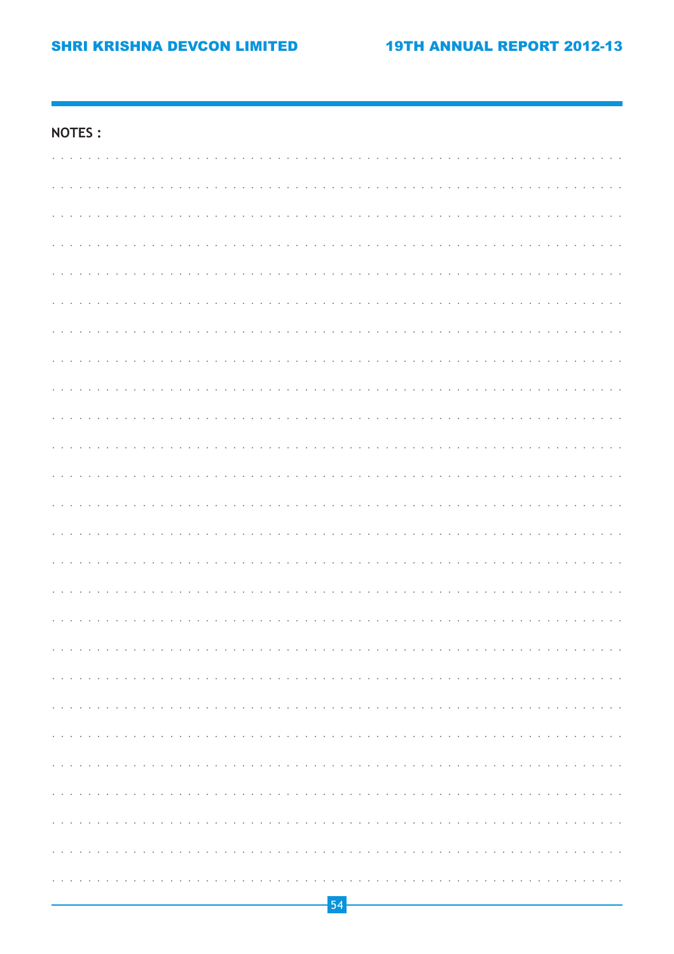## NOTES:

|  |  |  | a constitutiva de la caractería de la caractería de la caractería de la caractería de la caractería de la cara    |  |  |  |  |  |  |  |  |  |                                                 |  |  |  |  |  |  |  |  |  |
|--|--|--|-------------------------------------------------------------------------------------------------------------------|--|--|--|--|--|--|--|--|--|-------------------------------------------------|--|--|--|--|--|--|--|--|--|
|  |  |  | a constitution de la constitution de la constitution de la constitution de la constitution de la constitution     |  |  |  |  |  |  |  |  |  |                                                 |  |  |  |  |  |  |  |  |  |
|  |  |  |                                                                                                                   |  |  |  |  |  |  |  |  |  |                                                 |  |  |  |  |  |  |  |  |  |
|  |  |  |                                                                                                                   |  |  |  |  |  |  |  |  |  |                                                 |  |  |  |  |  |  |  |  |  |
|  |  |  |                                                                                                                   |  |  |  |  |  |  |  |  |  |                                                 |  |  |  |  |  |  |  |  |  |
|  |  |  |                                                                                                                   |  |  |  |  |  |  |  |  |  |                                                 |  |  |  |  |  |  |  |  |  |
|  |  |  |                                                                                                                   |  |  |  |  |  |  |  |  |  | the contract of the contract of the contract of |  |  |  |  |  |  |  |  |  |
|  |  |  |                                                                                                                   |  |  |  |  |  |  |  |  |  |                                                 |  |  |  |  |  |  |  |  |  |
|  |  |  |                                                                                                                   |  |  |  |  |  |  |  |  |  |                                                 |  |  |  |  |  |  |  |  |  |
|  |  |  | a constitution de la constitución de la constitución de la constitución de la constitución de la constitución     |  |  |  |  |  |  |  |  |  |                                                 |  |  |  |  |  |  |  |  |  |
|  |  |  |                                                                                                                   |  |  |  |  |  |  |  |  |  |                                                 |  |  |  |  |  |  |  |  |  |
|  |  |  |                                                                                                                   |  |  |  |  |  |  |  |  |  |                                                 |  |  |  |  |  |  |  |  |  |
|  |  |  | المتام والمتمام المتماري والمتماري والمتمام والمتماري والمتماري والمتماري والمتماري والمتماري والمتماري والمتمار  |  |  |  |  |  |  |  |  |  |                                                 |  |  |  |  |  |  |  |  |  |
|  |  |  |                                                                                                                   |  |  |  |  |  |  |  |  |  |                                                 |  |  |  |  |  |  |  |  |  |
|  |  |  |                                                                                                                   |  |  |  |  |  |  |  |  |  |                                                 |  |  |  |  |  |  |  |  |  |
|  |  |  |                                                                                                                   |  |  |  |  |  |  |  |  |  |                                                 |  |  |  |  |  |  |  |  |  |
|  |  |  |                                                                                                                   |  |  |  |  |  |  |  |  |  |                                                 |  |  |  |  |  |  |  |  |  |
|  |  |  |                                                                                                                   |  |  |  |  |  |  |  |  |  |                                                 |  |  |  |  |  |  |  |  |  |
|  |  |  |                                                                                                                   |  |  |  |  |  |  |  |  |  |                                                 |  |  |  |  |  |  |  |  |  |
|  |  |  | a construire de la caractería de la caractería de la caractería de la caractería de la caractería de la caracterí |  |  |  |  |  |  |  |  |  |                                                 |  |  |  |  |  |  |  |  |  |
|  |  |  |                                                                                                                   |  |  |  |  |  |  |  |  |  |                                                 |  |  |  |  |  |  |  |  |  |
|  |  |  |                                                                                                                   |  |  |  |  |  |  |  |  |  |                                                 |  |  |  |  |  |  |  |  |  |
|  |  |  | a constitutiva de la caractería de la caractería de la caractería de la caractería de la caractería de la cara    |  |  |  |  |  |  |  |  |  |                                                 |  |  |  |  |  |  |  |  |  |
|  |  |  |                                                                                                                   |  |  |  |  |  |  |  |  |  |                                                 |  |  |  |  |  |  |  |  |  |
|  |  |  |                                                                                                                   |  |  |  |  |  |  |  |  |  |                                                 |  |  |  |  |  |  |  |  |  |